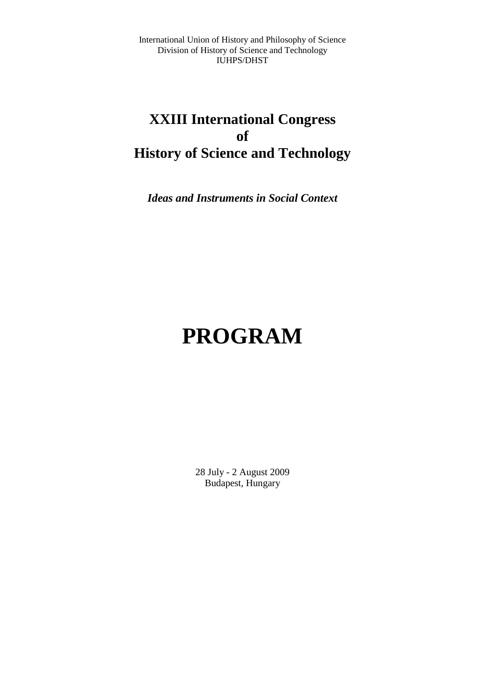International Union of History and Philosophy of Science Division of History of Science and Technology IUHPS/DHST

## **XXIII International Congress of History of Science and Technology**

*Ideas and Instruments in Social Context* 

# **PROGRAM**

28 July - 2 August 2009 Budapest, Hungary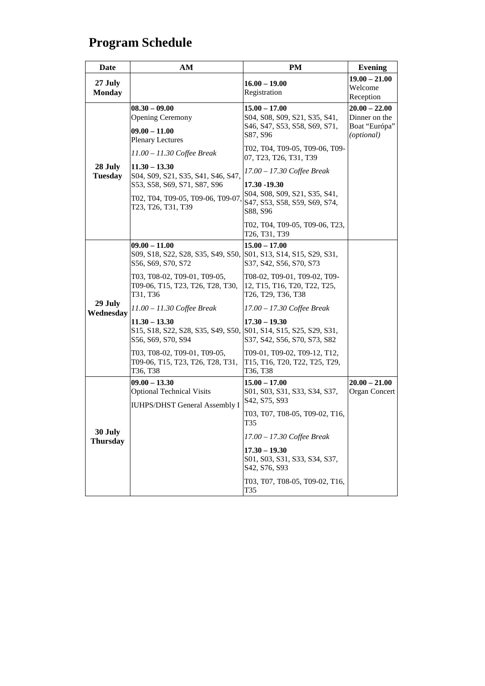## **Program Schedule**

| Date                       | AM                                                                                                        | PM                                                                                            | <b>Evening</b>                                                  |
|----------------------------|-----------------------------------------------------------------------------------------------------------|-----------------------------------------------------------------------------------------------|-----------------------------------------------------------------|
| 27 July<br><b>Monday</b>   |                                                                                                           | $16.00 - 19.00$<br>Registration                                                               | $19.00 - 21.00$<br>Welcome<br>Reception                         |
|                            | $08.30 - 09.00$<br><b>Opening Ceremony</b><br>$09.00 - 11.00$<br><b>Plenary Lectures</b>                  | $15.00 - 17.00$<br>S04, S08, S09, S21, S35, S41,<br>S46, S47, S53, S58, S69, S71,<br>S87, S96 | $20.00 - 22.00$<br>Dinner on the<br>Boat "Európa"<br>(optional) |
|                            | $11.00 - 11.30$ Coffee Break                                                                              | T02, T04, T09-05, T09-06, T09-<br>07, T23, T26, T31, T39                                      |                                                                 |
| 28 July<br><b>Tuesday</b>  | $11.30 - 13.30$<br>S04, S09, S21, S35, S41, S46, S47,                                                     | 17.00 - 17.30 Coffee Break                                                                    |                                                                 |
|                            | S53, S58, S69, S71, S87, S96<br>Т02, Т04, Т09-05, Т09-06, Т09-07.<br>T23, T26, T31, T39                   | 17.30 -19.30<br>S04, S08, S09, S21, S35, S41,<br>S47, S53, S58, S59, S69, S74,<br>S88, S96    |                                                                 |
|                            |                                                                                                           | T02, T04, T09-05, T09-06, T23,<br>T26, T31, T39                                               |                                                                 |
|                            | $09.00 - 11.00$<br>S09, S18, S22, S28, S35, S49, S50, S01, S13, S14, S15, S29, S31,<br>S56, S69, S70, S72 | $15.00 - 17.00$<br>S37, S42, S56, S70, S73                                                    |                                                                 |
|                            | T03, T08-02, T09-01, T09-05,<br>T09-06, T15, T23, T26, T28, T30,<br>T31, T36                              | T08-02, T09-01, T09-02, T09-<br>12, T15, T16, T20, T22, T25,<br>T26, T29, T36, T38            |                                                                 |
| 29 July<br>Wednesday       | 11.00 – 11.30 Coffee Break                                                                                | $17.00 - 17.30$ Coffee Break                                                                  |                                                                 |
|                            | $11.30 - 13.30$<br>S15, S18, S22, S28, S35, S49, S50, S01, S14, S15, S25, S29, S31,<br>S56, S69, S70, S94 | $17.30 - 19.30$<br>S37, S42, S56, S70, S73, S82                                               |                                                                 |
|                            | T03, T08-02, T09-01, T09-05,<br>T09-06, T15, T23, T26, T28, T31,<br>T36, T38                              | T09-01, T09-02, T09-12, T12,<br>T15, T16, T20, T22, T25, T29,<br>T36, T38                     |                                                                 |
|                            | $09.00 - 13.30$<br><b>Optional Technical Visits</b><br><b>IUHPS/DHST General Assembly I</b>               | $15.00 - 17.00$<br>S01, S03, S31, S33, S34, S37,<br>S42, S75, S93                             | $20.00 - 21.00$<br>Organ Concert                                |
|                            |                                                                                                           | T03, T07, T08-05, T09-02, T16,<br>T <sub>35</sub>                                             |                                                                 |
| 30 July<br><b>Thursday</b> |                                                                                                           | 17.00 - 17.30 Coffee Break                                                                    |                                                                 |
|                            |                                                                                                           | $17.30 - 19.30$<br>S01, S03, S31, S33, S34, S37,<br>S42, S76, S93                             |                                                                 |
|                            |                                                                                                           | T03, T07, T08-05, T09-02, T16,<br>T35                                                         |                                                                 |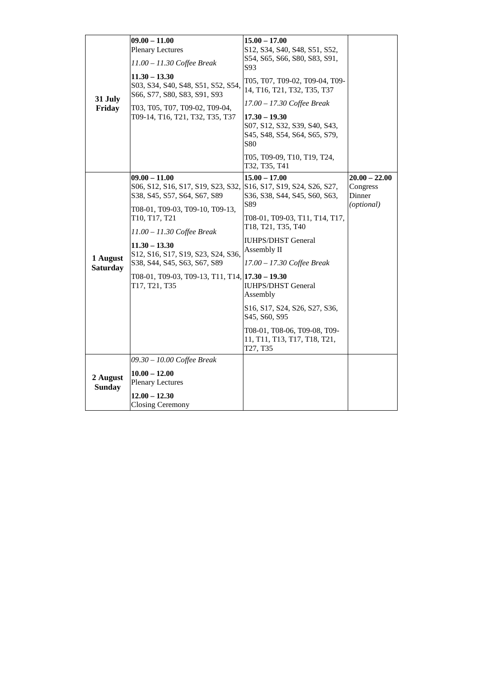|                             | $09.00 - 11.00$                                                                       | $15.00 - 17.00$                                                                                                              |                      |
|-----------------------------|---------------------------------------------------------------------------------------|------------------------------------------------------------------------------------------------------------------------------|----------------------|
|                             | <b>Plenary Lectures</b>                                                               | S12, S34, S40, S48, S51, S52,                                                                                                |                      |
|                             | 11.00 - 11.30 Coffee Break                                                            | S54, S65, S66, S80, S83, S91,<br>S93                                                                                         |                      |
|                             | $11.30 - 13.30$<br>S03, S34, S40, S48, S51, S52, S54,<br>S66, S77, S80, S83, S91, S93 | T05, T07, T09-02, T09-04, T09-<br>14, T16, T21, T32, T35, T37                                                                |                      |
| 31 July<br>Friday           | T03, T05, T07, T09-02, T09-04,                                                        | 17.00 - 17.30 Coffee Break                                                                                                   |                      |
|                             | T09-14, T16, T21, T32, T35, T37                                                       | $17.30 - 19.30$<br>S07, S12, S32, S39, S40, S43,<br>S45, S48, S54, S64, S65, S79,<br><b>S80</b>                              |                      |
|                             |                                                                                       | T05, T09-09, T10, T19, T24,<br>T32, T35, T41                                                                                 |                      |
|                             | $09.00 - 11.00$                                                                       | $15.00 - 17.00$                                                                                                              | $20.00 - 22.00$      |
|                             | S06, S12, S16, S17, S19, S23, S32,                                                    | S16, S17, S19, S24, S26, S27,                                                                                                | Congress             |
|                             | S38, S45, S57, S64, S67, S89                                                          | S36, S38, S44, S45, S60, S63,<br>S89                                                                                         | Dinner<br>(optional) |
|                             | T08-01, T09-03, T09-10, T09-13,<br>T10, T17, T21                                      | T08-01, T09-03, T11, T14, T17,                                                                                               |                      |
|                             | $11.00 - 11.30$ Coffee Break                                                          | T18, T21, T35, T40                                                                                                           |                      |
|                             |                                                                                       | <b>IUHPS/DHST</b> General                                                                                                    |                      |
|                             | $11.30 - 13.30$<br>S12, S16, S17, S19, S23, S24, S36,                                 | Assembly II                                                                                                                  |                      |
| 1 August<br><b>Saturday</b> | S38, S44, S45, S63, S67, S89                                                          | 17.00 - 17.30 Coffee Break                                                                                                   |                      |
|                             | T08-01, T09-03, T09-13, T11, T14, $\left  17.30 - 19.30 \right $<br>T17, T21, T35     | <b>IUHPS/DHST</b> General<br>Assembly                                                                                        |                      |
|                             |                                                                                       | S <sub>16</sub> , S <sub>17</sub> , S <sub>24</sub> , S <sub>26</sub> , S <sub>27</sub> , S <sub>36</sub> ,<br>S45, S60, S95 |                      |
|                             |                                                                                       | T08-01, T08-06, T09-08, T09-<br>11, T11, T13, T17, T18, T21,<br>T27, T35                                                     |                      |
|                             | 09.30 - 10.00 Coffee Break                                                            |                                                                                                                              |                      |
| 2 August<br><b>Sunday</b>   | $10.00 - 12.00$<br><b>Plenary Lectures</b>                                            |                                                                                                                              |                      |
|                             | $12.00 - 12.30$<br><b>Closing Ceremony</b>                                            |                                                                                                                              |                      |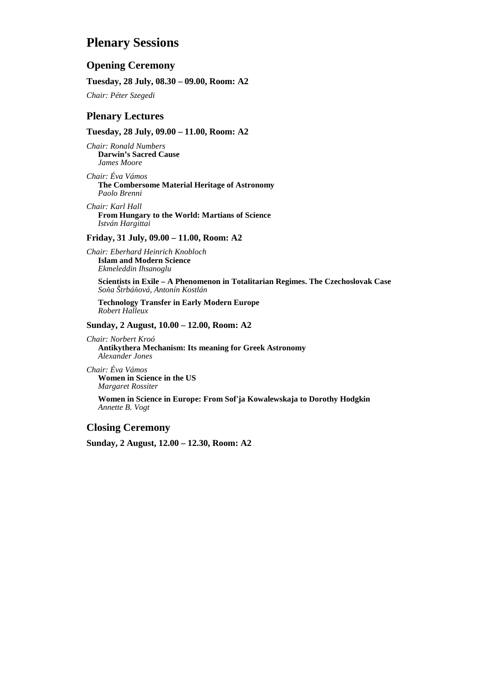## **Plenary Sessions**

#### **Opening Ceremony**

#### **Tuesday, 28 July, 08.30 – 09.00, Room: A2**

*Chair: Péter Szegedi* 

#### **Plenary Lectures**

#### **Tuesday, 28 July, 09.00 – 11.00, Room: A2**

*Chair: Ronald Numbers*  **Darwin's Sacred Cause**  *James Moore* 

*Chair: Éva Vámos*  **The Combersome Material Heritage of Astronomy**  *Paolo Brenni* 

*Chair: Karl Hall*  **From Hungary to the World: Martians of Science**  *István Hargittai* 

#### **Friday, 31 July, 09.00 – 11.00, Room: A2**

*Chair: Eberhard Heinrich Knobloch*  **Islam and Modern Science**  *Ekmeleddin Ihsanoglu* 

**Scientists in Exile – A Phenomenon in Totalitarian Regimes. The Czechoslovak Case**  *Soňa Štrbáňová, Antonín Kostlán* 

**Technology Transfer in Early Modern Europe**  *Robert Halleux* 

#### **Sunday, 2 August, 10.00 – 12.00, Room: A2**

*Chair: Norbert Kroó*  **Antikythera Mechanism: Its meaning for Greek Astronomy**  *Alexander Jones* 

*Chair: Éva Vámos*  **Women in Science in the US**  *Margaret Rossiter* 

**Women in Science in Europe: From Sof'ja Kowalewskaja to Dorothy Hodgkin**  *Annette B. Vogt* 

### **Closing Ceremony**

**Sunday, 2 August, 12.00 – 12.30, Room: A2**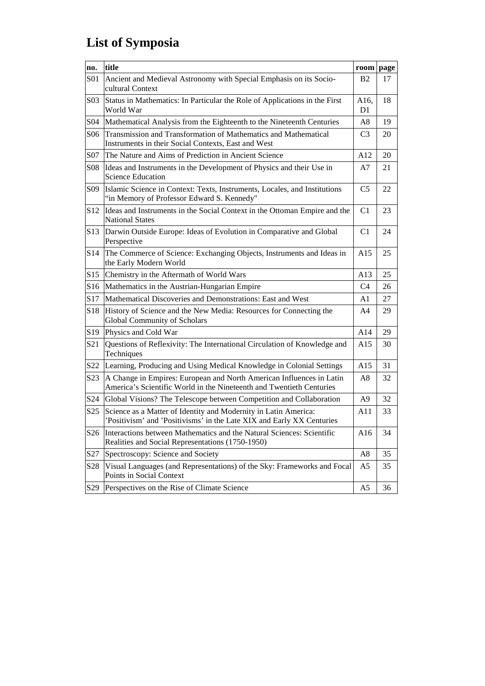## **List of Symposia**

| no.              | title                                                                                                                                        | room           | page |
|------------------|----------------------------------------------------------------------------------------------------------------------------------------------|----------------|------|
| S <sub>0</sub> 1 | Ancient and Medieval Astronomy with Special Emphasis on its Socio-<br>cultural Context                                                       | <b>B2</b>      | 17   |
| S03              | Status in Mathematics: In Particular the Role of Applications in the First<br>World War                                                      | A16,<br>D1     | 18   |
| S04              | Mathematical Analysis from the Eighteenth to the Nineteenth Centuries                                                                        | A8             | 19   |
| S <sub>06</sub>  | Transmission and Transformation of Mathematics and Mathematical<br>Instruments in their Social Contexts, East and West                       | C <sub>3</sub> | 20   |
| S07              | The Nature and Aims of Prediction in Ancient Science                                                                                         | A12            | 20   |
| S08              | Ideas and Instruments in the Development of Physics and their Use in<br><b>Science Education</b>                                             | A7             | 21   |
| S <sub>09</sub>  | Islamic Science in Context: Texts, Instruments, Locales, and Institutions<br>"in Memory of Professor Edward S. Kennedy"                      | C <sub>5</sub> | 22   |
| S <sub>12</sub>  | Ideas and Instruments in the Social Context in the Ottoman Empire and the<br><b>National States</b>                                          | C <sub>1</sub> | 23   |
| S <sub>13</sub>  | Darwin Outside Europe: Ideas of Evolution in Comparative and Global<br>Perspective                                                           | C <sub>1</sub> | 24   |
| S14              | The Commerce of Science: Exchanging Objects, Instruments and Ideas in<br>the Early Modern World                                              | A15            | 25   |
| S15              | Chemistry in the Aftermath of World Wars                                                                                                     | A13            | 25   |
| S <sub>16</sub>  | Mathematics in the Austrian-Hungarian Empire                                                                                                 | C4             | 26   |
| S17              | Mathematical Discoveries and Demonstrations: East and West                                                                                   | A1             | 27   |
| S <sub>18</sub>  | History of Science and the New Media: Resources for Connecting the<br>Global Community of Scholars                                           | A4             | 29   |
| S <sub>19</sub>  | Physics and Cold War                                                                                                                         | A14            | 29   |
| S <sub>21</sub>  | Questions of Reflexivity: The International Circulation of Knowledge and<br>Techniques                                                       | A15            | 30   |
| S22              | Learning, Producing and Using Medical Knowledge in Colonial Settings                                                                         | A15            | 31   |
| S23              | A Change in Empires: European and North American Influences in Latin<br>America's Scientific World in the Nineteenth and Twentieth Centuries | A8             | 32   |
| S <sub>24</sub>  | Global Visions? The Telescope between Competition and Collaboration                                                                          | A9             | 32   |
| S <sub>25</sub>  | Science as a Matter of Identity and Modernity in Latin America:<br>'Positivism' and 'Positivisms' in the Late XIX and Early XX Centuries     | A11            | 33   |
| S <sub>26</sub>  | Interactions between Mathematics and the Natural Sciences: Scientific<br>Realities and Social Representations (1750-1950)                    | A16            | 34   |
| S27              | Spectroscopy: Science and Society                                                                                                            | A <sub>8</sub> | 35   |
| S <sub>28</sub>  | Visual Languages (and Representations) of the Sky: Frameworks and Focal<br>Points in Social Context                                          | A5             | 35   |
| S <sub>29</sub>  | Perspectives on the Rise of Climate Science                                                                                                  | A <sub>5</sub> | 36   |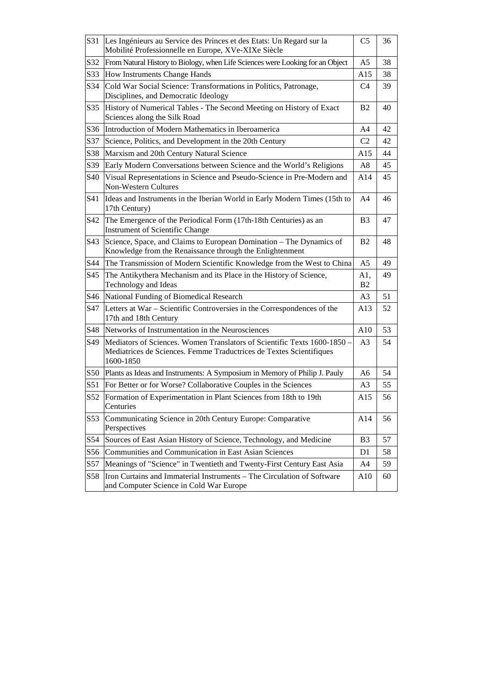| S31             | Les Ingénieurs au Service des Princes et des Etats: Un Regard sur la<br>Mobilité Professionnelle en Europe, XVe-XIXe Siècle                                  | C <sub>5</sub>        | 36 |
|-----------------|--------------------------------------------------------------------------------------------------------------------------------------------------------------|-----------------------|----|
| S32             | From Natural History to Biology, when Life Sciences were Looking for an Object                                                                               | A <sub>5</sub>        | 38 |
| S33             | How Instruments Change Hands                                                                                                                                 | A15                   | 38 |
| S34             | Cold War Social Science: Transformations in Politics, Patronage,<br>Disciplines, and Democratic Ideology                                                     | C <sub>4</sub>        | 39 |
| S35             | History of Numerical Tables - The Second Meeting on History of Exact<br>Sciences along the Silk Road                                                         | B <sub>2</sub>        | 40 |
| S36             | Introduction of Modern Mathematics in Iberoamerica                                                                                                           | A4                    | 42 |
| S37             | Science, Politics, and Development in the 20th Century                                                                                                       | C <sub>2</sub>        | 42 |
| S38             | Marxism and 20th Century Natural Science                                                                                                                     | A15                   | 44 |
| S39             | Early Modern Conversations between Science and the World's Religions                                                                                         | A8                    | 45 |
| S40             | Visual Representations in Science and Pseudo-Science in Pre-Modern and<br><b>Non-Western Cultures</b>                                                        | A14                   | 45 |
| S41             | Ideas and Instruments in the Iberian World in Early Modern Times (15th to<br>17th Century)                                                                   | A4                    | 46 |
| S42             | The Emergence of the Periodical Form (17th-18th Centuries) as an<br><b>Instrument of Scientific Change</b>                                                   | B3                    | 47 |
| S43             | Science, Space, and Claims to European Domination - The Dynamics of<br>Knowledge from the Renaissance through the Enlightenment                              | B <sub>2</sub>        | 48 |
| S44             | The Transmission of Modern Scientific Knowledge from the West to China                                                                                       | A <sub>5</sub>        | 49 |
| S45             | The Antikythera Mechanism and its Place in the History of Science,<br>Technology and Ideas                                                                   | A1,<br>B <sub>2</sub> | 49 |
| S46             | National Funding of Biomedical Research                                                                                                                      | A <sub>3</sub>        | 51 |
| S47             | Letters at War - Scientific Controversies in the Correspondences of the<br>17th and 18th Century                                                             | A13                   | 52 |
| S48             | Networks of Instrumentation in the Neurosciences                                                                                                             | A10                   | 53 |
| S49             | Mediators of Sciences. Women Translators of Scientific Texts 1600-1850 -<br>Mediatrices de Sciences. Femme Traductrices de Textes Scientifiques<br>1600-1850 | A <sub>3</sub>        | 54 |
| S50             | Plants as Ideas and Instruments: A Symposium in Memory of Philip J. Pauly                                                                                    | A6                    | 54 |
| S51             | For Better or for Worse? Collaborative Couples in the Sciences                                                                                               | A3                    | 55 |
| S <sub>52</sub> | Formation of Experimentation in Plant Sciences from 18th to 19th<br>Centuries                                                                                | A15                   | 56 |
| S53             | Communicating Science in 20th Century Europe: Comparative<br>Perspectives                                                                                    | A14                   | 56 |
| S54             | Sources of East Asian History of Science, Technology, and Medicine                                                                                           | B <sub>3</sub>        | 57 |
| S56             | Communities and Communication in East Asian Sciences                                                                                                         | D1                    | 58 |
| S57             | Meanings of "Science" in Twentieth and Twenty-First Century East Asia                                                                                        | A4                    | 59 |
| S58             | Iron Curtains and Immaterial Instruments - The Circulation of Software<br>and Computer Science in Cold War Europe                                            | A10                   | 60 |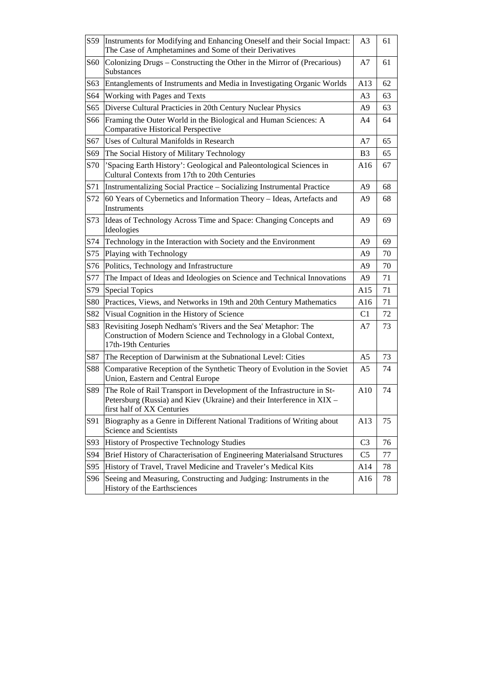| S59             | Instruments for Modifying and Enhancing Oneself and their Social Impact:<br>The Case of Amphetamines and Some of their Derivatives                                             | A <sub>3</sub> | 61 |
|-----------------|--------------------------------------------------------------------------------------------------------------------------------------------------------------------------------|----------------|----|
| <b>S60</b>      | Colonizing Drugs – Constructing the Other in the Mirror of (Precarious)<br>Substances                                                                                          | A7             | 61 |
| S63             | Entanglements of Instruments and Media in Investigating Organic Worlds                                                                                                         | A13            | 62 |
| S <sub>64</sub> | Working with Pages and Texts                                                                                                                                                   | A <sub>3</sub> | 63 |
| S65             | Diverse Cultural Practicies in 20th Century Nuclear Physics                                                                                                                    | A9             | 63 |
| S66             | Framing the Outer World in the Biological and Human Sciences: A<br><b>Comparative Historical Perspective</b>                                                                   | A4             | 64 |
| S67             | Uses of Cultural Manifolds in Research                                                                                                                                         | A7             | 65 |
| S69             | The Social History of Military Technology                                                                                                                                      | B <sub>3</sub> | 65 |
| S70             | 'Spacing Earth History': Geological and Paleontological Sciences in<br>Cultural Contexts from 17th to 20th Centuries                                                           | A16            | 67 |
| S71             | Instrumentalizing Social Practice - Socializing Instrumental Practice                                                                                                          | A9             | 68 |
| S72             | 60 Years of Cybernetics and Information Theory - Ideas, Artefacts and<br>Instruments                                                                                           | A9             | 68 |
| S73             | Ideas of Technology Across Time and Space: Changing Concepts and<br>Ideologies                                                                                                 | A9             | 69 |
| S74             | Technology in the Interaction with Society and the Environment                                                                                                                 | A <sub>9</sub> | 69 |
| S75             | Playing with Technology                                                                                                                                                        | A9             | 70 |
| S76             | Politics, Technology and Infrastructure                                                                                                                                        | A <sub>9</sub> | 70 |
| S77             | The Impact of Ideas and Ideologies on Science and Technical Innovations                                                                                                        | A9             | 71 |
| S79             | <b>Special Topics</b>                                                                                                                                                          | A15            | 71 |
| S80             | Practices, Views, and Networks in 19th and 20th Century Mathematics                                                                                                            | A16            | 71 |
| S82             | Visual Cognition in the History of Science                                                                                                                                     | C <sub>1</sub> | 72 |
| S83             | Revisiting Joseph Nedham's 'Rivers and the Sea' Metaphor: The<br>Construction of Modern Science and Technology in a Global Context,<br>17th-19th Centuries                     | A7             | 73 |
| S87             | The Reception of Darwinism at the Subnational Level: Cities                                                                                                                    | A <sub>5</sub> | 73 |
| S88             | Comparative Reception of the Synthetic Theory of Evolution in the Soviet<br>Union, Eastern and Central Europe                                                                  | A5             | 74 |
| S89             | The Role of Rail Transport in Development of the Infrastructure in St-<br>Petersburg (Russia) and Kiev (Ukraine) and their Interference in XIX -<br>first half of XX Centuries | A10            | 74 |
| S91             | Biography as a Genre in Different National Traditions of Writing about<br>Science and Scientists                                                                               | A13            | 75 |
| S93             | History of Prospective Technology Studies                                                                                                                                      | C <sub>3</sub> | 76 |
| S94             | Brief History of Characterisation of Engineering Materialsand Structures                                                                                                       | C <sub>5</sub> | 77 |
| S95             | History of Travel, Travel Medicine and Traveler's Medical Kits                                                                                                                 | A14            | 78 |
| S96             | Seeing and Measuring, Constructing and Judging: Instruments in the<br>History of the Earthsciences                                                                             | A16            | 78 |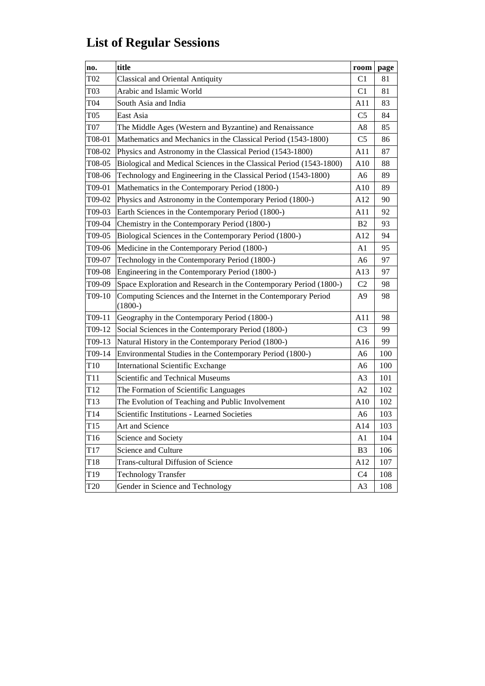## **List of Regular Sessions**

| no.             | title                                                                       | room            | page |
|-----------------|-----------------------------------------------------------------------------|-----------------|------|
| T <sub>02</sub> | <b>Classical and Oriental Antiquity</b>                                     | C <sub>1</sub>  | 81   |
| T03             | Arabic and Islamic World                                                    | C <sub>1</sub>  | 81   |
| T04             | South Asia and India                                                        | A11             | 83   |
| <b>T05</b>      | East Asia                                                                   | C <sub>5</sub>  | 84   |
| <b>T07</b>      | The Middle Ages (Western and Byzantine) and Renaissance                     | A8              | 85   |
| T08-01          | Mathematics and Mechanics in the Classical Period (1543-1800)               | C <sub>5</sub>  | 86   |
| T08-02          | Physics and Astronomy in the Classical Period (1543-1800)                   | A11             | 87   |
| T08-05          | Biological and Medical Sciences in the Classical Period (1543-1800)         | A10             | 88   |
| T08-06          | Technology and Engineering in the Classical Period (1543-1800)              | A6              | 89   |
| T09-01          | Mathematics in the Contemporary Period (1800-)                              | A10             | 89   |
| T09-02          | Physics and Astronomy in the Contemporary Period (1800-)                    | A12             | 90   |
| T09-03          | Earth Sciences in the Contemporary Period (1800-)                           | A11             | 92   |
| T09-04          | Chemistry in the Contemporary Period (1800-)                                | B <sub>2</sub>  | 93   |
| T09-05          | Biological Sciences in the Contemporary Period (1800-)                      | A12             | 94   |
| T09-06          | Medicine in the Contemporary Period (1800-)                                 | A <sub>1</sub>  | 95   |
| T09-07          | Technology in the Contemporary Period (1800-)                               | A <sub>6</sub>  | 97   |
| T09-08          | Engineering in the Contemporary Period (1800-)                              | A <sub>13</sub> | 97   |
| T09-09          | Space Exploration and Research in the Contemporary Period (1800-)           | C <sub>2</sub>  | 98   |
| T09-10          | Computing Sciences and the Internet in the Contemporary Period<br>$(1800-)$ | A9              | 98   |
| T09-11          | Geography in the Contemporary Period (1800-)                                | A11             | 98   |
| T09-12          | Social Sciences in the Contemporary Period (1800-)                          | C <sub>3</sub>  | 99   |
| T09-13          | Natural History in the Contemporary Period (1800-)                          | A16             | 99   |
| T09-14          | Environmental Studies in the Contemporary Period (1800-)                    | A6              | 100  |
| T <sub>10</sub> | <b>International Scientific Exchange</b>                                    | A6              | 100  |
| T11             | Scientific and Technical Museums                                            | A <sub>3</sub>  | 101  |
| T <sub>12</sub> | The Formation of Scientific Languages                                       | A <sub>2</sub>  | 102  |
| T13             | The Evolution of Teaching and Public Involvement                            | A10             | 102  |
| T <sub>14</sub> | Scientific Institutions - Learned Societies                                 | A6              | 103  |
| T <sub>15</sub> | Art and Science                                                             | A14             | 103  |
| T <sub>16</sub> | Science and Society                                                         | A1              | 104  |
| T17             | Science and Culture                                                         | B <sub>3</sub>  | 106  |
| T18             | Trans-cultural Diffusion of Science                                         | A12             | 107  |
| T19             | <b>Technology Transfer</b>                                                  | C <sub>4</sub>  | 108  |
| T <sub>20</sub> | Gender in Science and Technology                                            | A3              | 108  |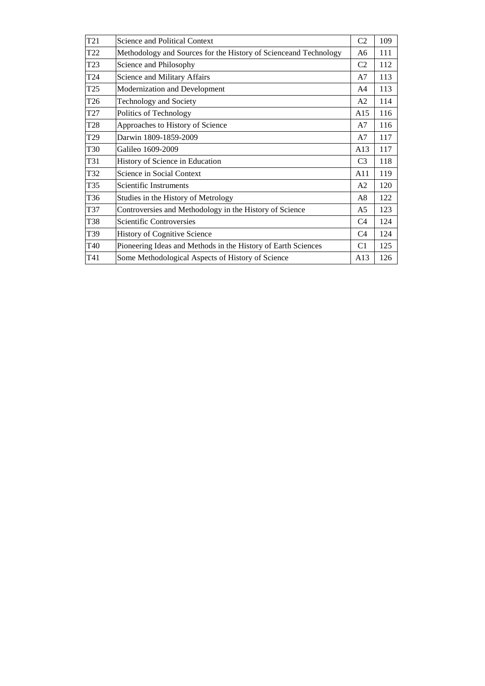| T <sub>21</sub> | Science and Political Context                                    | C <sub>2</sub> | 109 |
|-----------------|------------------------------------------------------------------|----------------|-----|
| T <sub>22</sub> | Methodology and Sources for the History of Scienceand Technology | A6             | 111 |
| T <sub>23</sub> | Science and Philosophy                                           | C <sub>2</sub> | 112 |
| T <sub>24</sub> | Science and Military Affairs                                     | A7             | 113 |
| T <sub>25</sub> | Modernization and Development                                    | A <sub>4</sub> | 113 |
| T26             | Technology and Society                                           | A <sub>2</sub> | 114 |
| T27             | Politics of Technology                                           | A15            | 116 |
| T <sub>28</sub> | Approaches to History of Science                                 | A7             | 116 |
| T <sub>29</sub> | Darwin 1809-1859-2009                                            | A <sub>7</sub> | 117 |
| T30             | Galileo 1609-2009                                                | A13            | 117 |
| T31             | History of Science in Education                                  | C <sub>3</sub> | 118 |
| T32             | Science in Social Context                                        | A11            | 119 |
| T35             | Scientific Instruments                                           | A <sub>2</sub> | 120 |
| T36             | Studies in the History of Metrology                              | A8             | 122 |
| T37             | Controversies and Methodology in the History of Science          | A5             | 123 |
| T38             | <b>Scientific Controversies</b>                                  | C <sub>4</sub> | 124 |
| T39             | <b>History of Cognitive Science</b>                              | C <sub>4</sub> | 124 |
| T40             | Pioneering Ideas and Methods in the History of Earth Sciences    | C <sub>1</sub> | 125 |
| T41             | Some Methodological Aspects of History of Science                | A13            | 126 |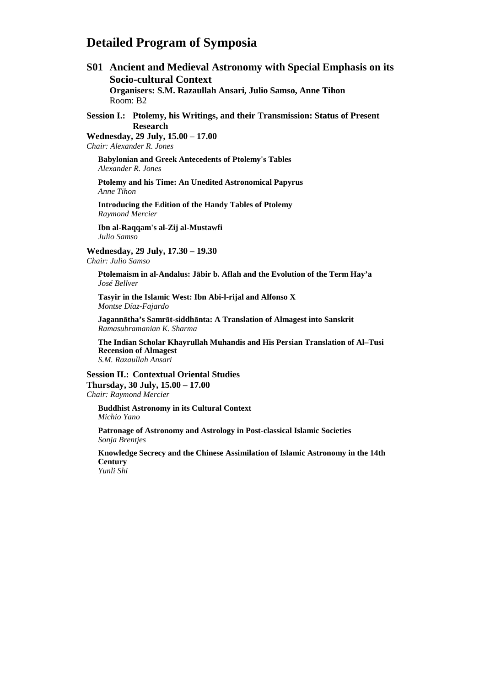## **Detailed Program of Symposia**

**S01 Ancient and Medieval Astronomy with Special Emphasis on its Socio-cultural Context Organisers: S.M. Razaullah Ansari, Julio Samso, Anne Tihon**  Room: B2 **Session I.: Ptolemy, his Writings, and their Transmission: Status of Present Research Wednesday, 29 July, 15.00 – 17.00**  *Chair: Alexander R. Jones*  **Babylonian and Greek Antecedents of Ptolemy's Tables**  *Alexander R. Jones*  **Ptolemy and his Time: An Unedited Astronomical Papyrus**  *Anne Tihon*  **Introducing the Edition of the Handy Tables of Ptolemy**  *Raymond Mercier*  **Ibn al-Raqqam's al-Zij al-Mustawfi**  *Julio Samso*  **Wednesday, 29 July, 17.30 – 19.30**  *Chair: Julio Samso*  **Ptolemaism in al-Andalus: Jābir b. Aflah and the Evolution of the Term Hay'a**  *José Bellver*  **Tasyir in the Islamic West: Ibn Abi-l-rijal and Alfonso X**  *Montse Díaz-Fajardo* 

**Jagannātha's Samrāt-siddhānta: A Translation of Almagest into Sanskrit**  *Ramasubramanian K. Sharma* 

**The Indian Scholar Khayrullah Muhandis and His Persian Translation of Al–Tusi Recension of Almagest**  *S.M. Razaullah Ansari* 

**Session II.: Contextual Oriental Studies Thursday, 30 July, 15.00 – 17.00**  *Chair: Raymond Mercier* 

**Buddhist Astronomy in its Cultural Context**  *Michio Yano* 

**Patronage of Astronomy and Astrology in Post-classical Islamic Societies**  *Sonja Brentjes* 

**Knowledge Secrecy and the Chinese Assimilation of Islamic Astronomy in the 14th Century** 

*Yunli Shi*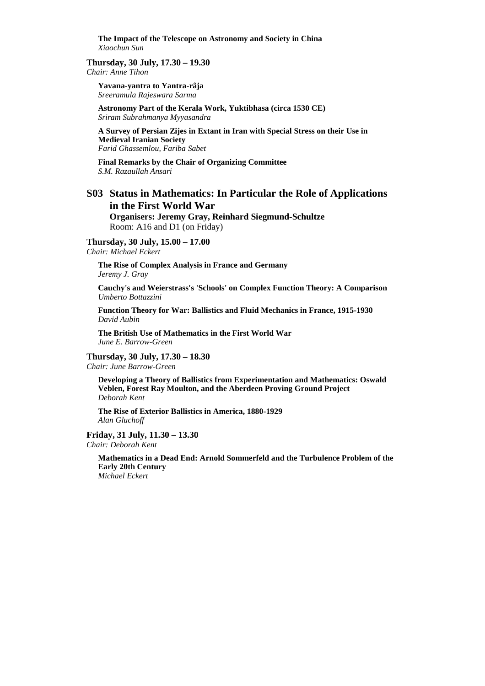**The Impact of the Telescope on Astronomy and Society in China**  *Xiaochun Sun* 

#### **Thursday, 30 July, 17.30 – 19.30**

*Chair: Anne Tihon* 

**Yavana-yantra to Yantra-râja**  *Sreeramula Rajeswara Sarma* 

**Astronomy Part of the Kerala Work, Yuktibhasa (circa 1530 CE)**  *Sriram Subrahmanya Myyasandra* 

**A Survey of Persian Zijes in Extant in Iran with Special Stress on their Use in Medieval Iranian Society**  *Farid Ghassemlou, Fariba Sabet* 

**Final Remarks by the Chair of Organizing Committee**  *S.M. Razaullah Ansari* 

## **S03 Status in Mathematics: In Particular the Role of Applications in the First World War**

**Organisers: Jeremy Gray, Reinhard Siegmund-Schultze** Room: A16 and D1 (on Friday)

**Thursday, 30 July, 15.00 – 17.00** 

*Chair: Michael Eckert* 

**The Rise of Complex Analysis in France and Germany**  *Jeremy J. Gray* 

**Cauchy's and Weierstrass's 'Schools' on Complex Function Theory: A Comparison**  *Umberto Bottazzini* 

**Function Theory for War: Ballistics and Fluid Mechanics in France, 1915-1930**  *David Aubin* 

**The British Use of Mathematics in the First World War**  *June E. Barrow-Green* 

#### **Thursday, 30 July, 17.30 – 18.30**

*Chair: June Barrow-Green* 

**Developing a Theory of Ballistics from Experimentation and Mathematics: Oswald Veblen, Forest Ray Moulton, and the Aberdeen Proving Ground Project**  *Deborah Kent* 

**The Rise of Exterior Ballistics in America, 1880-1929** *Alan Gluchoff* 

**Friday, 31 July, 11.30 – 13.30**  *Chair: Deborah Kent* 

> **Mathematics in a Dead End: Arnold Sommerfeld and the Turbulence Problem of the Early 20th Century**  *Michael Eckert*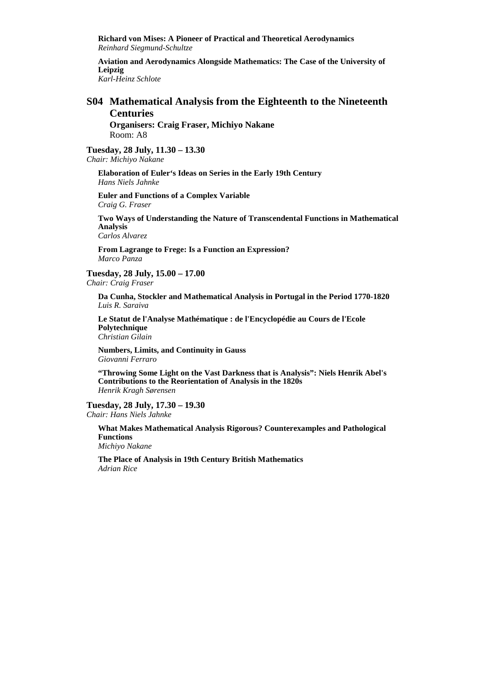**Richard von Mises: A Pioneer of Practical and Theoretical Aerodynamics**  *Reinhard Siegmund-Schultze* 

**Aviation and Aerodynamics Alongside Mathematics: The Case of the University of Leipzig** 

*Karl-Heinz Schlote* 

#### **S04 Mathematical Analysis from the Eighteenth to the Nineteenth Centuries**

**Organisers: Craig Fraser, Michiyo Nakane**  Room: A8

**Tuesday, 28 July, 11.30 – 13.30** 

*Chair: Michiyo Nakane* 

**Elaboration of Euler's Ideas on Series in the Early 19th Century**  *Hans Niels Jahnke* 

**Euler and Functions of a Complex Variable**  *Craig G. Fraser* 

**Two Ways of Understanding the Nature of Transcendental Functions in Mathematical Analysis** 

*Carlos Alvarez* 

**From Lagrange to Frege: Is a Function an Expression?**  *Marco Panza* 

**Tuesday, 28 July, 15.00 – 17.00**  *Chair: Craig Fraser* 

**Da Cunha, Stockler and Mathematical Analysis in Portugal in the Period 1770-1820**  *Luis R. Saraiva* 

**Le Statut de l'Analyse Mathématique : de l'Encyclopédie au Cours de l'Ecole Polytechnique**  *Christian Gilain* 

**Numbers, Limits, and Continuity in Gauss**  *Giovanni Ferraro* 

**"Throwing Some Light on the Vast Darkness that is Analysis": Niels Henrik Abel's Contributions to the Reorientation of Analysis in the 1820s**  *Henrik Kragh Sørensen* 

**Tuesday, 28 July, 17.30 – 19.30**  *Chair: Hans Niels Jahnke* 

**What Makes Mathematical Analysis Rigorous? Counterexamples and Pathological Functions**  *Michiyo Nakane* 

**The Place of Analysis in 19th Century British Mathematics**  *Adrian Rice*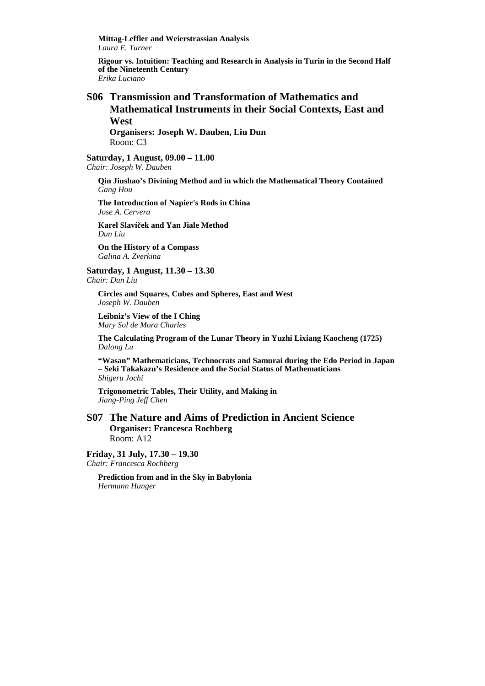**Mittag-Leffler and Weierstrassian Analysis**  *Laura E. Turner* 

**Rigour vs. Intuition: Teaching and Research in Analysis in Turin in the Second Half of the Nineteenth Century**  *Erika Luciano* 

### **S06 Transmission and Transformation of Mathematics and Mathematical Instruments in their Social Contexts, East and West**

**Organisers: Joseph W. Dauben, Liu Dun**  Room: C3

**Saturday, 1 August, 09.00 – 11.00**  *Chair: Joseph W. Dauben* 

**Qin Jiushao's Divining Method and in which the Mathematical Theory Contained**  *Gang Hou* 

**The Introduction of Napier's Rods in China**  *Jose A. Cervera* 

**Karel Slavíček and Yan Jiale Method**  *Dun Liu* 

**On the History of a Compass**  *Galina A. Zverkina* 

**Saturday, 1 August, 11.30 – 13.30**  *Chair: Dun Liu* 

**Circles and Squares, Cubes and Spheres, East and West**  *Joseph W. Dauben* 

**Leibniz's View of the I Ching**  *Mary Sol de Mora Charles* 

**The Calculating Program of the Lunar Theory in Yuzhi Lixiang Kaocheng (1725)**  *Dalong Lu* 

**"Wasan" Mathematicians, Technocrats and Samurai during the Edo Period in Japan – Seki Takakazu's Residence and the Social Status of Mathematicians**  *Shigeru Jochi* 

**Trigonometric Tables, Their Utility, and Making in**  *Jiang-Ping Jeff Chen* 

#### **S07 The Nature and Aims of Prediction in Ancient Science Organiser: Francesca Rochberg**  Room: A12

**Friday, 31 July, 17.30 – 19.30**  *Chair: Francesca Rochberg* 

> **Prediction from and in the Sky in Babylonia**  *Hermann Hunger*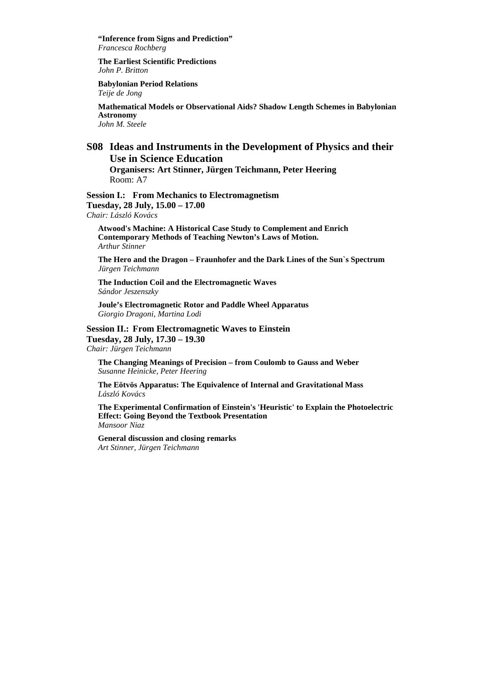**"Inference from Signs and Prediction"**  *Francesca Rochberg* 

**The Earliest Scientific Predictions**  *John P. Britton* 

**Babylonian Period Relations**  *Teije de Jong* 

**Mathematical Models or Observational Aids? Shadow Length Schemes in Babylonian Astronomy**  *John M. Steele* 

## **S08 Ideas and Instruments in the Development of Physics and their Use in Science Education**

**Organisers: Art Stinner, Jürgen Teichmann, Peter Heering**  Room: A7

**Session I.: From Mechanics to Electromagnetism Tuesday, 28 July, 15.00 – 17.00**  *Chair: László Kovács* 

**Atwood's Machine: A Historical Case Study to Complement and Enrich Contemporary Methods of Teaching Newton's Laws of Motion.** *Arthur Stinner* 

**The Hero and the Dragon – Fraunhofer and the Dark Lines of the Sun`s Spectrum**  *Jürgen Teichmann* 

**The Induction Coil and the Electromagnetic Waves**  *Sándor Jeszenszky* 

**Joule's Electromagnetic Rotor and Paddle Wheel Apparatus**  *Giorgio Dragoni, Martina Lodi* 

**Session II.: From Electromagnetic Waves to Einstein Tuesday, 28 July, 17.30 – 19.30** 

*Chair: Jürgen Teichmann* 

**The Changing Meanings of Precision – from Coulomb to Gauss and Weber**  *Susanne Heinicke, Peter Heering* 

**The Eötvös Apparatus: The Equivalence of Internal and Gravitational Mass**  *László Kovács* 

**The Experimental Confirmation of Einstein's 'Heuristic' to Explain the Photoelectric Effect: Going Beyond the Textbook Presentation**  *Mansoor Niaz* 

**General discussion and closing remarks**  *Art Stinner, Jürgen Teichmann*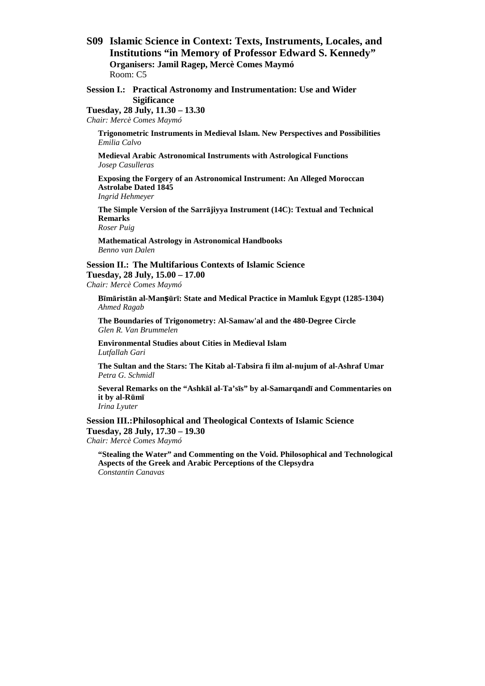**S09 Islamic Science in Context: Texts, Instruments, Locales, and Institutions "in Memory of Professor Edward S. Kennedy" Organisers: Jamil Ragep, Mercè Comes Maymó**  Room: C5

**Session I.: Practical Astronomy and Instrumentation: Use and Wider Sigificance** 

**Tuesday, 28 July, 11.30 – 13.30**  *Chair: Mercè Comes Maymó* 

**Trigonometric Instruments in Medieval Islam. New Perspectives and Possibilities**  *Emilia Calvo* 

**Medieval Arabic Astronomical Instruments with Astrological Functions**  *Josep Casulleras* 

**Exposing the Forgery of an Astronomical Instrument: An Alleged Moroccan Astrolabe Dated 1845**  *Ingrid Hehmeyer* 

**The Simple Version of the Sarrājiyya Instrument (14C): Textual and Technical Remarks** 

*Roser Puig* 

**Mathematical Astrology in Astronomical Handbooks**  *Benno van Dalen* 

**Session II.: The Multifarious Contexts of Islamic Science Tuesday, 28 July, 15.00 – 17.00**  *Chair: Mercè Comes Maymó* 

**Bīmāristān al-Manṣūrī: State and Medical Practice in Mamluk Egypt (1285-1304)** *Ahmed Ragab* 

**The Boundaries of Trigonometry: Al-Samaw'al and the 480-Degree Circle** *Glen R. Van Brummelen* 

**Environmental Studies about Cities in Medieval Islam**  *Lutfallah Gari* 

**The Sultan and the Stars: The Kitab al-Tabsira fi ilm al-nujum of al-Ashraf Umar**  *Petra G. Schmidl* 

**Several Remarks on the "Ashkāl al-Ta'sīs" by al-Samarqandī and Commentaries on it by al-Rūmī** *Irina Lyuter* 

**Session III.: Philosophical and Theological Contexts of Islamic Science** 

**Tuesday, 28 July, 17.30 – 19.30** 

*Chair: Mercè Comes Maymó* 

**"Stealing the Water" and Commenting on the Void. Philosophical and Technological Aspects of the Greek and Arabic Perceptions of the Clepsydra** *Constantin Canavas*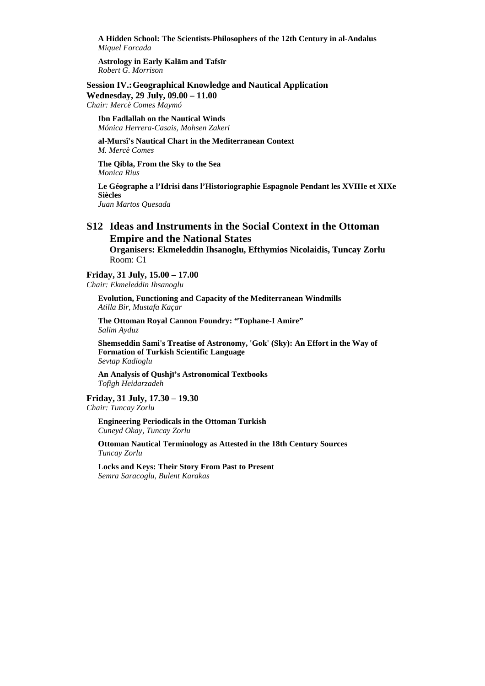**A Hidden School: The Scientists-Philosophers of the 12th Century in al-Andalus** *Miquel Forcada* 

**Astrology in Early Kalām and Tafsīr** *Robert G. Morrison* 

**Session IV.: Geographical Knowledge and Nautical Application** 

**Wednesday, 29 July, 09.00 – 11.00**  *Chair: Mercè Comes Maymó* 

**Ibn Fadlallah on the Nautical Winds**  *Mónica Herrera-Casais, Mohsen Zakeri* 

**al-Mursî's Nautical Chart in the Mediterranean Context**  *M. Mercè Comes* 

**The Qibla, From the Sky to the Sea**  *Monica Rius* 

**Le Géographe a l'Idrisi dans l'Historiographie Espagnole Pendant les XVIIIe et XIXe Siècles** 

*Juan Martos Quesada* 

## **S12 Ideas and Instruments in the Social Context in the Ottoman Empire and the National States**

**Organisers: Ekmeleddin Ihsanoglu, Efthymios Nicolaidis, Tuncay Zorlu**  Room: C1

#### **Friday, 31 July, 15.00 – 17.00**

*Chair: Ekmeleddin Ihsanoglu* 

**Evolution, Functioning and Capacity of the Mediterranean Windmills**  *Atilla Bir, Mustafa Kaçar* 

**The Ottoman Royal Cannon Foundry: "Tophane-I Amire"** *Salim Ayduz* 

**Shemseddin Sami's Treatise of Astronomy, 'Gok' (Sky): An Effort in the Way of Formation of Turkish Scientific Language**  *Sevtap Kadioglu* 

**An Analysis of Qushjī's Astronomical Textbooks**  *Tofigh Heidarzadeh* 

**Friday, 31 July, 17.30 – 19.30**  *Chair: Tuncay Zorlu* 

**Engineering Periodicals in the Ottoman Turkish**  *Cuneyd Okay, Tuncay Zorlu* 

**Ottoman Nautical Terminology as Attested in the 18th Century Sources**  *Tuncay Zorlu* 

**Locks and Keys: Their Story From Past to Present**  *Semra Saracoglu, Bulent Karakas*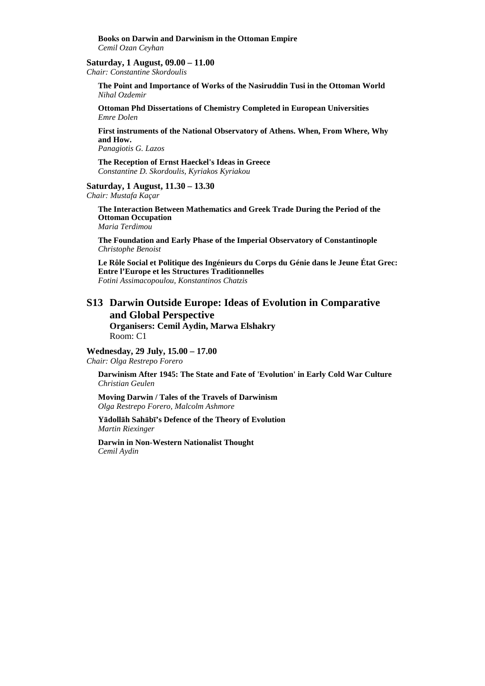**Books on Darwin and Darwinism in the Ottoman Empire** *Cemil Ozan Ceyhan* 

#### **Saturday, 1 August, 09.00 – 11.00**

*Chair: Constantine Skordoulis* 

**The Point and Importance of Works of the Nasiruddin Tusi in the Ottoman World**  *Nihal Ozdemir* 

**Ottoman Phd Dissertations of Chemistry Completed in European Universities**  *Emre Dolen* 

**First instruments of the National Observatory of Athens. When, From Where, Why and How.** 

*Panagiotis G. Lazos* 

**The Reception of Ernst Haeckel's Ideas in Greece**  *Constantine D. Skordoulis, Kyriakos Kyriakou* 

#### **Saturday, 1 August, 11.30 – 13.30**

*Chair: Mustafa Kaçar* 

**The Interaction Between Mathematics and Greek Trade During the Period of the Ottoman Occupation**  *Maria Terdimou* 

**The Foundation and Early Phase of the Imperial Observatory of Constantinople**  *Christophe Benoist* 

**Le Rôle Social et Politique des Ingénieurs du Corps du Génie dans le Jeune État Grec: Entre l'Europe et les Structures Traditionnelles**  *Fotini Assimacopoulou, Konstantinos Chatzis* 

## **S13 Darwin Outside Europe: Ideas of Evolution in Comparative and Global Perspective**

**Organisers: Cemil Aydin, Marwa Elshakry**  Room: C1

#### **Wednesday, 29 July, 15.00 – 17.00**

*Chair: Olga Restrepo Forero* 

**Darwinism After 1945: The State and Fate of 'Evolution' in Early Cold War Culture**  *Christian Geulen* 

**Moving Darwin / Tales of the Travels of Darwinism**  *Olga Restrepo Forero, Malcolm Ashmore* 

**Yādollāh Sahābī's Defence of the Theory of Evolution**  *Martin Riexinger* 

**Darwin in Non-Western Nationalist Thought**  *Cemil Aydin*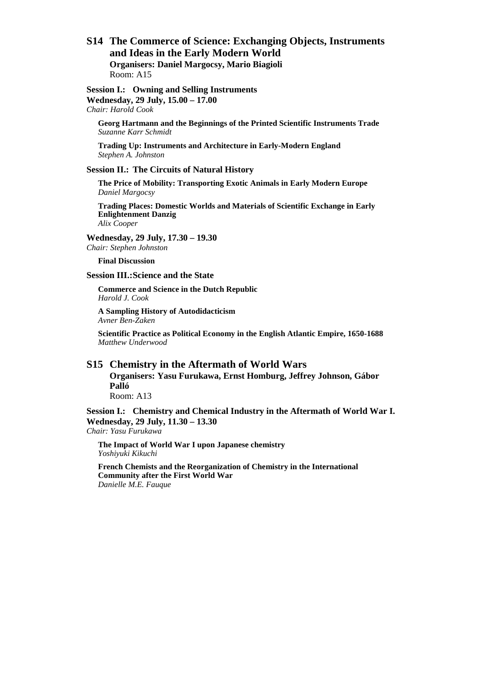#### **S14 The Commerce of Science: Exchanging Objects, Instruments and Ideas in the Early Modern World Organisers: Daniel Margocsy, Mario Biagioli**  Room: A15

#### **Session I.: Owning and Selling Instruments Wednesday, 29 July, 15.00 – 17.00**

*Chair: Harold Cook* 

**Georg Hartmann and the Beginnings of the Printed Scientific Instruments Trade**  *Suzanne Karr Schmidt* 

**Trading Up: Instruments and Architecture in Early-Modern England**  *Stephen A. Johnston* 

#### **Session II.: The Circuits of Natural History**

**The Price of Mobility: Transporting Exotic Animals in Early Modern Europe**  *Daniel Margocsy* 

**Trading Places: Domestic Worlds and Materials of Scientific Exchange in Early Enlightenment Danzig**  *Alix Cooper* 

**Wednesday, 29 July, 17.30 – 19.30** 

*Chair: Stephen Johnston* 

**Final Discussion** 

#### **Session III.: Science and the State**

**Commerce and Science in the Dutch Republic**  *Harold J. Cook* 

**A Sampling History of Autodidacticism**  *Avner Ben-Zaken* 

**Scientific Practice as Political Economy in the English Atlantic Empire, 1650-1688**  *Matthew Underwood* 

## **S15 Chemistry in the Aftermath of World Wars**

**Organisers: Yasu Furukawa, Ernst Homburg, Jeffrey Johnson, Gábor Palló**  Room: A13

**Session I.: Chemistry and Chemical Industry in the Aftermath of World War I. Wednesday, 29 July, 11.30 – 13.30**  *Chair: Yasu Furukawa* 

**The Impact of World War I upon Japanese chemistry**  *Yoshiyuki Kikuchi* 

**French Chemists and the Reorganization of Chemistry in the International Community after the First World War**  *Danielle M.E. Fauque*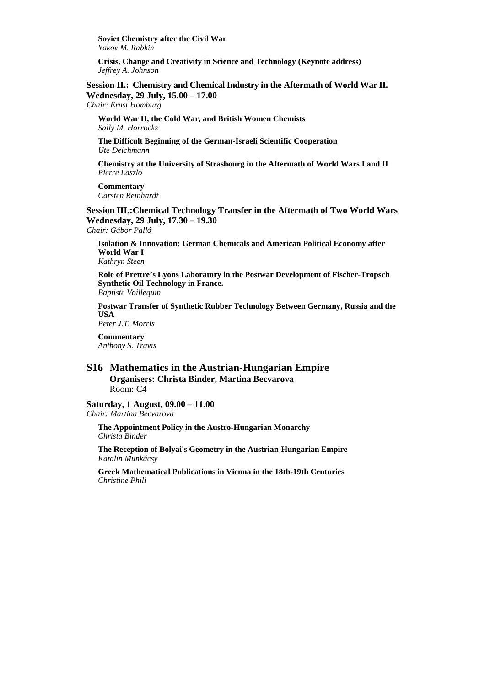**Soviet Chemistry after the Civil War**  *Yakov M. Rabkin* 

**Crisis, Change and Creativity in Science and Technology (Keynote address)**  *Jeffrey A. Johnson* 

**Session II.: Chemistry and Chemical Industry in the Aftermath of World War II. Wednesday, 29 July, 15.00 – 17.00** 

*Chair: Ernst Homburg* 

**World War II, the Cold War, and British Women Chemists** *Sally M. Horrocks* 

**The Difficult Beginning of the German-Israeli Scientific Cooperation** *Ute Deichmann* 

**Chemistry at the University of Strasbourg in the Aftermath of World Wars I and II** *Pierre Laszlo* 

**Commentary** *Carsten Reinhardt* 

**Session III.: Chemical Technology Transfer in the Aftermath of Two World Wars Wednesday, 29 July, 17.30 – 19.30** 

*Chair: Gábor Palló* 

**Isolation & Innovation: German Chemicals and American Political Economy after World War I**  *Kathryn Steen* 

**Role of Prettre's Lyons Laboratory in the Postwar Development of Fischer-Tropsch Synthetic Oil Technology in France.** 

*Baptiste Voillequin* 

**Postwar Transfer of Synthetic Rubber Technology Between Germany, Russia and the USA** 

*Peter J.T. Morris* 

**Commentary**  *Anthony S. Travis* 

#### **S16 Mathematics in the Austrian-Hungarian Empire Organisers: Christa Binder, Martina Becvarova**  Room: C4

#### **Saturday, 1 August, 09.00 – 11.00**

*Chair: Martina Becvarova* 

**The Appointment Policy in the Austro-Hungarian Monarchy**  *Christa Binder* 

**The Reception of Bolyai's Geometry in the Austrian-Hungarian Empire**  *Katalin Munkácsy* 

**Greek Mathematical Publications in Vienna in the 18th-19th Centuries**  *Christine Phili*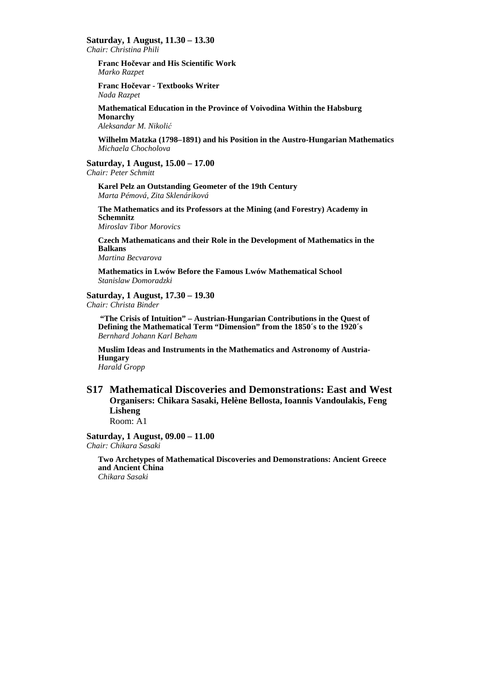**Saturday, 1 August, 11.30 – 13.30** 

*Chair: Christina Phili* 

**Franc Hočevar and His Scientific Work**  *Marko Razpet* 

**Franc Hočevar - Textbooks Writer**  *Nada Razpet* 

**Mathematical Education in the Province of Voivodina Within the Habsburg Monarchy** 

*Aleksandar M. Nikolić*

**Wilhelm Matzka (1798–1891) and his Position in the Austro-Hungarian Mathematics**  *Michaela Chocholova* 

#### **Saturday, 1 August, 15.00 – 17.00**

*Chair: Peter Schmitt* 

**Karel Pelz an Outstanding Geometer of the 19th Century**  *Marta Pémová, Zita Sklenáriková* 

**The Mathematics and its Professors at the Mining (and Forestry) Academy in Schemnitz**  *Miroslav Tibor Morovics* 

**Czech Mathematicans and their Role in the Development of Mathematics in the Balkans**  *Martina Becvarova* 

**Mathematics in Lwów Before the Famous Lwów Mathematical School**  *Stanislaw Domoradzki* 

#### **Saturday, 1 August, 17.30 – 19.30**

*Chair: Christa Binder* 

 **"The Crisis of Intuition" – Austrian-Hungarian Contributions in the Quest of Defining the Mathematical Term "Dimension" from the 1850´s to the 1920´s**  *Bernhard Johann Karl Beham* 

**Muslim Ideas and Instruments in the Mathematics and Astronomy of Austria-Hungary** 

## *Harald Gropp*

## **S17 Mathematical Discoveries and Demonstrations: East and West Organisers: Chikara Sasaki, Helène Bellosta, Ioannis Vandoulakis, Feng Lisheng**

Room: A1

**Saturday, 1 August, 09.00 – 11.00**  *Chair: Chikara Sasaki* 

**Two Archetypes of Mathematical Discoveries and Demonstrations: Ancient Greece and Ancient China**  *Chikara Sasaki*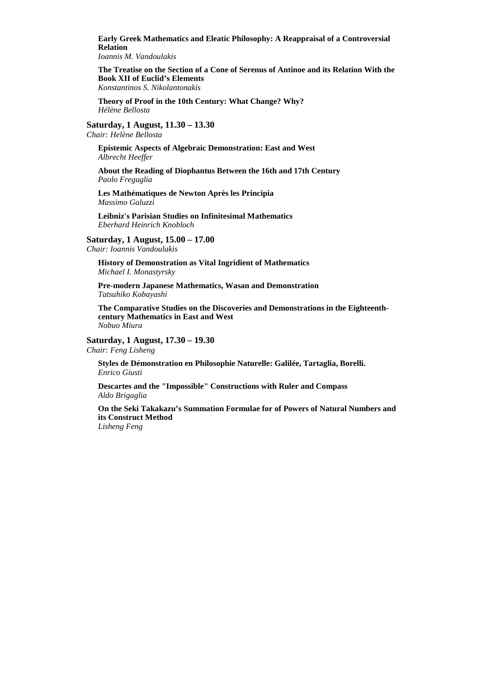**Early Greek Mathematics and Eleatic Philosophy: A Reappraisal of a Controversial Relation** 

*Ioannis M. Vandoulakis* 

**The Treatise on the Section of a Cone of Serenus of Antinoe and its Relation With the Book XII of Euclid's Elements**  *Konstantinos S. Nikolantonakis* 

**Theory of Proof in the 10th Century: What Change? Why?**  *Hélène Bellosta* 

**Saturday, 1 August, 11.30 – 13.30**  *Chair: Helène Bellosta* 

**Epistemic Aspects of Algebraic Demonstration: East and West**  *Albrecht Heeffer* 

**About the Reading of Diophantus Between the 16th and 17th Century**  *Paolo Freguglia* 

**Les Mathématiques de Newton Après les Principia**  *Massimo Galuzzi* 

**Leibniz's Parisian Studies on Infinitesimal Mathematics**  *Eberhard Heinrich Knobloch* 

**Saturday, 1 August, 15.00 – 17.00**  *Chair: Ioannis Vandoulakis* 

**History of Demonstration as Vital Ingridient of Mathematics**  *Michael I. Monastyrsky* 

**Pre-modern Japanese Mathematics, Wasan and Demonstration**  *Tatsuhiko Kobayashi* 

**The Comparative Studies on the Discoveries and Demonstrations in the Eighteenthcentury Mathematics in East and West**  *Nobuo Miura* 

**Saturday, 1 August, 17.30 – 19.30** 

*Chair: Feng Lisheng* 

**Styles de Démonstration en Philosophie Naturelle: Galilée, Tartaglia, Borelli.**  *Enrico Giusti* 

**Descartes and the "Impossible" Constructions with Ruler and Compass**  *Aldo Brigaglia* 

**On the Seki Takakazu's Summation Formulae for of Powers of Natural Numbers and its Construct Method**  *Lisheng Feng*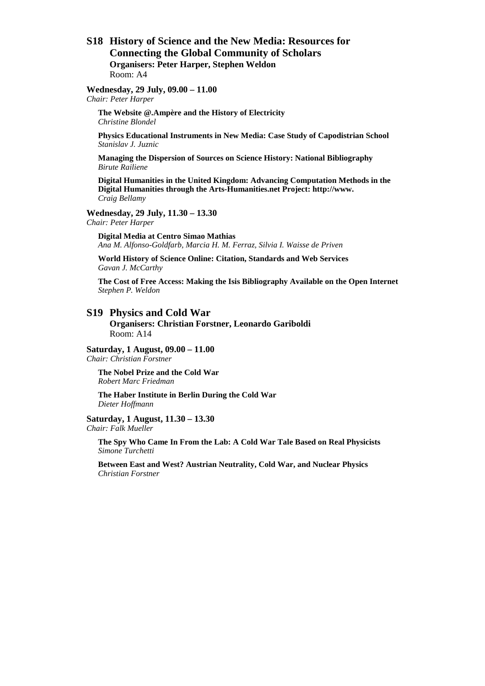#### **S18 History of Science and the New Media: Resources for Connecting the Global Community of Scholars Organisers: Peter Harper, Stephen Weldon**  Room: A4

## **Wednesday, 29 July, 09.00 – 11.00**

*Chair: Peter Harper* 

**The Website @.Ampère and the History of Electricity** *Christine Blondel* 

**Physics Educational Instruments in New Media: Case Study of Capodistrian School**  *Stanislav J. Juznic* 

**Managing the Dispersion of Sources on Science History: National Bibliography**  *Birute Railiene* 

**Digital Humanities in the United Kingdom: Advancing Computation Methods in the Digital Humanities through the Arts-Humanities.net Project: http://www.**  *Craig Bellamy* 

#### **Wednesday, 29 July, 11.30 – 13.30**

*Chair: Peter Harper* 

**Digital Media at Centro Simao Mathias**  *Ana M. Alfonso-Goldfarb, Marcia H. M. Ferraz, Silvia I. Waisse de Priven* 

**World History of Science Online: Citation, Standards and Web Services**  *Gavan J. McCarthy* 

**The Cost of Free Access: Making the Isis Bibliography Available on the Open Internet**  *Stephen P. Weldon* 

#### **S19 Physics and Cold War**

**Organisers: Christian Forstner, Leonardo Gariboldi**  Room: A14

#### **Saturday, 1 August, 09.00 – 11.00**

*Chair: Christian Forstner* 

**The Nobel Prize and the Cold War**  *Robert Marc Friedman* 

**The Haber Institute in Berlin During the Cold War**  *Dieter Hoffmann* 

## **Saturday, 1 August, 11.30 – 13.30**

*Chair: Falk Mueller* 

**The Spy Who Came In From the Lab: A Cold War Tale Based on Real Physicists**  *Simone Turchetti* 

**Between East and West? Austrian Neutrality, Cold War, and Nuclear Physics**  *Christian Forstner*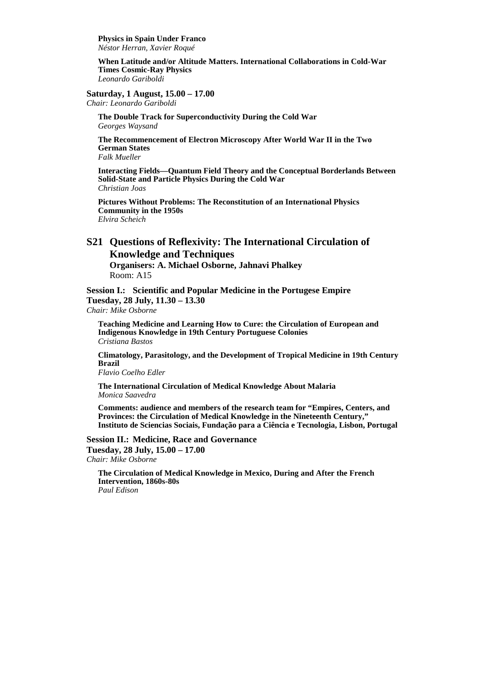**Physics in Spain Under Franco**  *Néstor Herran, Xavier Roqué* 

**When Latitude and/or Altitude Matters. International Collaborations in Cold-War Times Cosmic-Ray Physics**  *Leonardo Gariboldi* 

#### **Saturday, 1 August, 15.00 – 17.00**

*Chair: Leonardo Gariboldi* 

**The Double Track for Superconductivity During the Cold War**  *Georges Waysand* 

**The Recommencement of Electron Microscopy After World War II in the Two German States** *Falk Mueller* 

**Interacting Fields—Quantum Field Theory and the Conceptual Borderlands Between Solid-State and Particle Physics During the Cold War** *Christian Joas* 

**Pictures Without Problems: The Reconstitution of an International Physics Community in the 1950s** *Elvira Scheich* 

#### **S21 Questions of Reflexivity: The International Circulation of Knowledge and Techniques**

**Organisers: A. Michael Osborne, Jahnavi Phalkey**  Room: A15

**Session I.: Scientific and Popular Medicine in the Portugese Empire Tuesday, 28 July, 11.30 – 13.30** 

*Chair: Mike Osborne* 

**Teaching Medicine and Learning How to Cure: the Circulation of European and Indigenous Knowledge in 19th Century Portuguese Colonies**  *Cristiana Bastos* 

**Climatology, Parasitology, and the Development of Tropical Medicine in 19th Century Brazil** 

*Flavio Coelho Edler* 

**The International Circulation of Medical Knowledge About Malaria**  *Monica Saavedra* 

**Comments: audience and members of the research team for "Empires, Centers, and Provinces: the Circulation of Medical Knowledge in the Nineteenth Century," Instituto de Sciencias Sociais, Fundação para a Ciência e Tecnologia, Lisbon, Portugal** 

**Session II.: Medicine, Race and Governance Tuesday, 28 July, 15.00 – 17.00**  *Chair: Mike Osborne* 

**The Circulation of Medical Knowledge in Mexico, During and After the French Intervention, 1860s-80s**  *Paul Edison*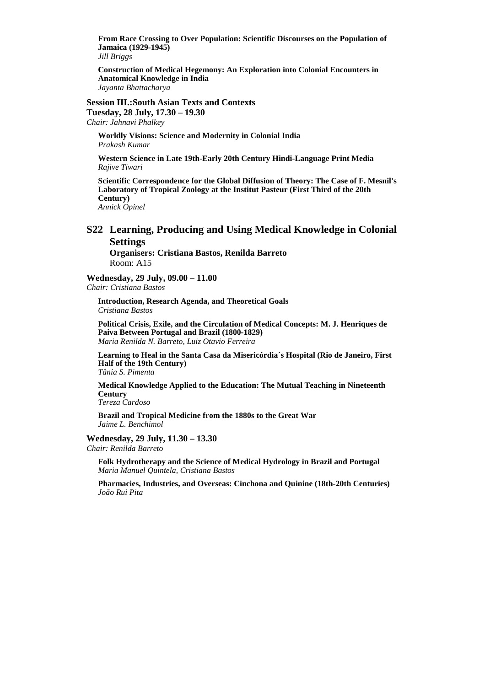**From Race Crossing to Over Population: Scientific Discourses on the Population of Jamaica (1929-1945)** 

*Jill Briggs* 

**Construction of Medical Hegemony: An Exploration into Colonial Encounters in Anatomical Knowledge in India**  *Jayanta Bhattacharya* 

**Session III.: South Asian Texts and Contexts** 

**Tuesday, 28 July, 17.30 – 19.30**  *Chair: Jahnavi Phalkey* 

**Worldly Visions: Science and Modernity in Colonial India**  *Prakash Kumar* 

**Western Science in Late 19th-Early 20th Century Hindi-Language Print Media**  *Rajive Tiwari* 

**Scientific Correspondence for the Global Diffusion of Theory: The Case of F. Mesnil's Laboratory of Tropical Zoology at the Institut Pasteur (First Third of the 20th Century)**  *Annick Opinel* 

#### **S22 Learning, Producing and Using Medical Knowledge in Colonial Settings**

**Organisers: Cristiana Bastos, Renilda Barreto**  Room: A15

**Wednesday, 29 July, 09.00 – 11.00**  *Chair: Cristiana Bastos* 

**Introduction, Research Agenda, and Theoretical Goals**  *Cristiana Bastos* 

**Political Crisis, Exile, and the Circulation of Medical Concepts: M. J. Henriques de Paiva Between Portugal and Brazil (1800-1829)**  *Maria Renilda N. Barreto, Luiz Otavio Ferreira* 

**Learning to Heal in the Santa Casa da Misericórdia´s Hospital (Rio de Janeiro, First Half of the 19th Century)**  *Tânia S. Pimenta* 

**Medical Knowledge Applied to the Education: The Mutual Teaching in Nineteenth Century** 

*Tereza Cardoso* 

**Brazil and Tropical Medicine from the 1880s to the Great War**  *Jaime L. Benchimol* 

#### **Wednesday, 29 July, 11.30 – 13.30**

*Chair: Renilda Barreto* 

**Folk Hydrotherapy and the Science of Medical Hydrology in Brazil and Portugal**  *Maria Manuel Quintela, Cristiana Bastos* 

**Pharmacies, Industries, and Overseas: Cinchona and Quinine (18th-20th Centuries)**  *João Rui Pita*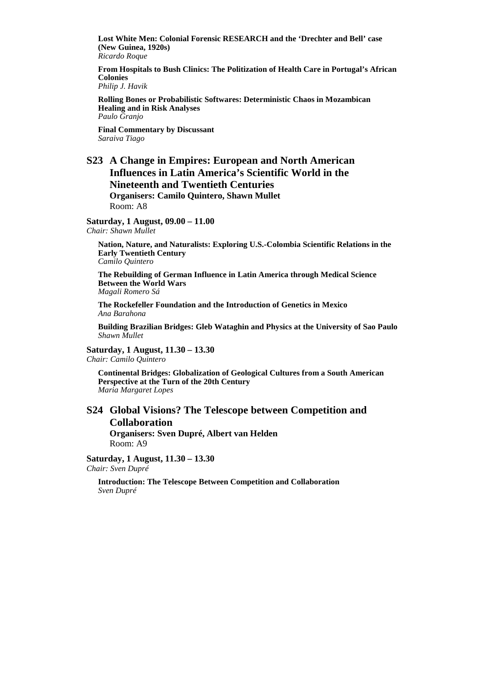**Lost White Men: Colonial Forensic RESEARCH and the 'Drechter and Bell' case (New Guinea, 1920s)**  *Ricardo Roque* 

**From Hospitals to Bush Clinics: The Politization of Health Care in Portugal's African Colonies** 

*Philip J. Havik* 

**Rolling Bones or Probabilistic Softwares: Deterministic Chaos in Mozambican Healing and in Risk Analyses**  *Paulo Granjo* 

**Final Commentary by Discussant**  *Saraiva Tiago* 

## **S23 A Change in Empires: European and North American Influences in Latin America's Scientific World in the Nineteenth and Twentieth Centuries**

**Organisers: Camilo Quintero, Shawn Mullet**  Room: A8

**Saturday, 1 August, 09.00 – 11.00** 

*Chair: Shawn Mullet* 

**Nation, Nature, and Naturalists: Exploring U.S.-Colombia Scientific Relations in the Early Twentieth Century**  *Camilo Quintero* 

**The Rebuilding of German Influence in Latin America through Medical Science Between the World Wars**  *Magali Romero Sá* 

**The Rockefeller Foundation and the Introduction of Genetics in Mexico**  *Ana Barahona* 

**Building Brazilian Bridges: Gleb Wataghin and Physics at the University of Sao Paulo**  *Shawn Mullet* 

**Saturday, 1 August, 11.30 – 13.30** 

*Chair: Camilo Quintero* 

**Continental Bridges: Globalization of Geological Cultures from a South American Perspective at the Turn of the 20th Century**  *Maria Margaret Lopes* 

## **S24 Global Visions? The Telescope between Competition and Collaboration**

**Organisers: Sven Dupré, Albert van Helden**  Room: A9

**Saturday, 1 August, 11.30 – 13.30**  *Chair: Sven Dupré* 

**Introduction: The Telescope Between Competition and Collaboration**  *Sven Dupré*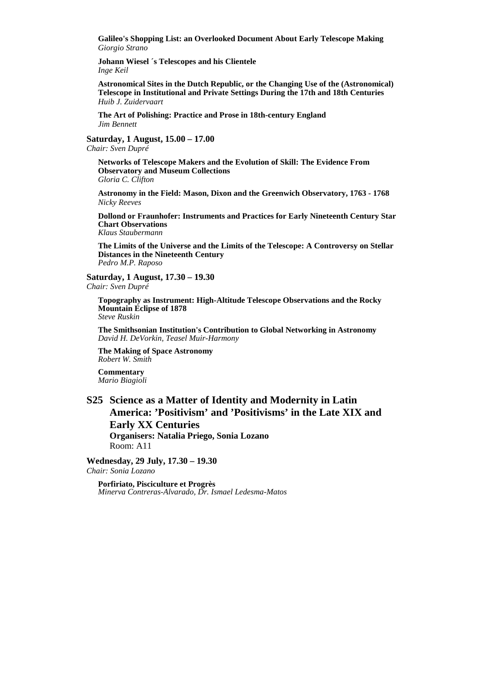**Galileo's Shopping List: an Overlooked Document About Early Telescope Making**  *Giorgio Strano* 

**Johann Wiesel ´s Telescopes and his Clientele**  *Inge Keil* 

**Astronomical Sites in the Dutch Republic, or the Changing Use of the (Astronomical) Telescope in Institutional and Private Settings During the 17th and 18th Centuries** *Huib J. Zuidervaart* 

**The Art of Polishing: Practice and Prose in 18th-century England** *Jim Bennett* 

**Saturday, 1 August, 15.00 – 17.00**  *Chair: Sven Dupré* 

**Networks of Telescope Makers and the Evolution of Skill: The Evidence From Observatory and Museum Collections**  *Gloria C. Clifton* 

**Astronomy in the Field: Mason, Dixon and the Greenwich Observatory, 1763 - 1768**  *Nicky Reeves* 

**Dollond or Fraunhofer: Instruments and Practices for Early Nineteenth Century Star Chart Observations**  *Klaus Staubermann* 

**The Limits of the Universe and the Limits of the Telescope: A Controversy on Stellar Distances in the Nineteenth Century**  *Pedro M.P. Raposo* 

**Saturday, 1 August, 17.30 – 19.30** 

*Chair: Sven Dupré* 

**Topography as Instrument: High-Altitude Telescope Observations and the Rocky Mountain Eclipse of 1878**  *Steve Ruskin* 

**The Smithsonian Institution's Contribution to Global Networking in Astronomy**  *David H. DeVorkin, Teasel Muir-Harmony* 

**The Making of Space Astronomy**  *Robert W. Smith* 

**Commentary**  *Mario Biagioli* 

## **S25 Science as a Matter of Identity and Modernity in Latin America: 'Positivism' and 'Positivisms' in the Late XIX and Early XX Centuries Organisers: Natalia Priego, Sonia Lozano**

Room: A11

**Wednesday, 29 July, 17.30 – 19.30**  *Chair: Sonia Lozano* 

**Porfiriato, Pisciculture et Progrès**  *Minerva Contreras-Alvarado, Dr. Ismael Ledesma-Matos*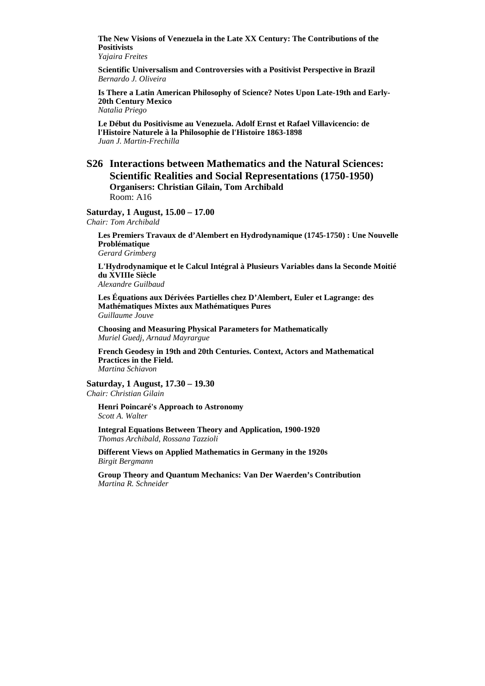**The New Visions of Venezuela in the Late XX Century: The Contributions of the Positivists** 

*Yajaira Freites* 

**Scientific Universalism and Controversies with a Positivist Perspective in Brazil**  *Bernardo J. Oliveira* 

**Is There a Latin American Philosophy of Science? Notes Upon Late-19th and Early-20th Century Mexico** 

*Natalia Priego* 

**Le Début du Positivisme au Venezuela. Adolf Ernst et Rafael Villavicencio: de l'Histoire Naturele à la Philosophie de l'Histoire 1863-1898**  *Juan J. Martin-Frechilla* 

#### **S26 Interactions between Mathematics and the Natural Sciences: Scientific Realities and Social Representations (1750-1950) Organisers: Christian Gilain, Tom Archibald**  Room: A16

#### **Saturday, 1 August, 15.00 – 17.00**

*Chair: Tom Archibald* 

**Les Premiers Travaux de d'Alembert en Hydrodynamique (1745-1750) : Une Nouvelle Problématique**  *Gerard Grimberg* 

**L'Hydrodynamique et le Calcul Intégral à Plusieurs Variables dans la Seconde Moitié du XVIIIe Siècle** *Alexandre Guilbaud* 

**Les Équations aux Dérivées Partielles chez D'Alembert, Euler et Lagrange: des Mathématiques Mixtes aux Mathématiques Pures** *Guillaume Jouve* 

**Choosing and Measuring Physical Parameters for Mathematically** *Muriel Guedj, Arnaud Mayrargue* 

**French Geodesy in 19th and 20th Centuries. Context, Actors and Mathematical Practices in the Field.**  *Martina Schiavon* 

**Saturday, 1 August, 17.30 – 19.30**  *Chair: Christian Gilain* 

**Henri Poincaré's Approach to Astronomy**  *Scott A. Walter* 

**Integral Equations Between Theory and Application, 1900-1920**  *Thomas Archibald, Rossana Tazzioli* 

**Different Views on Applied Mathematics in Germany in the 1920s** *Birgit Bergmann* 

**Group Theory and Quantum Mechanics: Van Der Waerden's Contribution**  *Martina R. Schneider*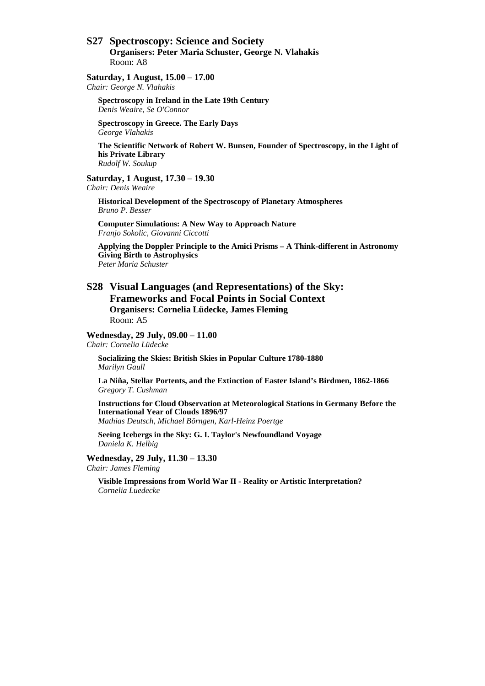## **S27 Spectroscopy: Science and Society**

**Organisers: Peter Maria Schuster, George N. Vlahakis**  Room: A8

#### **Saturday, 1 August, 15.00 – 17.00**

*Chair: George N. Vlahakis* 

**Spectroscopy in Ireland in the Late 19th Century**  *Denis Weaire, Se O'Connor* 

**Spectroscopy in Greece. The Early Days**  *George Vlahakis* 

**The Scientific Network of Robert W. Bunsen, Founder of Spectroscopy, in the Light of his Private Library**  *Rudolf W. Soukup* 

#### **Saturday, 1 August, 17.30 – 19.30**

*Chair: Denis Weaire* 

**Historical Development of the Spectroscopy of Planetary Atmospheres**  *Bruno P. Besser* 

**Computer Simulations: A New Way to Approach Nature**  *Franjo Sokolic, Giovanni Ciccotti* 

**Applying the Doppler Principle to the Amici Prisms – A Think-different in Astronomy Giving Birth to Astrophysics**  *Peter Maria Schuster* 

#### **S28 Visual Languages (and Representations) of the Sky: Frameworks and Focal Points in Social Context Organisers: Cornelia Lüdecke, James Fleming**  Room: A5

**Wednesday, 29 July, 09.00 – 11.00** 

*Chair: Cornelia Lüdecke* 

**Socializing the Skies: British Skies in Popular Culture 1780-1880**  *Marilyn Gaull* 

**La Niña, Stellar Portents, and the Extinction of Easter Island's Birdmen, 1862-1866**  *Gregory T. Cushman* 

**Instructions for Cloud Observation at Meteorological Stations in Germany Before the International Year of Clouds 1896/97** 

*Mathias Deutsch, Michael Börngen, Karl-Heinz Poertge* 

**Seeing Icebergs in the Sky: G. I. Taylor's Newfoundland Voyage**  *Daniela K. Helbig* 

**Wednesday, 29 July, 11.30 – 13.30**  *Chair: James Fleming* 

**Visible Impressions from World War II - Reality or Artistic Interpretation?**  *Cornelia Luedecke*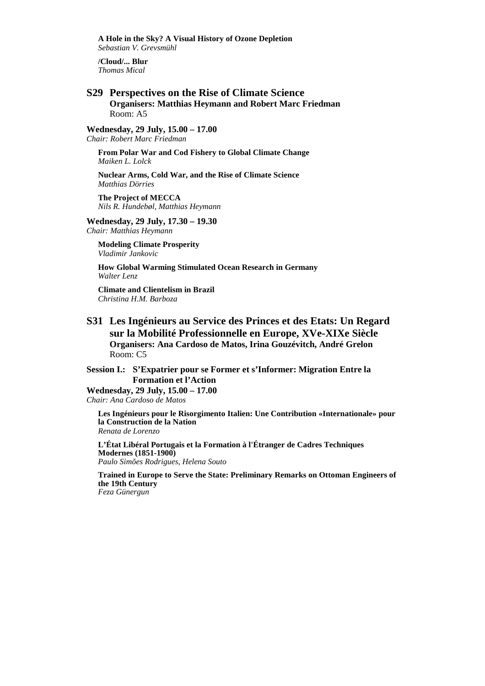**A Hole in the Sky? A Visual History of Ozone Depletion**  *Sebastian V. Grevsmühl* 

**/Cloud/... Blur**  *Thomas Mical* 

#### **S29 Perspectives on the Rise of Climate Science Organisers: Matthias Heymann and Robert Marc Friedman**  Room: A5

**Wednesday, 29 July, 15.00 – 17.00** 

*Chair: Robert Marc Friedman* 

**From Polar War and Cod Fishery to Global Climate Change**  *Maiken L. Lolck* 

**Nuclear Arms, Cold War, and the Rise of Climate Science**  *Matthias Dörries* 

**The Project of MECCA**  *Nils R. Hundebøl, Matthias Heymann* 

#### **Wednesday, 29 July, 17.30 – 19.30**

*Chair: Matthias Heymann* 

**Modeling Climate Prosperity**  *Vladimir Jankovic* 

**How Global Warming Stimulated Ocean Research in Germany**  *Walter Lenz* 

**Climate and Clientelism in Brazil**  *Christina H.M. Barboza* 

**S31 Les Ingénieurs au Service des Princes et des Etats: Un Regard sur la Mobilité Professionnelle en Europe, XVe-XIXe Siècle Organisers: Ana Cardoso de Matos, Irina Gouzévitch, André Grelon**  Room: C5

**Session I.: S'Expatrier pour se Former et s'Informer: Migration Entre la Formation et l'Action** 

**Wednesday, 29 July, 15.00 – 17.00**  *Chair: Ana Cardoso de Matos* 

**Les Ingénieurs pour le Risorgimento Italien: Une Contribution «Internationale» pour la Construction de la Nation**  *Renata de Lorenzo* 

**L'État Libéral Portugais et la Formation à l'Étranger de Cadres Techniques Modernes (1851-1900)** *Paulo Simões Rodrigues, Helena Souto* 

**Trained in Europe to Serve the State: Preliminary Remarks on Ottoman Engineers of the 19th Century** *Feza Günergun*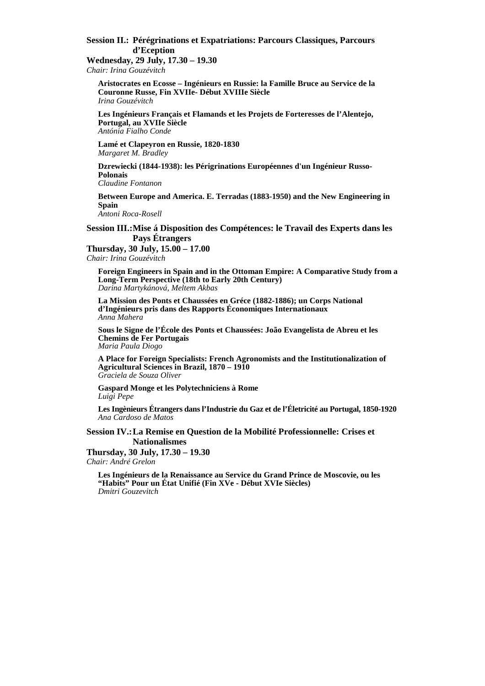#### **Session II.: Pérégrinations et Expatriations: Parcours Classiques, Parcours d'Eception**

**Wednesday, 29 July, 17.30 – 19.30**  *Chair: Irina Gouzévitch* 

**Aristocrates en Ecosse – Ingénieurs en Russie: la Famille Bruce au Service de la Couronne Russe, Fin XVIIe- Début XVIIIe Siècle** *Irina Gouzévitch* 

**Les Ingénieurs Français et Flamands et les Projets de Forteresses de l'Alentejo, Portugal, au XVIIe Siècle** *Antónia Fialho Conde* 

**Lamé et Clapeyron en Russie, 1820-1830** *Margaret M. Bradley* 

**Dzrewiecki (1844-1938): les Périgrinations Européennes d'un Ingénieur Russo-Polonais**

*Claudine Fontanon* 

**Between Europe and America. E. Terradas (1883-1950) and the New Engineering in Spain**

*Antoni Roca-Rosell* 

#### **Session III.: Mise á Disposition des Compétences: le Travail des Experts dans les Pays Étrangers**

**Thursday, 30 July, 15.00 – 17.00**  *Chair: Irina Gouzévitch* 

**Foreign Engineers in Spain and in the Ottoman Empire: A Comparative Study from a Long-Term Perspective (18th to Early 20th Century)** *Darina Martykánová, Meltem Akbas* 

**La Mission des Ponts et Chaussées en Gréce (1882-1886); un Corps National d'Ingénieurs pris dans des Rapports Économiques Internationaux**  *Anna Mahera* 

**Sous le Signe de l'École des Ponts et Chaussées: João Evangelista de Abreu et les Chemins de Fer Portugais** *Maria Paula Diogo* 

**A Place for Foreign Specialists: French Agronomists and the Institutionalization of Agricultural Sciences in Brazil, 1870 – 1910** *Graciela de Souza Oliver* 

**Gaspard Monge et les Polytechniciens à Rome**  *Luigi Pepe* 

**Les Ingènieurs Étrangers dans l'Industrie du Gaz et de l'Életricité au Portugal, 1850-1920** *Ana Cardoso de Matos* 

#### **Session IV.: La Remise en Question de la Mobilité Professionnelle: Crises et Nationalismes**

**Thursday, 30 July, 17.30 – 19.30**  *Chair: André Grelon* 

**Les Ingénieurs de la Renaissance au Service du Grand Prince de Moscovie, ou les "Habits" Pour un État Unifié (Fin XVe - Début XVIe Siècles)** *Dmitri Gouzevitch*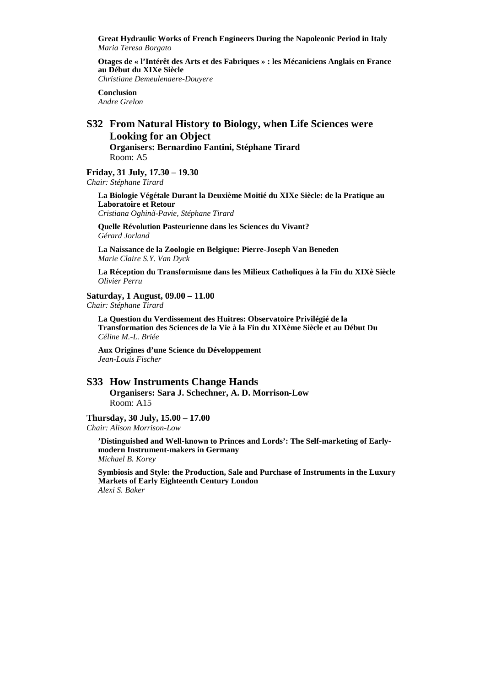**Great Hydraulic Works of French Engineers During the Napoleonic Period in Italy** *Maria Teresa Borgato* 

**Otages de « l'Intérêt des Arts et des Fabriques » : les Mécaniciens Anglais en France au Début du XIXe Siècle**

*Christiane Demeulenaere-Douyere* 

**Conclusion**  *Andre Grelon* 

## **S32 From Natural History to Biology, when Life Sciences were Looking for an Object**

**Organisers: Bernardino Fantini, Stéphane Tirard**  Room: A5

**Friday, 31 July, 17.30 – 19.30**  *Chair: Stéphane Tirard* 

**La Biologie Végétale Durant la Deuxième Moitié du XIXe Siècle: de la Pratique au Laboratoire et Retour**  *Cristiana Oghinã-Pavie, Stéphane Tirard* 

**Quelle Révolution Pasteurienne dans les Sciences du Vivant?**  *Gérard Jorland* 

**La Naissance de la Zoologie en Belgique: Pierre-Joseph Van Beneden**  *Marie Claire S.Y. Van Dyck* 

**La Réception du Transformisme dans les Milieux Catholiques à la Fin du XIXè Siècle**  *Olivier Perru* 

#### **Saturday, 1 August, 09.00 – 11.00**

*Chair: Stéphane Tirard* 

**La Question du Verdissement des Huitres: Observatoire Privilégié de la Transformation des Sciences de la Vie à la Fin du XIXème Siècle et au Début Du**  *Céline M.-L. Briée* 

**Aux Origines d'une Science du Développement**  *Jean-Louis Fischer* 

#### **S33 How Instruments Change Hands**

**Organisers: Sara J. Schechner, A. D. Morrison-Low**  Room: A15

**Thursday, 30 July, 15.00 – 17.00**  *Chair: Alison Morrison-Low* 

**'Distinguished and Well-known to Princes and Lords': The Self-marketing of Earlymodern Instrument-makers in Germany**  *Michael B. Korey* 

**Symbiosis and Style: the Production, Sale and Purchase of Instruments in the Luxury Markets of Early Eighteenth Century London**  *Alexi S. Baker*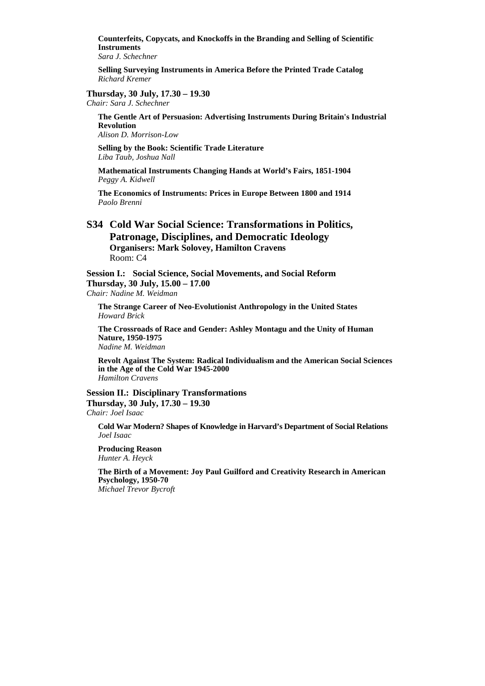**Counterfeits, Copycats, and Knockoffs in the Branding and Selling of Scientific Instruments** 

*Sara J. Schechner* 

**Selling Surveying Instruments in America Before the Printed Trade Catalog**  *Richard Kremer* 

#### **Thursday, 30 July, 17.30 – 19.30**

*Chair: Sara J. Schechner* 

**The Gentle Art of Persuasion: Advertising Instruments During Britain's Industrial Revolution** 

*Alison D. Morrison-Low* 

**Selling by the Book: Scientific Trade Literature**  *Liba Taub, Joshua Nall* 

**Mathematical Instruments Changing Hands at World's Fairs, 1851-1904**  *Peggy A. Kidwell* 

**The Economics of Instruments: Prices in Europe Between 1800 and 1914**  *Paolo Brenni* 

#### **S34 Cold War Social Science: Transformations in Politics, Patronage, Disciplines, and Democratic Ideology Organisers: Mark Solovey, Hamilton Cravens**  Room: C4

**Session I.: Social Science, Social Movements, and Social Reform Thursday, 30 July, 15.00 – 17.00**  *Chair: Nadine M. Weidman* 

**The Strange Career of Neo-Evolutionist Anthropology in the United States**  *Howard Brick* 

**The Crossroads of Race and Gender: Ashley Montagu and the Unity of Human Nature, 1950-1975**  *Nadine M. Weidman* 

**Revolt Against The System: Radical Individualism and the American Social Sciences in the Age of the Cold War 1945-2000**  *Hamilton Cravens* 

**Session II.: Disciplinary Transformations Thursday, 30 July, 17.30 – 19.30** 

*Chair: Joel Isaac* 

**Cold War Modern? Shapes of Knowledge in Harvard's Department of Social Relations**  *Joel Isaac* 

**Producing Reason**  *Hunter A. Heyck* 

**The Birth of a Movement: Joy Paul Guilford and Creativity Research in American Psychology, 1950-70** 

*Michael Trevor Bycroft*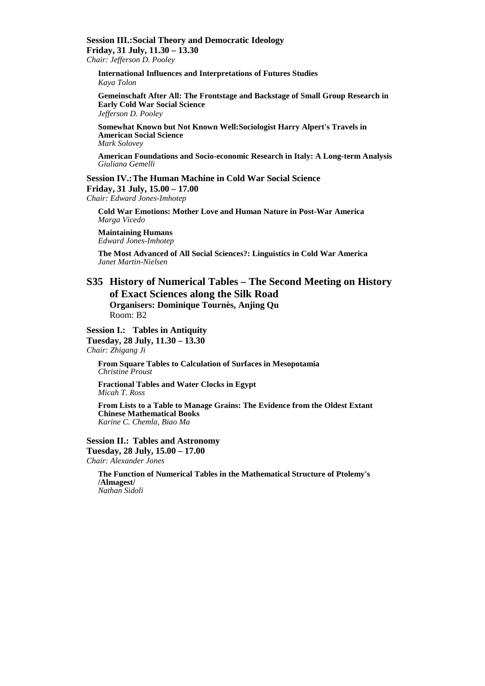## **Session III.: Social Theory and Democratic Ideology Friday, 31 July, 11.30 – 13.30**

*Chair: Jefferson D. Pooley* 

**International Influences and Interpretations of Futures Studies**  *Kaya Tolon* 

**Gemeinschaft After All: The Frontstage and Backstage of Small Group Research in Early Cold War Social Science**  *Jefferson D. Pooley* 

**Somewhat Known but Not Known Well:Sociologist Harry Alpert's Travels in American Social Science**  *Mark Solovey* 

**American Foundations and Socio-economic Research in Italy: A Long-term Analysis**  *Giuliana Gemelli* 

#### **Session IV.: The Human Machine in Cold War Social Science Friday, 31 July, 15.00 – 17.00**  *Chair: Edward Jones-Imhotep*

**Cold War Emotions: Mother Love and Human Nature in Post-War America**  *Marga Vicedo* 

**Maintaining Humans**  *Edward Jones-Imhotep* 

**The Most Advanced of All Social Sciences?: Linguistics in Cold War America**  *Janet Martin-Nielsen* 

#### **S35 History of Numerical Tables – The Second Meeting on History of Exact Sciences along the Silk Road Organisers: Dominique Tournès, Anjing Qu**  Room: B2

**Session I.: Tables in Antiquity** 

**Tuesday, 28 July, 11.30 – 13.30**  *Chair: Zhigang Ji* 

**From Square Tables to Calculation of Surfaces in Mesopotamia**  *Christine Proust* 

**Fractional Tables and Water Clocks in Egypt**  *Micah T. Ross* 

**From Lists to a Table to Manage Grains: The Evidence from the Oldest Extant Chinese Mathematical Books**  *Karine C. Chemla, Biao Ma* 

**Session II.: Tables and Astronomy Tuesday, 28 July, 15.00 – 17.00**  *Chair: Alexander Jones* 

**The Function of Numerical Tables in the Mathematical Structure of Ptolemy's /Almagest/**  *Nathan Sidoli*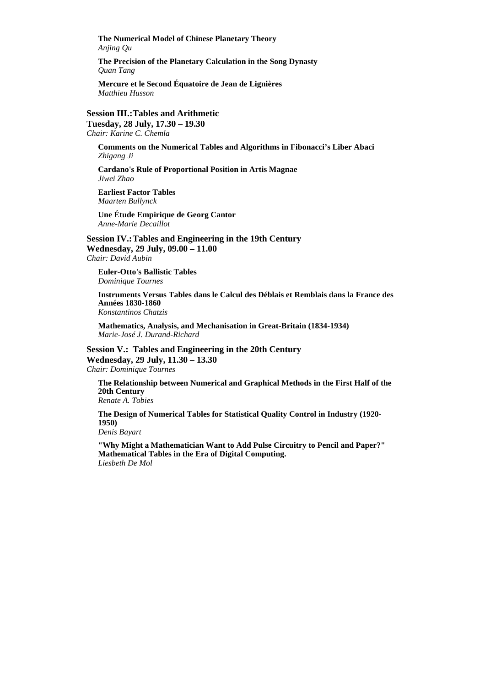**The Numerical Model of Chinese Planetary Theory**  *Anjing Qu* 

**The Precision of the Planetary Calculation in the Song Dynasty**  *Quan Tang* 

**Mercure et le Second Équatoire de Jean de Lignières** *Matthieu Husson* 

**Session III.: Tables and Arithmetic Tuesday, 28 July, 17.30 – 19.30** 

*Chair: Karine C. Chemla* 

**Comments on the Numerical Tables and Algorithms in Fibonacci's Liber Abaci**  *Zhigang Ji* 

**Cardano's Rule of Proportional Position in Artis Magnae**  *Jiwei Zhao* 

**Earliest Factor Tables**  *Maarten Bullynck* 

**Une Étude Empirique de Georg Cantor**  *Anne-Marie Decaillot* 

**Session IV.: Tables and Engineering in the 19th Century Wednesday, 29 July, 09.00 – 11.00**  *Chair: David Aubin* 

**Euler-Otto's Ballistic Tables**  *Dominique Tournes* 

**Instruments Versus Tables dans le Calcul des Déblais et Remblais dans la France des Années 1830-1860**  *Konstantinos Chatzis* 

**Mathematics, Analysis, and Mechanisation in Great-Britain (1834-1934)**  *Marie-José J. Durand-Richard* 

**Session V.: Tables and Engineering in the 20th Century Wednesday, 29 July, 11.30 – 13.30**  *Chair: Dominique Tournes* 

**The Relationship between Numerical and Graphical Methods in the First Half of the 20th Century**  *Renate A. Tobies* 

**The Design of Numerical Tables for Statistical Quality Control in Industry (1920- 1950)** 

*Denis Bayart* 

**"Why Might a Mathematician Want to Add Pulse Circuitry to Pencil and Paper?" Mathematical Tables in the Era of Digital Computing.**  *Liesbeth De Mol*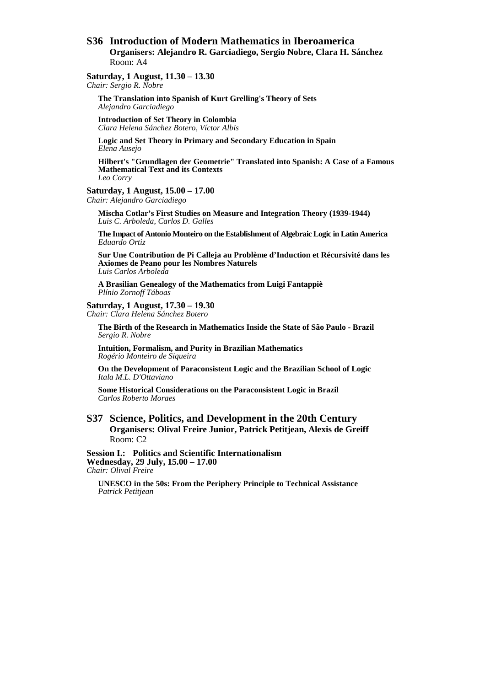## **S36 Introduction of Modern Mathematics in Iberoamerica**

**Organisers: Alejandro R. Garciadiego, Sergio Nobre, Clara H. Sánchez**  Room: A4

#### **Saturday, 1 August, 11.30 – 13.30**

*Chair: Sergio R. Nobre* 

**The Translation into Spanish of Kurt Grelling's Theory of Sets**  *Alejandro Garciadiego* 

**Introduction of Set Theory in Colombia**  *Clara Helena Sánchez Botero, Víctor Albis* 

**Logic and Set Theory in Primary and Secondary Education in Spain**  *Elena Ausejo* 

**Hilbert's "Grundlagen der Geometrie" Translated into Spanish: A Case of a Famous Mathematical Text and its Contexts**  *Leo Corry* 

#### **Saturday, 1 August, 15.00 – 17.00**

*Chair: Alejandro Garciadiego* 

**Mischa Cotlar's First Studies on Measure and Integration Theory (1939-1944)**  *Luis C. Arboleda, Carlos D. Galles* 

**The Impact of Antonio Monteiro on the Establishment of Algebraic Logic in Latin America**  *Eduardo Ortiz* 

**Sur Une Contribution de Pi Calleja au Problème d'Induction et Récursivité dans les Axiomes de Peano pour les Nombres Naturels**  *Luis Carlos Arboleda* 

**A Brasilian Genealogy of the Mathematics from Luigi Fantappiè**  *Plínio Zornoff Táboas* 

## **Saturday, 1 August, 17.30 – 19.30**

*Chair: Clara Helena Sánchez Botero* 

**The Birth of the Research in Mathematics Inside the State of São Paulo - Brazil**  *Sergio R. Nobre* 

**Intuition, Formalism, and Purity in Brazilian Mathematics**  *Rogério Monteiro de Siqueira* 

**On the Development of Paraconsistent Logic and the Brazilian School of Logic**  *Itala M.L. D'Ottaviano* 

**Some Historical Considerations on the Paraconsistent Logic in Brazil**  *Carlos Roberto Moraes* 

#### **S37 Science, Politics, and Development in the 20th Century Organisers: Olival Freire Junior, Patrick Petitjean, Alexis de Greiff**  Room: C2

**Session I.: Politics and Scientific Internationalism Wednesday, 29 July, 15.00 – 17.00**  *Chair: Olival Freire* 

**UNESCO in the 50s: From the Periphery Principle to Technical Assistance**  *Patrick Petitjean*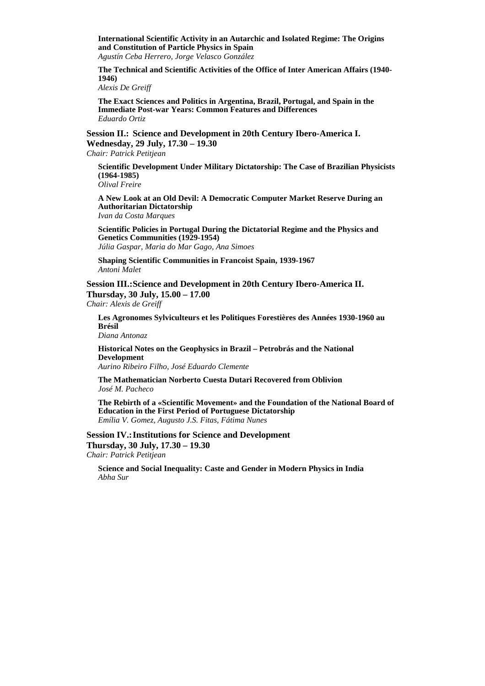**International Scientific Activity in an Autarchic and Isolated Regime: The Origins and Constitution of Particle Physics in Spain** 

*Agustín Ceba Herrero, Jorge Velasco González* 

**The Technical and Scientific Activities of the Office of Inter American Affairs (1940- 1946)** 

*Alexis De Greiff* 

**The Exact Sciences and Politics in Argentina, Brazil, Portugal, and Spain in the Immediate Post-war Years: Common Features and Differences**  *Eduardo Ortiz* 

**Session II.: Science and Development in 20th Century Ibero-America I. Wednesday, 29 July, 17.30 – 19.30** 

*Chair: Patrick Petitjean* 

**Scientific Development Under Military Dictatorship: The Case of Brazilian Physicists (1964-1985)**  *Olival Freire* 

**A New Look at an Old Devil: A Democratic Computer Market Reserve During an Authoritarian Dictatorship**  *Ivan da Costa Marques* 

**Scientific Policies in Portugal During the Dictatorial Regime and the Physics and Genetics Communities (1929-1954)**  *Júlia Gaspar, Maria do Mar Gago, Ana Simoes* 

**Shaping Scientific Communities in Francoist Spain, 1939-1967**  *Antoni Malet* 

**Session III.: Science and Development in 20th Century Ibero-America II. Thursday, 30 July, 15.00 – 17.00** 

*Chair: Alexis de Greiff* 

**Les Agronomes Sylviculteurs et les Politiques Forestières des Années 1930-1960 au Brésil** 

*Diana Antonaz* 

**Historical Notes on the Geophysics in Brazil – Petrobrás and the National Development**  *Aurino Ribeiro Filho, José Eduardo Clemente* 

**The Mathematician Norberto Cuesta Dutari Recovered from Oblivion**  *José M. Pacheco* 

**The Rebirth of a «Scientific Movement» and the Foundation of the National Board of Education in the First Period of Portuguese Dictatorship**  *Emília V. Gomez, Augusto J.S. Fitas, Fátima Nunes* 

**Session IV.: Institutions for Science and Development Thursday, 30 July, 17.30 – 19.30**  *Chair: Patrick Petitjean* 

**Science and Social Inequality: Caste and Gender in Modern Physics in India**  *Abha Sur*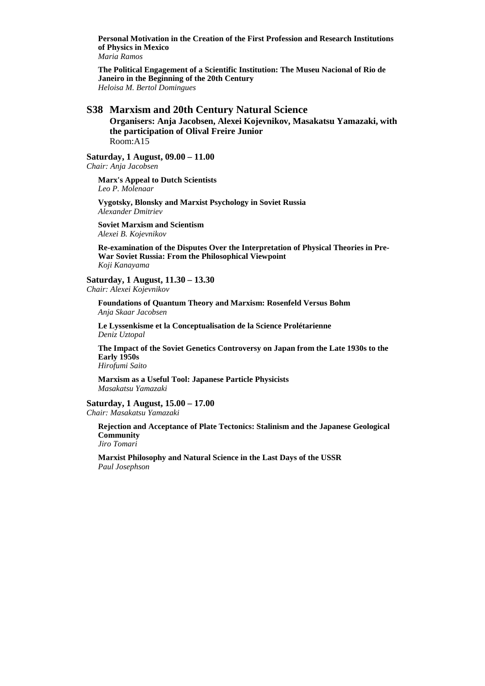**Personal Motivation in the Creation of the First Profession and Research Institutions of Physics in Mexico** 

*Maria Ramos* 

**The Political Engagement of a Scientific Institution: The Museu Nacional of Rio de Janeiro in the Beginning of the 20th Century**  *Heloisa M. Bertol Domingues* 

#### **S38 Marxism and 20th Century Natural Science**

**Organisers: Anja Jacobsen, Alexei Kojevnikov, Masakatsu Yamazaki, with the participation of Olival Freire Junior**  Room:A15

**Saturday, 1 August, 09.00 – 11.00** 

*Chair: Anja Jacobsen* 

**Marx's Appeal to Dutch Scientists**  *Leo P. Molenaar* 

**Vygotsky, Blonsky and Marxist Psychology in Soviet Russia**  *Alexander Dmitriev* 

**Soviet Marxism and Scientism**  *Alexei B. Kojevnikov* 

**Re-examination of the Disputes Over the Interpretation of Physical Theories in Pre-War Soviet Russia: From the Philosophical Viewpoint** *Koji Kanayama* 

**Saturday, 1 August, 11.30 – 13.30**  *Chair: Alexei Kojevnikov* 

**Foundations of Quantum Theory and Marxism: Rosenfeld Versus Bohm**  *Anja Skaar Jacobsen* 

**Le Lyssenkisme et la Conceptualisation de la Science Prolétarienne**  *Deniz Uztopal* 

**The Impact of the Soviet Genetics Controversy on Japan from the Late 1930s to the Early 1950s**  *Hirofumi Saito* 

**Marxism as a Useful Tool: Japanese Particle Physicists**  *Masakatsu Yamazaki* 

**Saturday, 1 August, 15.00 – 17.00**  *Chair: Masakatsu Yamazaki* 

**Rejection and Acceptance of Plate Tectonics: Stalinism and the Japanese Geological Community**  *Jiro Tomari* 

**Marxist Philosophy and Natural Science in the Last Days of the USSR**  *Paul Josephson*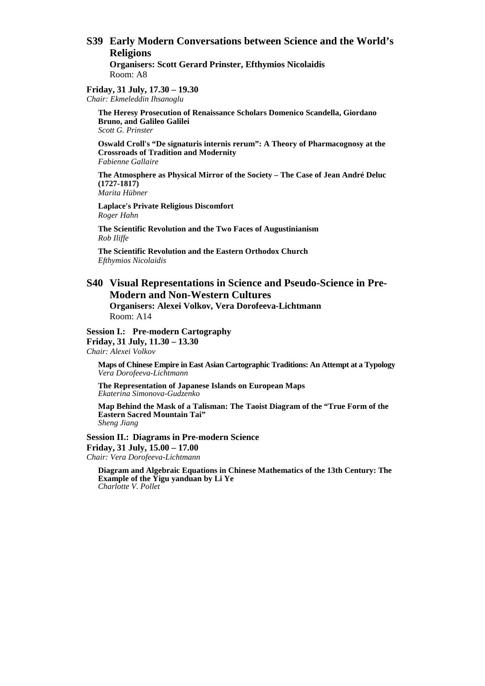# **S39 Early Modern Conversations between Science and the World's Religions**

**Organisers: Scott Gerard Prinster, Efthymios Nicolaidis**  Room: A8

**Friday, 31 July, 17.30 – 19.30**  *Chair: Ekmeleddin Ihsanoglu* 

> **The Heresy Prosecution of Renaissance Scholars Domenico Scandella, Giordano Bruno, and Galileo Galilei**  *Scott G. Prinster*

**Oswald Croll's "De signaturis internis rerum": A Theory of Pharmacognosy at the Crossroads of Tradition and Modernity**  *Fabienne Gallaire* 

**The Atmosphere as Physical Mirror of the Society – The Case of Jean André Deluc (1727-1817)** 

*Marita Hübner* 

**Laplace's Private Religious Discomfort**  *Roger Hahn* 

**The Scientific Revolution and the Two Faces of Augustinianism**  *Rob Iliffe* 

**The Scientific Revolution and the Eastern Orthodox Church**  *Efthymios Nicolaidis* 

### **S40 Visual Representations in Science and Pseudo-Science in Pre-Modern and Non-Western Cultures**

**Organisers: Alexei Volkov, Vera Dorofeeva-Lichtmann**  Room: A14

**Session I.: Pre-modern Cartography** 

**Friday, 31 July, 11.30 – 13.30**  *Chair: Alexei Volkov* 

**Maps of Chinese Empire in East Asian Cartographic Traditions: An Attempt at a Typology**  *Vera Dorofeeva-Lichtmann* 

**The Representation of Japanese Islands on European Maps**  *Ekaterina Simonova-Gudzenko* 

**Map Behind the Mask of a Talisman: The Taoist Diagram of the "True Form of the Eastern Sacred Mountain Tai"**  *Sheng Jiang* 

**Session II.: Diagrams in Pre-modern Science Friday, 31 July, 15.00 – 17.00**  *Chair: Vera Dorofeeva-Lichtmann* 

**Diagram and Algebraic Equations in Chinese Mathematics of the 13th Century: The Example of the Yigu yanduan by Li Ye**  *Charlotte V. Pollet*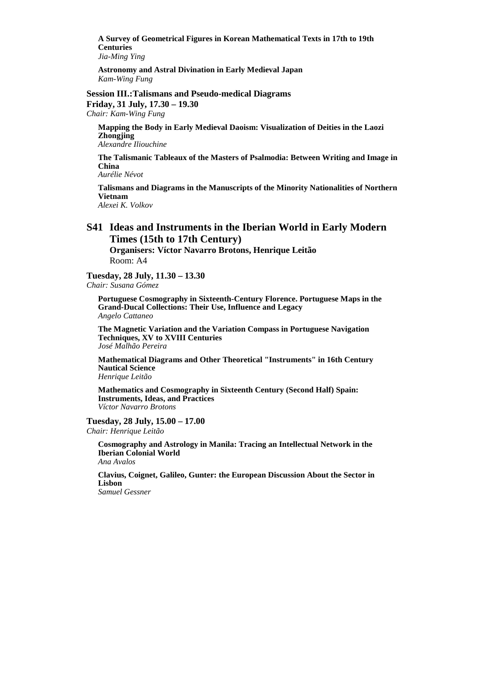**A Survey of Geometrical Figures in Korean Mathematical Texts in 17th to 19th Centuries** 

*Jia-Ming Ying* 

**Astronomy and Astral Divination in Early Medieval Japan**  *Kam-Wing Fung* 

**Session III.: Talismans and Pseudo-medical Diagrams Friday, 31 July, 17.30 – 19.30** 

*Chair: Kam-Wing Fung* 

**Mapping the Body in Early Medieval Daoism: Visualization of Deities in the Laozi Zhongjing**  *Alexandre Iliouchine* 

**The Talismanic Tableaux of the Masters of Psalmodia: Between Writing and Image in China** 

*Aurélie Névot* 

**Talismans and Diagrams in the Manuscripts of the Minority Nationalities of Northern Vietnam**  *Alexei K. Volkov* 

**S41 Ideas and Instruments in the Iberian World in Early Modern Times (15th to 17th Century)** 

**Organisers: Víctor Navarro Brotons, Henrique Leitão**  Room: A4

**Tuesday, 28 July, 11.30 – 13.30** 

*Chair: Susana Gómez* 

**Portuguese Cosmography in Sixteenth-Century Florence. Portuguese Maps in the Grand-Ducal Collections: Their Use, Influence and Legacy**  *Angelo Cattaneo* 

**The Magnetic Variation and the Variation Compass in Portuguese Navigation Techniques, XV to XVIII Centuries**  *José Malhão Pereira* 

**Mathematical Diagrams and Other Theoretical "Instruments" in 16th Century Nautical Science** 

*Henrique Leitão* 

**Mathematics and Cosmography in Sixteenth Century (Second Half) Spain: Instruments, Ideas, and Practices**  *Víctor Navarro Brotons* 

**Tuesday, 28 July, 15.00 – 17.00**  *Chair: Henrique Leitão* 

**Cosmography and Astrology in Manila: Tracing an Intellectual Network in the Iberian Colonial World**  *Ana Avalos* 

**Clavius, Coignet, Galileo, Gunter: the European Discussion About the Sector in Lisbon** 

*Samuel Gessner*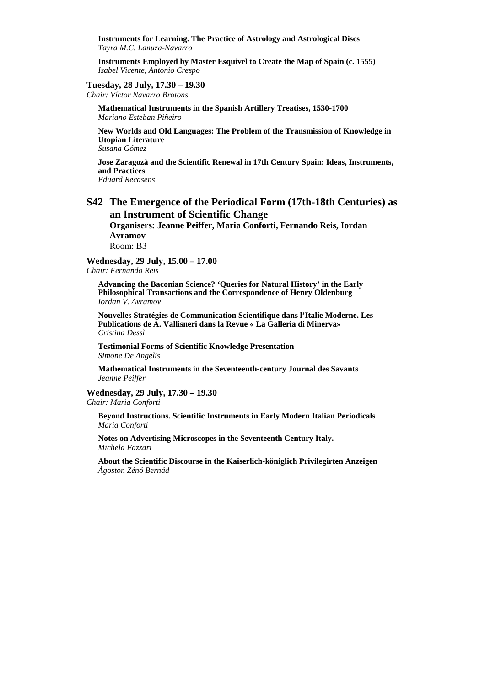**Instruments for Learning. The Practice of Astrology and Astrological Discs**  *Tayra M.C. Lanuza-Navarro* 

**Instruments Employed by Master Esquivel to Create the Map of Spain (c. 1555)**  *Isabel Vicente, Antonio Crespo* 

**Tuesday, 28 July, 17.30 – 19.30** 

*Chair: Víctor Navarro Brotons* 

**Mathematical Instruments in the Spanish Artillery Treatises, 1530-1700**  *Mariano Esteban Piñeiro* 

**New Worlds and Old Languages: The Problem of the Transmission of Knowledge in Utopian Literature** 

*Susana Gómez* 

**Jose Zaragozà and the Scientific Renewal in 17th Century Spain: Ideas, Instruments, and Practices** 

*Eduard Recasens* 

# **S42 The Emergence of the Periodical Form (17th-18th Centuries) as an Instrument of Scientific Change**

**Organisers: Jeanne Peiffer, Maria Conforti, Fernando Reis, Iordan Avramov**  Room: B3

**Wednesday, 29 July, 15.00 – 17.00**  *Chair: Fernando Reis* 

**Advancing the Baconian Science? 'Queries for Natural History' in the Early Philosophical Transactions and the Correspondence of Henry Oldenburg**  *Iordan V. Avramov* 

**Nouvelles Stratégies de Communication Scientifique dans l'Italie Moderne. Les Publications de A. Vallisneri dans la Revue « La Galleria di Minerva»**  *Cristina Dessì* 

**Testimonial Forms of Scientific Knowledge Presentation**  *Simone De Angelis* 

**Mathematical Instruments in the Seventeenth-century Journal des Savants**  *Jeanne Peiffer* 

**Wednesday, 29 July, 17.30 – 19.30**  *Chair: Maria Conforti* 

**Beyond Instructions. Scientific Instruments in Early Modern Italian Periodicals**  *Maria Conforti* 

**Notes on Advertising Microscopes in the Seventeenth Century Italy.**  *Michela Fazzari* 

**About the Scientific Discourse in the Kaiserlich-königlich Privilegirten Anzeigen**  *Ágoston Zénó Bernád*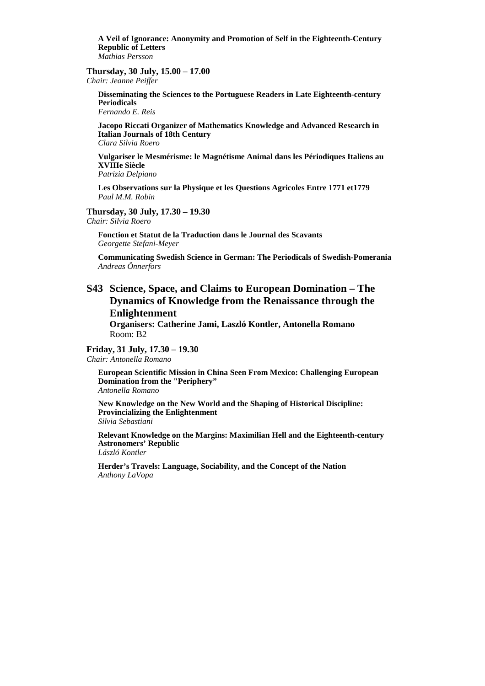**A Veil of Ignorance: Anonymity and Promotion of Self in the Eighteenth-Century Republic of Letters**  *Mathias Persson* 

#### **Thursday, 30 July, 15.00 – 17.00**

*Chair: Jeanne Peiffer* 

**Disseminating the Sciences to the Portuguese Readers in Late Eighteenth-century Periodicals** 

*Fernando E. Reis* 

**Jacopo Riccati Organizer of Mathematics Knowledge and Advanced Research in Italian Journals of 18th Century**  *Clara Silvia Roero* 

**Vulgariser le Mesmérisme: le Magnétisme Animal dans les Périodiques Italiens au XVIIIe Siècle**

*Patrizia Delpiano* 

**Les Observations sur la Physique et les Questions Agricoles Entre 1771 et1779** *Paul M.M. Robin* 

#### **Thursday, 30 July, 17.30 – 19.30**

*Chair: Silvia Roero* 

**Fonction et Statut de la Traduction dans le Journal des Scavants** *Georgette Stefani-Meyer* 

**Communicating Swedish Science in German: The Periodicals of Swedish-Pomerania** *Andreas Önnerfors* 

# **S43 Science, Space, and Claims to European Domination – The Dynamics of Knowledge from the Renaissance through the Enlightenment**

**Organisers: Catherine Jami, Laszló Kontler, Antonella Romano**  Room: B2

#### **Friday, 31 July, 17.30 – 19.30**  *Chair: Antonella Romano*

**European Scientific Mission in China Seen From Mexico: Challenging European Domination from the "Periphery"**  *Antonella Romano* 

**New Knowledge on the New World and the Shaping of Historical Discipline: Provincializing the Enlightenment**  *Silvia Sebastiani* 

**Relevant Knowledge on the Margins: Maximilian Hell and the Eighteenth-century Astronomers' Republic**  *László Kontler* 

**Herder's Travels: Language, Sociability, and the Concept of the Nation**  *Anthony LaVopa*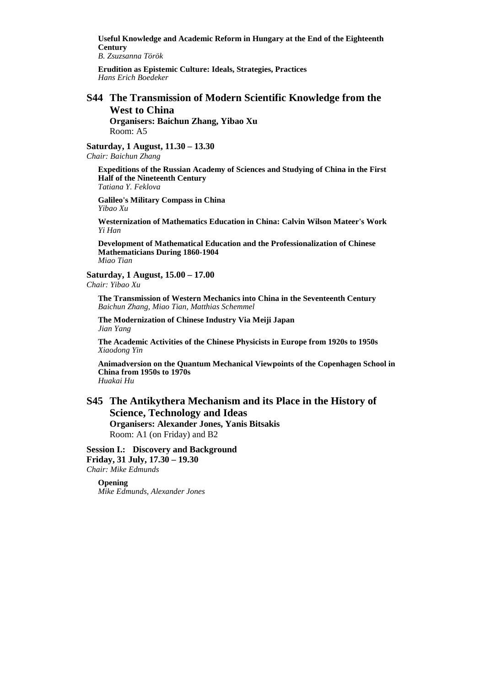**Useful Knowledge and Academic Reform in Hungary at the End of the Eighteenth Century** 

*B. Zsuzsanna Török* 

**Erudition as Epistemic Culture: Ideals, Strategies, Practices**  *Hans Erich Boedeker* 

# **S44 The Transmission of Modern Scientific Knowledge from the West to China**

**Organisers: Baichun Zhang, Yibao Xu**  Room: A5

**Saturday, 1 August, 11.30 – 13.30**  *Chair: Baichun Zhang* 

**Expeditions of the Russian Academy of Sciences and Studying of China in the First Half of the Nineteenth Century**  *Tatiana Y. Feklova* 

**Galileo's Military Compass in China**  *Yibao Xu* 

**Westernization of Mathematics Education in China: Calvin Wilson Mateer's Work**  *Yi Han* 

**Development of Mathematical Education and the Professionalization of Chinese Mathematicians During 1860-1904**  *Miao Tian* 

**Saturday, 1 August, 15.00 – 17.00**  *Chair: Yibao Xu* 

**The Transmission of Western Mechanics into China in the Seventeenth Century**  *Baichun Zhang, Miao Tian, Matthias Schemmel* 

**The Modernization of Chinese Industry Via Meiji Japan**  *Jian Yang* 

**The Academic Activities of the Chinese Physicists in Europe from 1920s to 1950s**  *Xiaodong Yin* 

**Animadversion on the Quantum Mechanical Viewpoints of the Copenhagen School in China from 1950s to 1970s**  *Huakai Hu* 

### **S45 The Antikythera Mechanism and its Place in the History of Science, Technology and Ideas Organisers: Alexander Jones, Yanis Bitsakis**  Room: A1 (on Friday) and B2

**Session I.: Discovery and Background Friday, 31 July, 17.30 – 19.30**  *Chair: Mike Edmunds* 

**Opening**  *Mike Edmunds, Alexander Jones*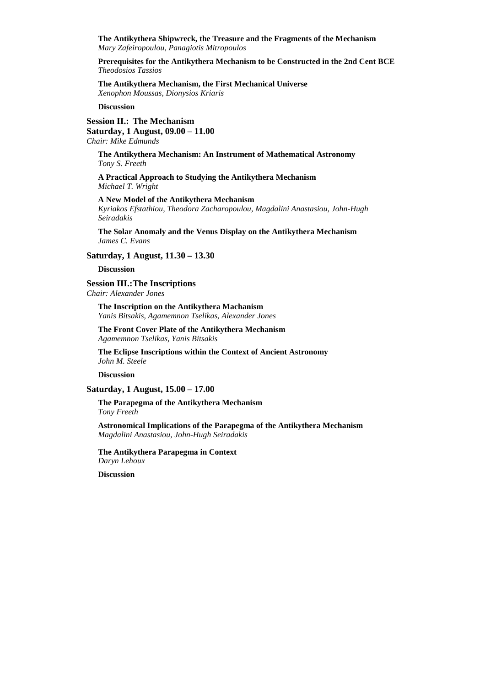**The Antikythera Shipwreck, the Treasure and the Fragments of the Mechanism**  *Mary Zafeiropoulou, Panagiotis Mitropoulos* 

**Prerequisites for the Antikythera Mechanism to be Constructed in the 2nd Cent BCE**  *Theodosios Tassios* 

**The Antikythera Mechanism, the First Mechanical Universe**  *Xenophon Moussas, Dionysios Kriaris* 

**Discussion** 

#### **Session II.: The Mechanism Saturday, 1 August, 09.00 – 11.00**

*Chair: Mike Edmunds* 

**The Antikythera Mechanism: An Instrument of Mathematical Astronomy**  *Tony S. Freeth* 

**A Practical Approach to Studying the Antikythera Mechanism**  *Michael T. Wright* 

**A New Model of the Antikythera Mechanism**  *Kyriakos Efstathiou, Theodora Zacharopoulou, Magdalini Anastasiou, John-Hugh Seiradakis* 

**The Solar Anomaly and the Venus Display on the Antikythera Mechanism**  *James C. Evans* 

#### **Saturday, 1 August, 11.30 – 13.30**

**Discussion** 

#### **Session III.: The Inscriptions**

*Chair: Alexander Jones* 

**The Inscription on the Antikythera Machanism**  *Yanis Bitsakis, Agamemnon Tselikas, Alexander Jones*

**The Front Cover Plate of the Antikythera Mechanism**  *Agamemnon Tselikas, Yanis Bitsakis* 

**The Eclipse Inscriptions within the Context of Ancient Astronomy**  *John M. Steele* 

**Discussion** 

### **Saturday, 1 August, 15.00 – 17.00**

**The Parapegma of the Antikythera Mechanism**  *Tony Freeth* 

**Astronomical Implications of the Parapegma of the Antikythera Mechanism**  *Magdalini Anastasiou, John-Hugh Seiradakis* 

**The Antikythera Parapegma in Context**  *Daryn Lehoux* 

**Discussion**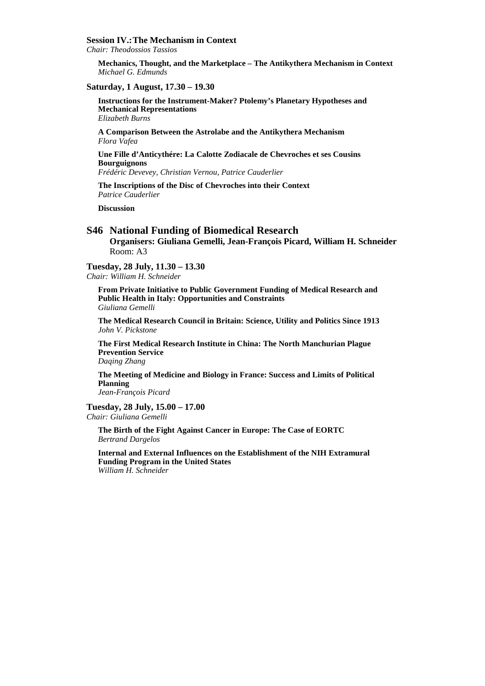#### **Session IV.: The Mechanism in Context**

*Chair: Theodossios Tassios* 

**Mechanics, Thought, and the Marketplace – The Antikythera Mechanism in Context**  *Michael G. Edmunds* 

#### **Saturday, 1 August, 17.30 – 19.30**

**Instructions for the Instrument-Maker? Ptolemy's Planetary Hypotheses and Mechanical Representations**  *Elizabeth Burns* 

**A Comparison Between the Astrolabe and the Antikythera Mechanism**  *Flora Vafea* 

**Une Fille d'Anticythére: La Calotte Zodiacale de Chevroches et ses Cousins Bourguignons** 

*Frédéric Devevey, Christian Vernou, Patrice Cauderlier* 

**The Inscriptions of the Disc of Chevroches into their Context**  *Patrice Cauderlier* 

**Discussion** 

### **S46 National Funding of Biomedical Research**

**Organisers: Giuliana Gemelli, Jean-François Picard, William H. Schneider**  Room: A3

#### **Tuesday, 28 July, 11.30 – 13.30**

*Chair: William H. Schneider* 

**From Private Initiative to Public Government Funding of Medical Research and Public Health in Italy: Opportunities and Constraints**  *Giuliana Gemelli* 

**The Medical Research Council in Britain: Science, Utility and Politics Since 1913**  *John V. Pickstone* 

**The First Medical Research Institute in China: The North Manchurian Plague Prevention Service** 

*Daqing Zhang* 

**The Meeting of Medicine and Biology in France: Success and Limits of Political Planning** 

*Jean-François Picard* 

#### **Tuesday, 28 July, 15.00 – 17.00**

*Chair: Giuliana Gemelli* 

**The Birth of the Fight Against Cancer in Europe: The Case of EORTC**  *Bertrand Dargelos* 

**Internal and External Influences on the Establishment of the NIH Extramural Funding Program in the United States**  *William H. Schneider*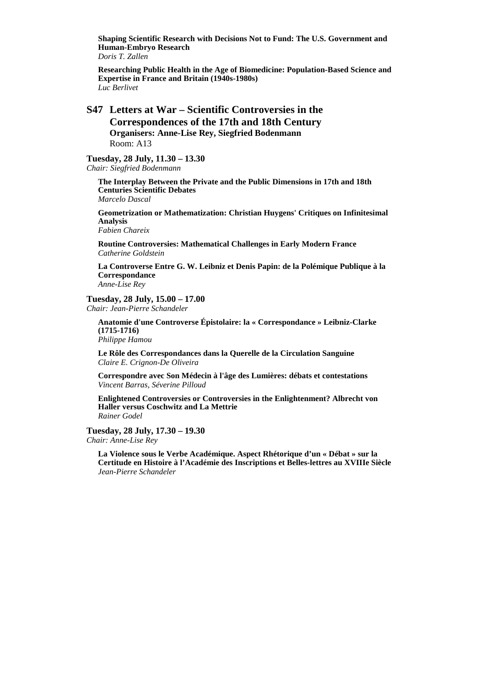**Shaping Scientific Research with Decisions Not to Fund: The U.S. Government and Human-Embryo Research** 

*Doris T. Zallen* 

**Researching Public Health in the Age of Biomedicine: Population-Based Science and Expertise in France and Britain (1940s-1980s)**  *Luc Berlivet* 

### **S47 Letters at War – Scientific Controversies in the Correspondences of the 17th and 18th Century Organisers: Anne-Lise Rey, Siegfried Bodenmann**  Room: A13

### **Tuesday, 28 July, 11.30 – 13.30**

*Chair: Siegfried Bodenmann* 

**The Interplay Between the Private and the Public Dimensions in 17th and 18th Centuries Scientific Debates**  *Marcelo Dascal* 

**Geometrization or Mathematization: Christian Huygens' Critiques on Infinitesimal Analysis** 

*Fabien Chareix* 

**Routine Controversies: Mathematical Challenges in Early Modern France**  *Catherine Goldstein* 

**La Controverse Entre G. W. Leibniz et Denis Papin: de la Polémique Publique à la Correspondance**  *Anne-Lise Rey* 

#### **Tuesday, 28 July, 15.00 – 17.00**

*Chair: Jean-Pierre Schandeler* 

**Anatomie d'une Controverse Épistolaire: la « Correspondance » Leibniz-Clarke (1715-1716)**  *Philippe Hamou* 

**Le Rôle des Correspondances dans la Querelle de la Circulation Sanguine**  *Claire E. Crignon-De Oliveira* 

**Correspondre avec Son Médecin à l'âge des Lumières: débats et contestations**  *Vincent Barras, Séverine Pilloud* 

**Enlightened Controversies or Controversies in the Enlightenment? Albrecht von Haller versus Coschwitz and La Mettrie**  *Rainer Godel* 

**Tuesday, 28 July, 17.30 – 19.30**  *Chair: Anne-Lise Rey* 

**La Violence sous le Verbe Académique. Aspect Rhétorique d'un « Débat » sur la Certitude en Histoire à l'Académie des Inscriptions et Belles-lettres au XVIIIe Siècle**  *Jean-Pierre Schandeler*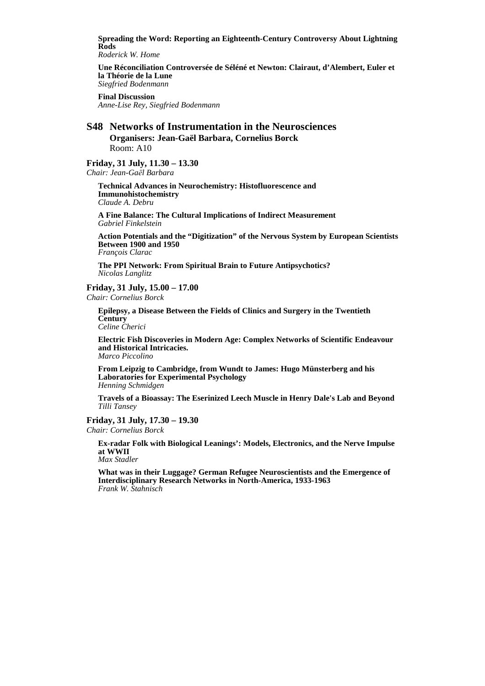**Spreading the Word: Reporting an Eighteenth-Century Controversy About Lightning Rods**  *Roderick W. Home* 

**Une Réconciliation Controversée de Séléné et Newton: Clairaut, d'Alembert, Euler et la Théorie de la Lune**  *Siegfried Bodenmann* 

**Final Discussion**  *Anne-Lise Rey, Siegfried Bodenmann* 

### **S48 Networks of Instrumentation in the Neurosciences Organisers: Jean-Gaël Barbara, Cornelius Borck**  Room: A10

### **Friday, 31 July, 11.30 – 13.30**

*Chair: Jean-Gaёl Barbara* 

**Technical Advances in Neurochemistry: Histofluorescence and Immunohistochemistry**  *Claude A. Debru* 

**A Fine Balance: The Cultural Implications of Indirect Measurement**  *Gabriel Finkelstein* 

**Action Potentials and the "Digitization" of the Nervous System by European Scientists Between 1900 and 1950** 

*François Clarac* 

**The PPI Network: From Spiritual Brain to Future Antipsychotics?**  *Nicolas Langlitz* 

**Friday, 31 July, 15.00 – 17.00**  *Chair: Cornelius Borck* 

**Epilepsy, a Disease Between the Fields of Clinics and Surgery in the Twentieth Century** 

*Celine Cherici* 

**Electric Fish Discoveries in Modern Age: Complex Networks of Scientific Endeavour and Historical Intricacies.**  *Marco Piccolino* 

**From Leipzig to Cambridge, from Wundt to James: Hugo Münsterberg and his Laboratories for Experimental Psychology**  *Henning Schmidgen* 

**Travels of a Bioassay: The Eserinized Leech Muscle in Henry Dale's Lab and Beyond**  *Tilli Tansey* 

### **Friday, 31 July, 17.30 – 19.30**

*Chair: Cornelius Borck* 

**Ex-radar Folk with Biological Leanings': Models, Electronics, and the Nerve Impulse at WWII** 

*Max Stadler* 

**What was in their Luggage? German Refugee Neuroscientists and the Emergence of Interdisciplinary Research Networks in North-America, 1933-1963**  *Frank W. Stahnisch*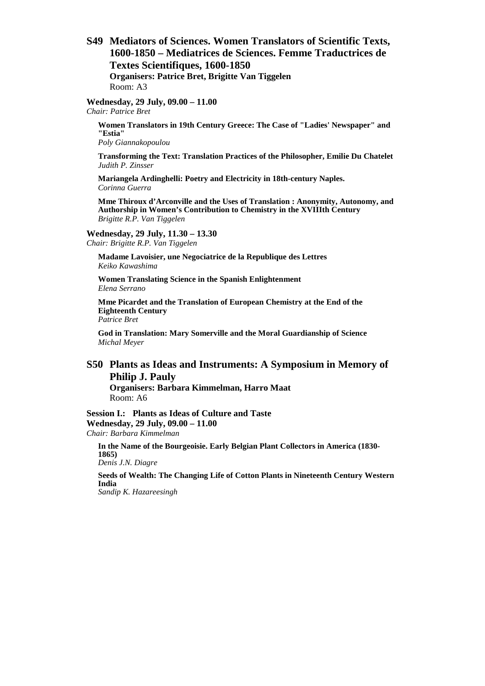**S49 Mediators of Sciences. Women Translators of Scientific Texts, 1600-1850 – Mediatrices de Sciences. Femme Traductrices de Textes Scientifiques, 1600-1850 Organisers: Patrice Bret, Brigitte Van Tiggelen**  Room: A3

**Wednesday, 29 July, 09.00 – 11.00** 

*Chair: Patrice Bret* 

**Women Translators in 19th Century Greece: The Case of "Ladies' Newspaper" and "Estia"** 

*Poly Giannakopoulou* 

**Transforming the Text: Translation Practices of the Philosopher, Emilie Du Chatelet**  *Judith P. Zinsser* 

**Mariangela Ardinghelli: Poetry and Electricity in 18th-century Naples.**  *Corinna Guerra* 

**Mme Thiroux d'Arconville and the Uses of Translation : Anonymity, Autonomy, and Authorship in Women's Contribution to Chemistry in the XVIIIth Century**  *Brigitte R.P. Van Tiggelen* 

#### **Wednesday, 29 July, 11.30 – 13.30**

*Chair: Brigitte R.P. Van Tiggelen* 

**Madame Lavoisier, une Negociatrice de la Republique des Lettres**  *Keiko Kawashima* 

**Women Translating Science in the Spanish Enlightenment**  *Elena Serrano* 

**Mme Picardet and the Translation of European Chemistry at the End of the Eighteenth Century** 

*Patrice Bret* 

**God in Translation: Mary Somerville and the Moral Guardianship of Science**  *Michal Meyer* 

# **S50 Plants as Ideas and Instruments: A Symposium in Memory of Philip J. Pauly**

**Organisers: Barbara Kimmelman, Harro Maat**  Room: A6

**Session I.: Plants as Ideas of Culture and Taste Wednesday, 29 July, 09.00 – 11.00**  *Chair: Barbara Kimmelman* 

**In the Name of the Bourgeoisie. Early Belgian Plant Collectors in America (1830- 1865)**  *Denis J.N. Diagre* 

**Seeds of Wealth: The Changing Life of Cotton Plants in Nineteenth Century Western India** 

*Sandip K. Hazareesingh*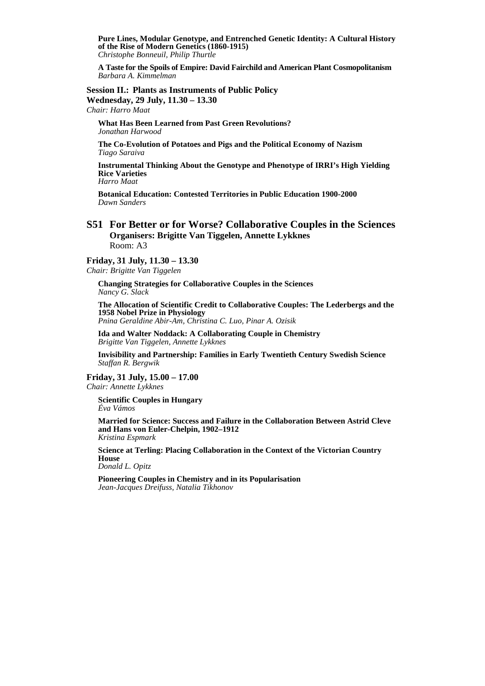**Pure Lines, Modular Genotype, and Entrenched Genetic Identity: A Cultural History of the Rise of Modern Genetics (1860-1915)**  *Christophe Bonneuil, Philip Thurtle* 

**A Taste for the Spoils of Empire: David Fairchild and American Plant Cosmopolitanism**  *Barbara A. Kimmelman* 

# **Session II.: Plants as Instruments of Public Policy**

**Wednesday, 29 July, 11.30 – 13.30**  *Chair: Harro Maat* 

**What Has Been Learned from Past Green Revolutions?**  *Jonathan Harwood* 

**The Co-Evolution of Potatoes and Pigs and the Political Economy of Nazism**  *Tiago Saraiva* 

**Instrumental Thinking About the Genotype and Phenotype of IRRI's High Yielding Rice Varieties** 

*Harro Maat* 

**Botanical Education: Contested Territories in Public Education 1900-2000**  *Dawn Sanders* 

### **S51 For Better or for Worse? Collaborative Couples in the Sciences Organisers: Brigitte Van Tiggelen, Annette Lykknes**  Room: A3

#### **Friday, 31 July, 11.30 – 13.30**

*Chair: Brigitte Van Tiggelen* 

**Changing Strategies for Collaborative Couples in the Sciences**  *Nancy G. Slack* 

**The Allocation of Scientific Credit to Collaborative Couples: The Lederbergs and the 1958 Nobel Prize in Physiology**  *Pnina Geraldine Abir-Am, Christina C. Luo, Pinar A. Ozisik* 

**Ida and Walter Noddack: A Collaborating Couple in Chemistry**  *Brigitte Van Tiggelen, Annette Lykknes* 

**Invisibility and Partnership: Families in Early Twentieth Century Swedish Science**  *Staffan R. Bergwik* 

**Friday, 31 July, 15.00 – 17.00**  *Chair: Annette Lykknes* 

**Scientific Couples in Hungary**  *Éva Vámos* 

**Married for Science: Success and Failure in the Collaboration Between Astrid Cleve and Hans von Euler-Chelpin, 1902–1912**  *Kristina Espmark* 

**Science at Terling: Placing Collaboration in the Context of the Victorian Country House** 

*Donald L. Opitz* 

**Pioneering Couples in Chemistry and in its Popularisation**  *Jean-Jacques Dreifuss, Natalia Tikhonov*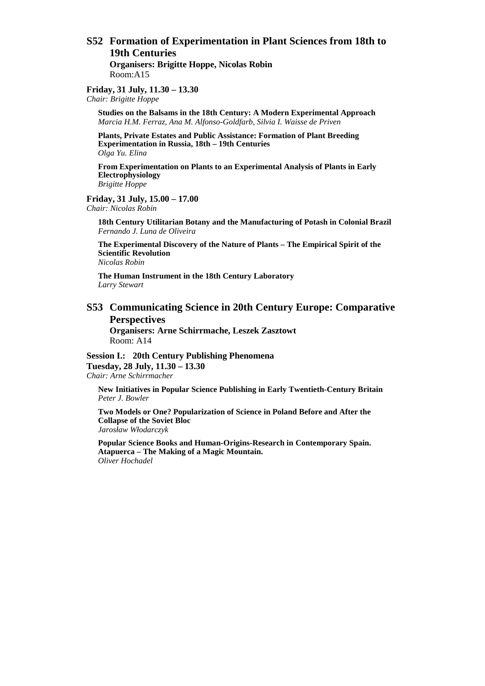### **S52 Formation of Experimentation in Plant Sciences from 18th to 19th Centuries Organisers: Brigitte Hoppe, Nicolas Robin**  Room:A15

#### **Friday, 31 July, 11.30 – 13.30**  *Chair: Brigitte Hoppe*

**Studies on the Balsams in the 18th Century: A Modern Experimental Approach**  *Marcia H.M. Ferraz, Ana M. Alfonso-Goldfarb, Silvia I. Waisse de Priven* 

**Plants, Private Estates and Public Assistance: Formation of Plant Breeding Experimentation in Russia, 18th – 19th Centuries**  *Olga Yu. Elina* 

**From Experimentation on Plants to an Experimental Analysis of Plants in Early Electrophysiology**  *Brigitte Hoppe* 

# **Friday, 31 July, 15.00 – 17.00**

*Chair: Nicolas Robin* 

**18th Century Utilitarian Botany and the Manufacturing of Potash in Colonial Brazil**  *Fernando J. Luna de Oliveira* 

**The Experimental Discovery of the Nature of Plants – The Empirical Spirit of the Scientific Revolution**

*Nicolas Robin* 

**The Human Instrument in the 18th Century Laboratory** *Larry Stewart* 

### **S53 Communicating Science in 20th Century Europe: Comparative Perspectives**

**Organisers: Arne Schirrmache, Leszek Zasztowt**  Room: A14

**Session I.: 20th Century Publishing Phenomena Tuesday, 28 July, 11.30 – 13.30**  *Chair: Arne Schirrmacher* 

**New Initiatives in Popular Science Publishing in Early Twentieth-Century Britain** *Peter J. Bowler* 

**Two Models or One? Popularization of Science in Poland Before and After the Collapse of the Soviet Bloc** *Jarosław Włodarczyk* 

**Popular Science Books and Human-Origins-Research in Contemporary Spain. Atapuerca – The Making of a Magic Mountain.** *Oliver Hochadel*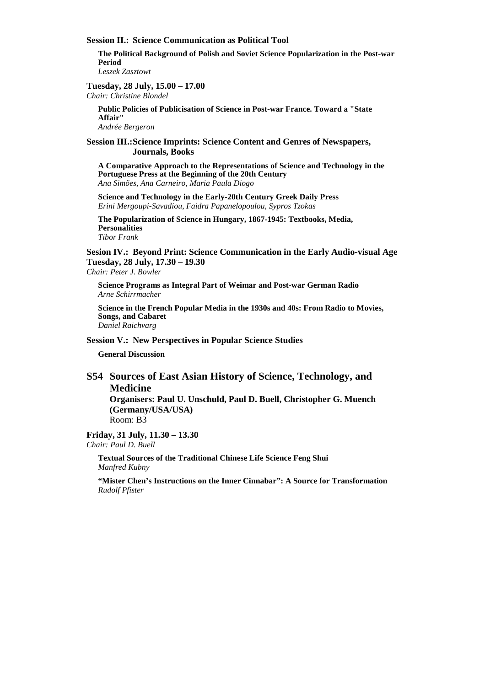#### **Session II.: Science Communication as Political Tool**

**The Political Background of Polish and Soviet Science Popularization in the Post-war Period** *Leszek Zasztowt* 

#### **Tuesday, 28 July, 15.00 – 17.00**  *Chair: Christine Blondel*

**Public Policies of Publicisation of Science in Post-war France. Toward a "State Affair"**

*Andrée Bergeron* 

#### **Session III.: Science Imprints: Science Content and Genres of Newspapers, Journals, Books**

**A Comparative Approach to the Representations of Science and Technology in the Portuguese Press at the Beginning of the 20th Century** *Ana Simões, Ana Carneiro, Maria Paula Diogo* 

**Science and Technology in the Early-20th Century Greek Daily Press** *Erini Mergoupi-Savadiou, Faidra Papanelopoulou, Sypros Tzokas* 

**The Popularization of Science in Hungary, 1867-1945: Textbooks, Media, Personalities**  *Tibor Frank* 

**Sesion IV.: Beyond Print: Science Communication in the Early Audio-visual Age Tuesday, 28 July, 17.30 – 19.30** 

*Chair: Peter J. Bowler* 

**Science Programs as Integral Part of Weimar and Post-war German Radio**  *Arne Schirrmacher* 

**Science in the French Popular Media in the 1930s and 40s: From Radio to Movies, Songs, and Cabaret**  *Daniel Raichvarg* 

#### **Session V.: New Perspectives in Popular Science Studies**

**General Discussion** 

# **S54 Sources of East Asian History of Science, Technology, and Medicine**

**Organisers: Paul U. Unschuld, Paul D. Buell, Christopher G. Muench (Germany/USA/USA)**  Room: B3

**Friday, 31 July, 11.30 – 13.30**  *Chair: Paul D. Buell* 

> **Textual Sources of the Traditional Chinese Life Science Feng Shui**  *Manfred Kubny*

**"Mister Chen's Instructions on the Inner Cinnabar": A Source for Transformation** *Rudolf Pfister*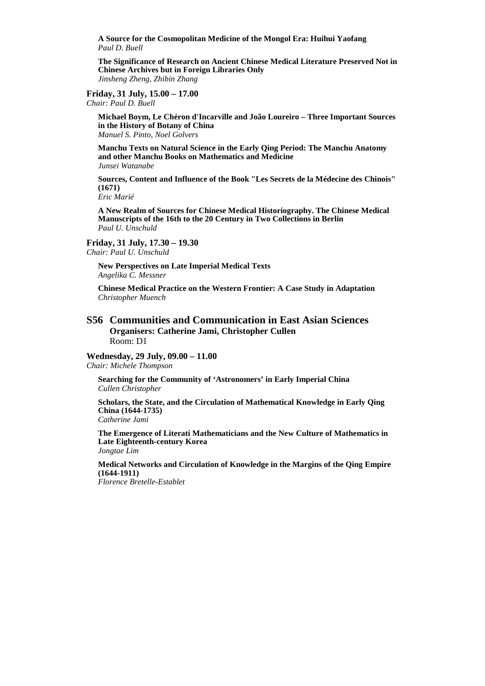**A Source for the Cosmopolitan Medicine of the Mongol Era: Huihui Yaofang** *Paul D. Buell* 

**The Significance of Research on Ancient Chinese Medical Literature Preserved Not in Chinese Archives but in Foreign Libraries Only** *Jinsheng Zheng, Zhibin Zhang* 

#### **Friday, 31 July, 15.00 – 17.00**

*Chair: Paul D. Buell* 

**Michael Boym, Le Chéron d'Incarville and João Loureiro – Three Important Sources in the History of Botany of China**  *Manuel S. Pinto, Noel Golvers* 

**Manchu Texts on Natural Science in the Early Qing Period: The Manchu Anatomy and other Manchu Books on Mathematics and Medicine**  *Junsei Watanabe* 

**Sources, Content and Influence of the Book "Les Secrets de la Médecine des Chinois" (1671)** 

*Eric Marié* 

**A New Realm of Sources for Chinese Medical Historiography. The Chinese Medical Manuscripts of the 16th to the 20 Century in Two Collections in Berlin**  *Paul U. Unschuld* 

### **Friday, 31 July, 17.30 – 19.30**

*Chair: Paul U. Unschuld* 

**New Perspectives on Late Imperial Medical Texts**  *Angelika C. Messner* 

**Chinese Medical Practice on the Western Frontier: A Case Study in Adaptation** *Christopher Muench* 

### **S56 Communities and Communication in East Asian Sciences Organisers: Catherine Jami, Christopher Cullen**  Room: D1

#### **Wednesday, 29 July, 09.00 – 11.00**

*Chair: Michele Thompson* 

**Searching for the Community of 'Astronomers' in Early Imperial China**  *Cullen Christopher* 

**Scholars, the State, and the Circulation of Mathematical Knowledge in Early Qing China (1644-1735)**  *Catherine Jami* 

**The Emergence of Literati Mathematicians and the New Culture of Mathematics in Late Eighteenth-century Korea**  *Jongtae Lim* 

**Medical Networks and Circulation of Knowledge in the Margins of the Qing Empire (1644-1911)** 

*Florence Bretelle-Establet*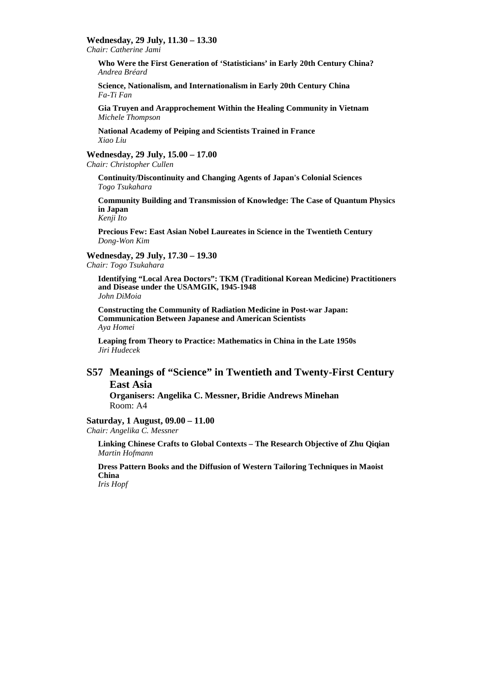#### **Wednesday, 29 July, 11.30 – 13.30**

*Chair: Catherine Jami* 

**Who Were the First Generation of 'Statisticians' in Early 20th Century China?**  *Andrea Bréard* 

**Science, Nationalism, and Internationalism in Early 20th Century China**  *Fa-Ti Fan* 

**Gia Truyen and Arapprochement Within the Healing Community in Vietnam**  *Michele Thompson* 

**National Academy of Peiping and Scientists Trained in France**  *Xiao Liu* 

**Wednesday, 29 July, 15.00 – 17.00** 

*Chair: Christopher Cullen* 

**Continuity/Discontinuity and Changing Agents of Japan's Colonial Sciences**  *Togo Tsukahara* 

**Community Building and Transmission of Knowledge: The Case of Quantum Physics in Japan** 

*Kenji Ito* 

**Precious Few: East Asian Nobel Laureates in Science in the Twentieth Century**  *Dong-Won Kim* 

#### **Wednesday, 29 July, 17.30 – 19.30**  *Chair: Togo Tsukahara*

**Identifying "Local Area Doctors": TKM (Traditional Korean Medicine) Practitioners and Disease under the USAMGIK, 1945-1948**  *John DiMoia* 

**Constructing the Community of Radiation Medicine in Post-war Japan: Communication Between Japanese and American Scientists**  *Aya Homei* 

**Leaping from Theory to Practice: Mathematics in China in the Late 1950s**  *Jiri Hudecek* 

### **S57 Meanings of "Science" in Twentieth and Twenty-First Century East Asia**

**Organisers: Angelika C. Messner, Bridie Andrews Minehan**  Room: A4

# **Saturday, 1 August, 09.00 – 11.00**

*Chair: Angelika C. Messner* 

**Linking Chinese Crafts to Global Contexts – The Research Objective of Zhu Qiqian**  *Martin Hofmann* 

**Dress Pattern Books and the Diffusion of Western Tailoring Techniques in Maoist China** 

*Iris Hopf*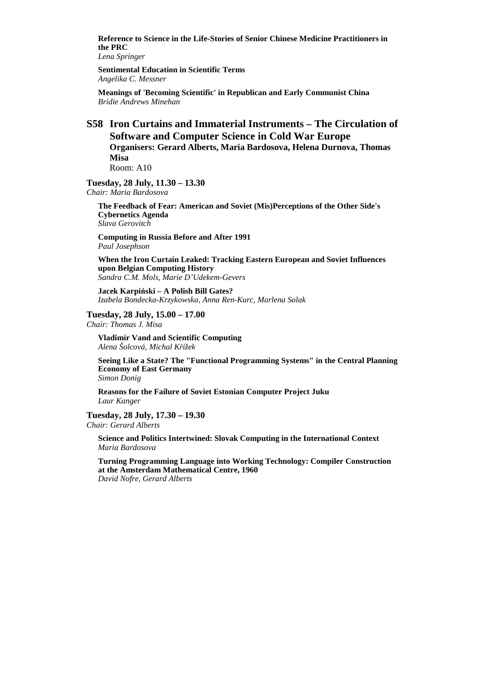**Reference to Science in the Life-Stories of Senior Chinese Medicine Practitioners in the PRC** 

*Lena Springer* 

**Sentimental Education in Scientific Terms**  *Angelika C. Messner* 

**Meanings of 'Becoming Scientific' in Republican and Early Communist China**  *Bridie Andrews Minehan* 

### **S58 Iron Curtains and Immaterial Instruments – The Circulation of Software and Computer Science in Cold War Europe Organisers: Gerard Alberts, Maria Bardosova, Helena Durnova, Thomas Misa**  Room: A10

**Tuesday, 28 July, 11.30 – 13.30** 

*Chair: Maria Bardosova* 

**The Feedback of Fear: American and Soviet (Mis)Perceptions of the Other Side's Cybernetics Agenda**  *Slava Gerovitch* 

**Computing in Russia Before and After 1991** *Paul Josephson* 

**When the Iron Curtain Leaked: Tracking Eastern European and Soviet Influences upon Belgian Computing History** *Sandra C.M. Mols, Marie D'Udekem-Gevers* 

**Jacek Karpiński – A Polish Bill Gates?** *Izabela Bondecka-Krzykowska, Anna Ren-Kurc, Marlena Solak* 

**Tuesday, 28 July, 15.00 – 17.00**  *Chair: Thomas J. Misa* 

**Vladimír Vand and Scientific Computing**

*Alena Šolcová, Michal Křížek* 

**Seeing Like a State? The "Functional Programming Systems" in the Central Planning Economy of East Germany** *Simon Donig* 

**Reasons for the Failure of Soviet Estonian Computer Project Juku** *Laur Kanger* 

**Tuesday, 28 July, 17.30 – 19.30**  *Chair: Gerard Alberts* 

**Science and Politics Intertwined: Slovak Computing in the International Context** *Maria Bardosova* 

**Turning Programming Language into Working Technology: Compiler Construction at the Amsterdam Mathematical Centre, 1960** *David Nofre, Gerard Alberts*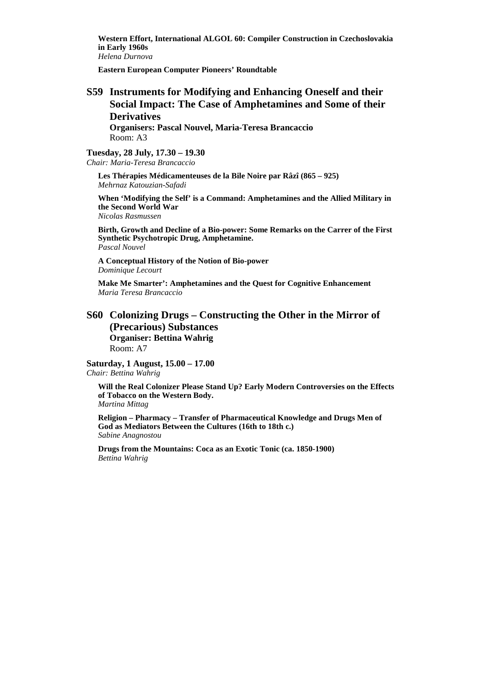**Western Effort, International ALGOL 60: Compiler Construction in Czechoslovakia in Early 1960s**

*Helena Durnova* 

**Eastern European Computer Pioneers' Roundtable** 

# **S59 Instruments for Modifying and Enhancing Oneself and their Social Impact: The Case of Amphetamines and Some of their Derivatives**

**Organisers: Pascal Nouvel, Maria-Teresa Brancaccio**  Room: A3

#### **Tuesday, 28 July, 17.30 – 19.30**

*Chair: Maria-Teresa Brancaccio* 

**Les Thérapies Médicamenteuses de la Bile Noire par Râzî (865 – 925)**  *Mehrnaz Katouzian-Safadi* 

**When 'Modifying the Self' is a Command: Amphetamines and the Allied Military in the Second World War**  *Nicolas Rasmussen* 

**Birth, Growth and Decline of a Bio-power: Some Remarks on the Carrer of the First Synthetic Psychotropic Drug, Amphetamine.**  *Pascal Nouvel* 

**A Conceptual History of the Notion of Bio-power**  *Dominique Lecourt* 

**Make Me Smarter': Amphetamines and the Quest for Cognitive Enhancement**  *Maria Teresa Brancaccio* 

### **S60 Colonizing Drugs – Constructing the Other in the Mirror of (Precarious) Substances Organiser: Bettina Wahrig**  Room: A7

**Saturday, 1 August, 15.00 – 17.00**  *Chair: Bettina Wahrig* 

**Will the Real Colonizer Please Stand Up? Early Modern Controversies on the Effects of Tobacco on the Western Body.** 

*Martina Mittag* 

**Religion – Pharmacy – Transfer of Pharmaceutical Knowledge and Drugs Men of God as Mediators Between the Cultures (16th to 18th c.)** *Sabine Anagnostou* 

**Drugs from the Mountains: Coca as an Exotic Tonic (ca. 1850-1900)** *Bettina Wahrig*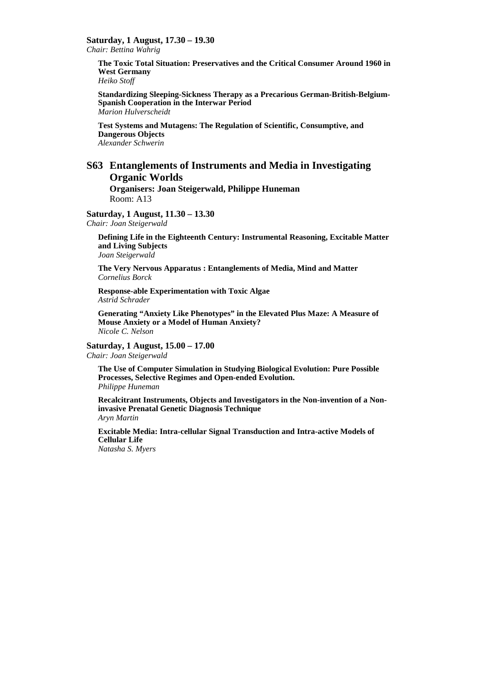**Saturday, 1 August, 17.30 – 19.30** 

*Chair: Bettina Wahrig* 

**The Toxic Total Situation: Preservatives and the Critical Consumer Around 1960 in West Germany** 

*Heiko Stoff* 

**Standardizing Sleeping-Sickness Therapy as a Precarious German-British-Belgium-Spanish Cooperation in the Interwar Period** *Marion Hulverscheidt* 

**Test Systems and Mutagens: The Regulation of Scientific, Consumptive, and Dangerous Objects** *Alexander Schwerin* 

### **S63 Entanglements of Instruments and Media in Investigating Organic Worlds**

**Organisers: Joan Steigerwald, Philippe Huneman**  Room: A13

**Saturday, 1 August, 11.30 – 13.30** 

*Chair: Joan Steigerwald* 

**Defining Life in the Eighteenth Century: Instrumental Reasoning, Excitable Matter and Living Subjects** 

*Joan Steigerwald* 

**The Very Nervous Apparatus : Entanglements of Media, Mind and Matter** *Cornelius Borck* 

**Response-able Experimentation with Toxic Algae** *Astrid Schrader* 

**Generating "Anxiety Like Phenotypes" in the Elevated Plus Maze: A Measure of Mouse Anxiety or a Model of Human Anxiety?**  *Nicole C. Nelson* 

**Saturday, 1 August, 15.00 – 17.00** 

*Chair: Joan Steigerwald* 

**The Use of Computer Simulation in Studying Biological Evolution: Pure Possible Processes, Selective Regimes and Open-ended Evolution.**  *Philippe Huneman* 

**Recalcitrant Instruments, Objects and Investigators in the Non-invention of a Noninvasive Prenatal Genetic Diagnosis Technique** *Aryn Martin* 

**Excitable Media: Intra-cellular Signal Transduction and Intra-active Models of Cellular Life**  *Natasha S. Myers*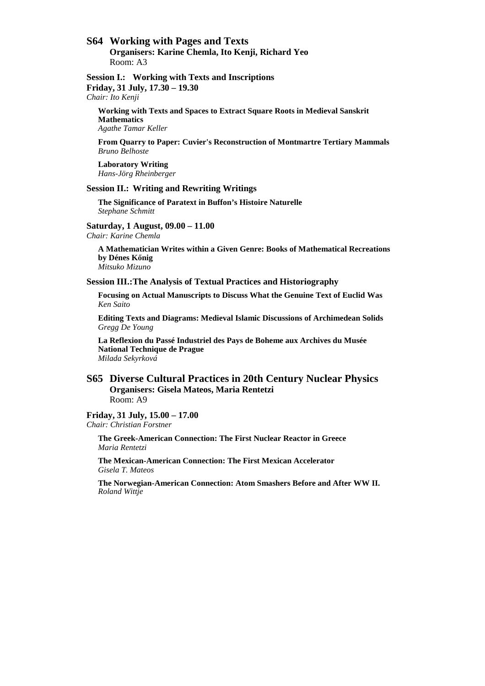### **S64 Working with Pages and Texts**

**Organisers: Karine Chemla, Ito Kenji, Richard Yeo**  Room: A3

**Session I.: Working with Texts and Inscriptions Friday, 31 July, 17.30 – 19.30**  *Chair: Ito Kenji* 

**Working with Texts and Spaces to Extract Square Roots in Medieval Sanskrit Mathematics**  *Agathe Tamar Keller* 

**From Quarry to Paper: Cuvier's Reconstruction of Montmartre Tertiary Mammals**  *Bruno Belhoste* 

**Laboratory Writing**  *Hans-Jörg Rheinberger* 

#### **Session II.: Writing and Rewriting Writings**

**The Significance of Paratext in Buffon's Histoire Naturelle**  *Stephane Schmitt* 

**Saturday, 1 August, 09.00 – 11.00** 

*Chair: Karine Chemla* 

**A Mathematician Writes within a Given Genre: Books of Mathematical Recreations by Dénes Kınig**  *Mitsuko Mizuno* 

**Session III.: The Analysis of Textual Practices and Historiography** 

**Focusing on Actual Manuscripts to Discuss What the Genuine Text of Euclid Was**  *Ken Saito* 

**Editing Texts and Diagrams: Medieval Islamic Discussions of Archimedean Solids**  *Gregg De Young* 

**La Reflexion du Passé Industriel des Pays de Boheme aux Archives du Musée National Technique de Prague**  *Milada Sekyrková* 

#### **S65 Diverse Cultural Practices in 20th Century Nuclear Physics Organisers: Gisela Mateos, Maria Rentetzi**  Room: A9

**Friday, 31 July, 15.00 – 17.00**  *Chair: Christian Forstner* 

> **The Greek-American Connection: The First Nuclear Reactor in Greece**  *Maria Rentetzi*

**The Mexican-American Connection: The First Mexican Accelerator** *Gisela T. Mateos* 

**The Norwegian-American Connection: Atom Smashers Before and After WW II.**  *Roland Wittje*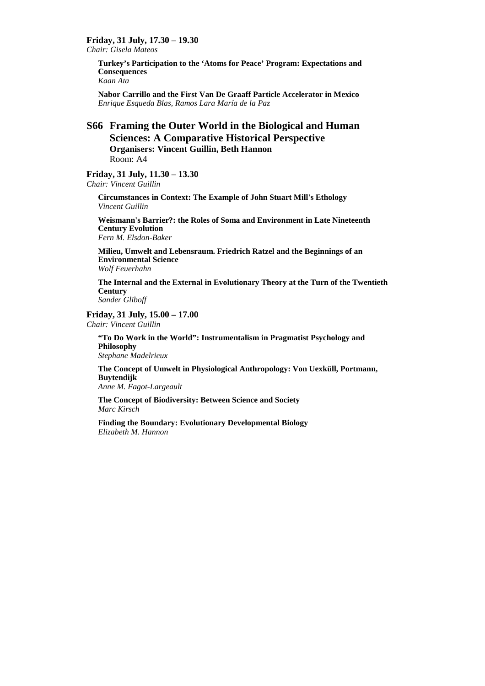**Friday, 31 July, 17.30 – 19.30** 

*Chair: Gisela Mateos* 

**Turkey's Participation to the 'Atoms for Peace' Program: Expectations and Consequences**  *Kaan Ata* 

**Nabor Carrillo and the First Van De Graaff Particle Accelerator in Mexico** *Enrique Esqueda Blas, Ramos Lara María de la Paz* 

### **S66 Framing the Outer World in the Biological and Human Sciences: A Comparative Historical Perspective Organisers: Vincent Guillin, Beth Hannon**  Room: A4

**Friday, 31 July, 11.30 – 13.30**  *Chair: Vincent Guillin* 

> **Circumstances in Context: The Example of John Stuart Mill's Ethology**  *Vincent Guillin*

**Weismann's Barrier?: the Roles of Soma and Environment in Late Nineteenth Century Evolution** *Fern M. Elsdon-Baker* 

**Milieu, Umwelt and Lebensraum. Friedrich Ratzel and the Beginnings of an Environmental Science** *Wolf Feuerhahn* 

**The Internal and the External in Evolutionary Theory at the Turn of the Twentieth Century**

*Sander Gliboff* 

**Friday, 31 July, 15.00 – 17.00**  *Chair: Vincent Guillin* 

> **"To Do Work in the World": Instrumentalism in Pragmatist Psychology and Philosophy**  *Stephane Madelrieux*

**The Concept of Umwelt in Physiological Anthropology: Von Uexküll, Portmann, Buytendijk** *Anne M. Fagot-Largeault* 

**The Concept of Biodiversity: Between Science and Society**  *Marc Kirsch* 

**Finding the Boundary: Evolutionary Developmental Biology**  *Elizabeth M. Hannon*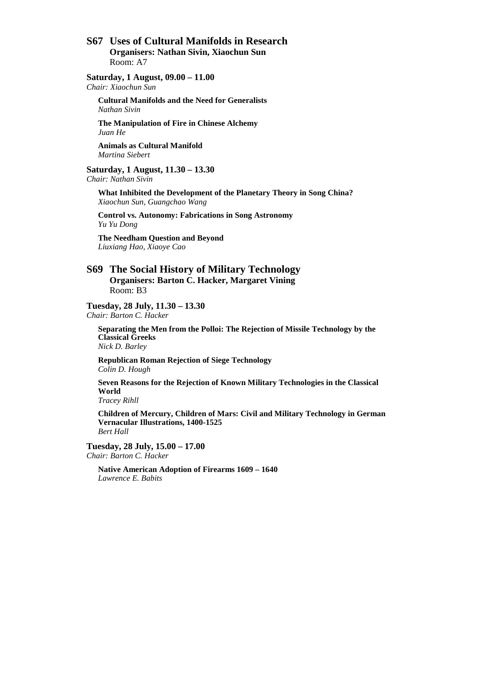### **S67 Uses of Cultural Manifolds in Research Organisers: Nathan Sivin, Xiaochun Sun**  Room: A7

#### **Saturday, 1 August, 09.00 – 11.00**

*Chair: Xiaochun Sun* 

**Cultural Manifolds and the Need for Generalists**  *Nathan Sivin* 

**The Manipulation of Fire in Chinese Alchemy**  *Juan He* 

**Animals as Cultural Manifold**  *Martina Siebert* 

**Saturday, 1 August, 11.30 – 13.30** 

*Chair: Nathan Sivin* 

**What Inhibited the Development of the Planetary Theory in Song China?**  *Xiaochun Sun, Guangchao Wang* 

**Control vs. Autonomy: Fabrications in Song Astronomy**  *Yu Yu Dong* 

**The Needham Question and Beyond** *Liuxiang Hao, Xiaoye Cao* 

### **S69 The Social History of Military Technology Organisers: Barton C. Hacker, Margaret Vining**  Room: B3

**Tuesday, 28 July, 11.30 – 13.30**  *Chair: Barton C. Hacker* 

**Separating the Men from the Polloi: The Rejection of Missile Technology by the Classical Greeks**  *Nick D. Barley* 

**Republican Roman Rejection of Siege Technology**  *Colin D. Hough* 

**Seven Reasons for the Rejection of Known Military Technologies in the Classical World** 

*Tracey Rihll* 

**Children of Mercury, Children of Mars: Civil and Military Technology in German Vernacular Illustrations, 1400-1525**  *Bert Hall* 

**Tuesday, 28 July, 15.00 – 17.00**  *Chair: Barton C. Hacker* 

**Native American Adoption of Firearms 1609 – 1640**  *Lawrence E. Babits*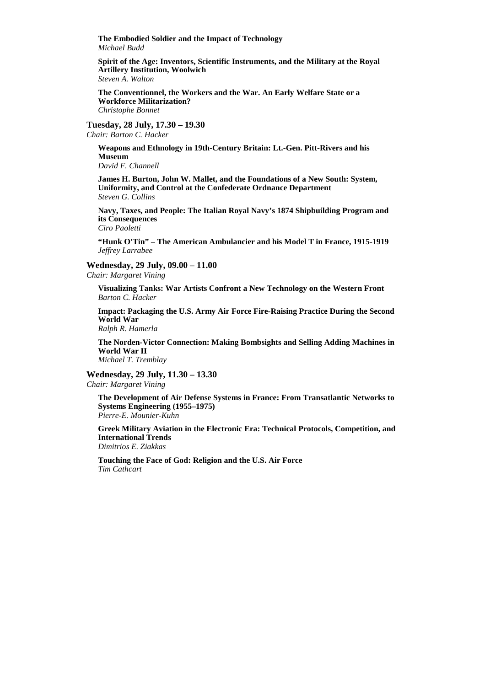**The Embodied Soldier and the Impact of Technology**  *Michael Budd* 

**Spirit of the Age: Inventors, Scientific Instruments, and the Military at the Royal Artillery Institution, Woolwich**  *Steven A. Walton* 

**The Conventionnel, the Workers and the War. An Early Welfare State or a Workforce Militarization?**  *Christophe Bonnet* 

**Tuesday, 28 July, 17.30 – 19.30** 

*Chair: Barton C. Hacker* 

**Weapons and Ethnology in 19th-Century Britain: Lt.-Gen. Pitt-Rivers and his Museum**  *David F. Channell* 

**James H. Burton, John W. Mallet, and the Foundations of a New South: System, Uniformity, and Control at the Confederate Ordnance Department**  *Steven G. Collins* 

**Navy, Taxes, and People: The Italian Royal Navy's 1874 Shipbuilding Program and its Consequences**  *Ciro Paoletti* 

**"Hunk O'Tin" – The American Ambulancier and his Model T in France, 1915-1919**  *Jeffrey Larrabee* 

**Wednesday, 29 July, 09.00 – 11.00** 

*Chair: Margaret Vining* 

**Visualizing Tanks: War Artists Confront a New Technology on the Western Front**  *Barton C. Hacker* 

**Impact: Packaging the U.S. Army Air Force Fire-Raising Practice During the Second World War**  *Ralph R. Hamerla* 

**The Norden-Victor Connection: Making Bombsights and Selling Adding Machines in World War II**  *Michael T. Tremblay* 

**Wednesday, 29 July, 11.30 – 13.30**  *Chair: Margaret Vining* 

**The Development of Air Defense Systems in France: From Transatlantic Networks to Systems Engineering (1955–1975)**  *Pierre-E. Mounier-Kuhn* 

**Greek Military Aviation in the Electronic Era: Technical Protocols, Competition, and International Trends**  *Dimitrios E. Ziakkas* 

**Touching the Face of God: Religion and the U.S. Air Force**  *Tim Cathcart*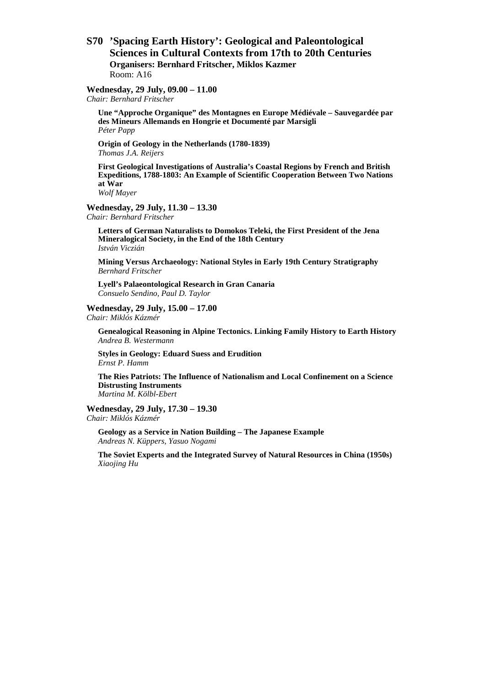### **S70 'Spacing Earth History': Geological and Paleontological Sciences in Cultural Contexts from 17th to 20th Centuries Organisers: Bernhard Fritscher, Miklos Kazmer**  Room: A16

### **Wednesday, 29 July, 09.00 – 11.00**

*Chair: Bernhard Fritscher* 

**Une "Approche Organique" des Montagnes en Europe Médiévale – Sauvegardée par des Mineurs Allemands en Hongrie et Documenté par Marsigli** *Péter Papp* 

**Origin of Geology in the Netherlands (1780-1839)** *Thomas J.A. Reijers* 

**First Geological Investigations of Australia's Coastal Regions by French and British Expeditions, 1788-1803: An Example of Scientific Cooperation Between Two Nations at War**  *Wolf Mayer* 

**Wednesday, 29 July, 11.30 – 13.30** 

*Chair: Bernhard Fritscher* 

**Letters of German Naturalists to Domokos Teleki, the First President of the Jena Mineralogical Society, in the End of the 18th Century** *István Viczián* 

**Mining Versus Archaeology: National Styles in Early 19th Century Stratigraphy** *Bernhard Fritscher* 

**Lyell's Palaeontological Research in Gran Canaria** *Consuelo Sendino, Paul D. Taylor* 

#### **Wednesday, 29 July, 15.00 – 17.00**

*Chair: Miklós Kázmér* 

**Genealogical Reasoning in Alpine Tectonics. Linking Family History to Earth History** *Andrea B. Westermann* 

**Styles in Geology: Eduard Suess and Erudition** *Ernst P. Hamm* 

**The Ries Patriots: The Influence of Nationalism and Local Confinement on a Science Distrusting Instruments** *Martina M. Kölbl-Ebert* 

#### **Wednesday, 29 July, 17.30 – 19.30**

*Chair: Miklós Kázmér* 

**Geology as a Service in Nation Building – The Japanese Example** *Andreas N. Küppers, Yasuo Nogami* 

**The Soviet Experts and the Integrated Survey of Natural Resources in China (1950s)** *Xiaojing Hu*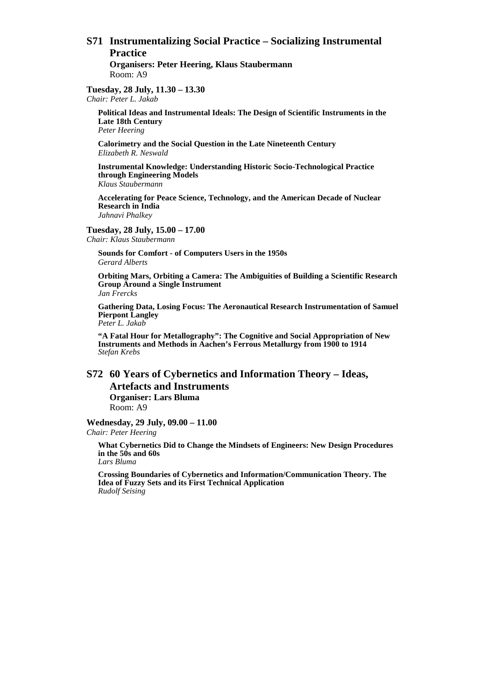# **S71 Instrumentalizing Social Practice – Socializing Instrumental Practice**

**Organisers: Peter Heering, Klaus Staubermann**  Room: A9

**Tuesday, 28 July, 11.30 – 13.30**  *Chair: Peter L. Jakab* 

**Political Ideas and Instrumental Ideals: The Design of Scientific Instruments in the Late 18th Century**  *Peter Heering* 

**Calorimetry and the Social Question in the Late Nineteenth Century**  *Elizabeth R. Neswald* 

**Instrumental Knowledge: Understanding Historic Socio-Technological Practice through Engineering Models**  *Klaus Staubermann* 

**Accelerating for Peace Science, Technology, and the American Decade of Nuclear Research in India**  *Jahnavi Phalkey* 

**Tuesday, 28 July, 15.00 – 17.00**  *Chair: Klaus Staubermann* 

**Sounds for Comfort - of Computers Users in the 1950s**  *Gerard Alberts* 

**Orbiting Mars, Orbiting a Camera: The Ambiguities of Building a Scientific Research Group Around a Single Instrument** 

*Jan Frercks* 

**Gathering Data, Losing Focus: The Aeronautical Research Instrumentation of Samuel Pierpont Langley**  *Peter L. Jakab* 

**"A Fatal Hour for Metallography": The Cognitive and Social Appropriation of New Instruments and Methods in Aachen's Ferrous Metallurgy from 1900 to 1914**  *Stefan Krebs* 

### **S72 60 Years of Cybernetics and Information Theory – Ideas, Artefacts and Instruments Organiser: Lars Bluma**  Room: A9

**Wednesday, 29 July, 09.00 – 11.00**  *Chair: Peter Heering* 

**What Cybernetics Did to Change the Mindsets of Engineers: New Design Procedures in the 50s and 60s**  *Lars Bluma* 

**Crossing Boundaries of Cybernetics and Information/Communication Theory. The Idea of Fuzzy Sets and its First Technical Application**  *Rudolf Seising*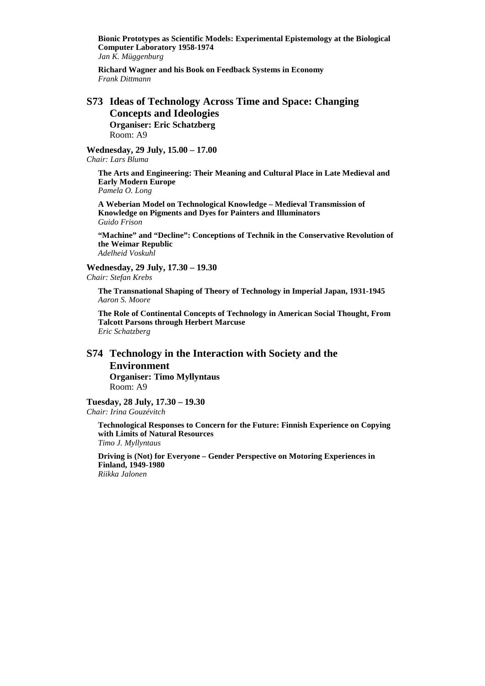**Bionic Prototypes as Scientific Models: Experimental Epistemology at the Biological Computer Laboratory 1958-1974**  *Jan K. Müggenburg* 

**Richard Wagner and his Book on Feedback Systems in Economy**  *Frank Dittmann* 

### **S73 Ideas of Technology Across Time and Space: Changing Concepts and Ideologies Organiser: Eric Schatzberg**  Room: A9

**Wednesday, 29 July, 15.00 – 17.00**  *Chair: Lars Bluma* 

**The Arts and Engineering: Their Meaning and Cultural Place in Late Medieval and Early Modern Europe** *Pamela O. Long* 

**A Weberian Model on Technological Knowledge – Medieval Transmission of Knowledge on Pigments and Dyes for Painters and Illuminators** *Guido Frison* 

**"Machine" and "Decline": Conceptions of Technik in the Conservative Revolution of the Weimar Republic** *Adelheid Voskuhl* 

**Wednesday, 29 July, 17.30 – 19.30** 

*Chair: Stefan Krebs* 

**The Transnational Shaping of Theory of Technology in Imperial Japan, 1931-1945** *Aaron S. Moore* 

**The Role of Continental Concepts of Technology in American Social Thought, From Talcott Parsons through Herbert Marcuse** *Eric Schatzberg* 

# **S74 Technology in the Interaction with Society and the Environment**

**Organiser: Timo Myllyntaus**  Room: A9

**Tuesday, 28 July, 17.30 – 19.30**  *Chair: Irina Gouzévitch* 

**Technological Responses to Concern for the Future: Finnish Experience on Copying with Limits of Natural Resources** *Timo J. Myllyntaus* 

**Driving is (Not) for Everyone – Gender Perspective on Motoring Experiences in Finland, 1949-1980** *Riikka Jalonen*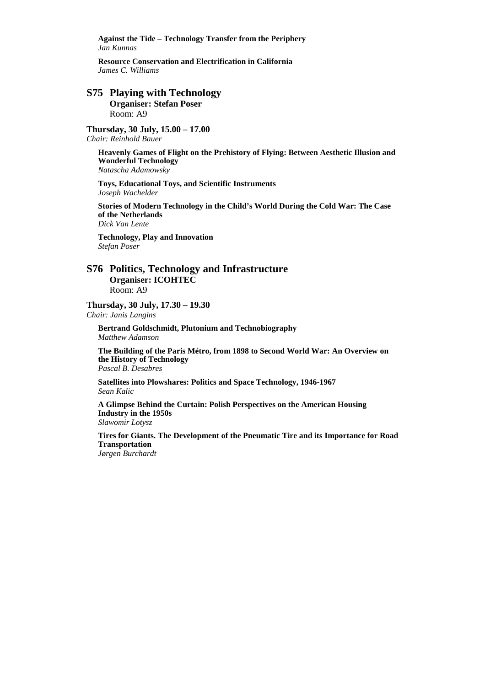**Against the Tide – Technology Transfer from the Periphery** *Jan Kunnas* 

**Resource Conservation and Electrification in California** *James C. Williams* 

### **S75 Playing with Technology Organiser: Stefan Poser**  Room: A9

**Thursday, 30 July, 15.00 – 17.00** 

*Chair: Reinhold Bauer* 

**Heavenly Games of Flight on the Prehistory of Flying: Between Aesthetic Illusion and Wonderful Technology**  *Natascha Adamowsky* 

**Toys, Educational Toys, and Scientific Instruments**  *Joseph Wachelder* 

**Stories of Modern Technology in the Child's World During the Cold War: The Case of the Netherlands** *Dick Van Lente* 

**Technology, Play and Innovation**  *Stefan Poser* 

### **S76 Politics, Technology and Infrastructure Organiser: ICOHTEC**  Room: A9

**Thursday, 30 July, 17.30 – 19.30** 

*Chair: Janis Langins* 

**Bertrand Goldschmidt, Plutonium and Technobiography** *Matthew Adamson* 

**The Building of the Paris Métro, from 1898 to Second World War: An Overview on the History of Technology**  *Pascal B. Desabres* 

**Satellites into Plowshares: Politics and Space Technology, 1946-1967**  *Sean Kalic* 

**A Glimpse Behind the Curtain: Polish Perspectives on the American Housing Industry in the 1950s** 

*Slawomir Lotysz* 

**Tires for Giants. The Development of the Pneumatic Tire and its Importance for Road Transportation**  *Jørgen Burchardt*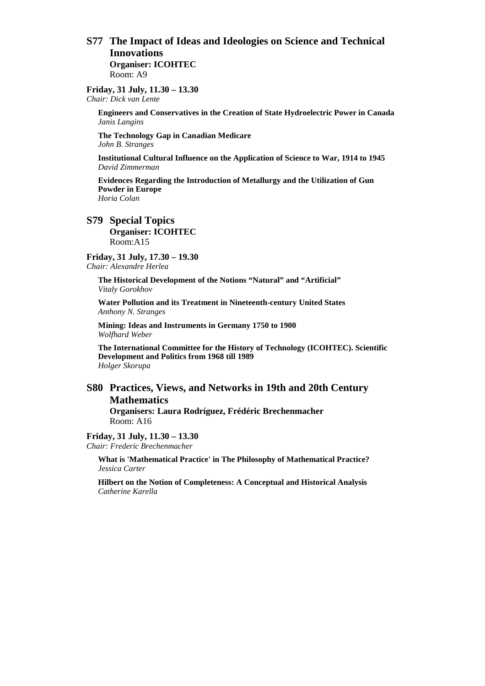### **S77 The Impact of Ideas and Ideologies on Science and Technical Innovations Organiser: ICOHTEC**

Room: A9

**Friday, 31 July, 11.30 – 13.30**  *Chair: Dick van Lente* 

> **Engineers and Conservatives in the Creation of State Hydroelectric Power in Canada**  *Janis Langins*

**The Technology Gap in Canadian Medicare**  *John B. Stranges* 

**Institutional Cultural Influence on the Application of Science to War, 1914 to 1945**  *David Zimmerman* 

**Evidences Regarding the Introduction of Metallurgy and the Utilization of Gun Powder in Europe** *Horia Colan* 

### **S79 Special Topics Organiser: ICOHTEC**

Room:A15

**Friday, 31 July, 17.30 – 19.30**  *Chair: Alexandre Herlea* 

> **The Historical Development of the Notions "Natural" and "Artificial"**  *Vitaly Gorokhov*

**Water Pollution and its Treatment in Nineteenth-century United States**  *Anthony N. Stranges* 

**Mining: Ideas and Instruments in Germany 1750 to 1900** *Wolfhard Weber* 

**The International Committee for the History of Technology (ICOHTEC). Scientific Development and Politics from 1968 till 1989**  *Holger Skorupa* 

# **S80 Practices, Views, and Networks in 19th and 20th Century Mathematics**

**Organisers: Laura Rodríguez, Frédéric Brechenmacher** Room: A16

**Friday, 31 July, 11.30 – 13.30**  *Chair: Frederic Brechenmacher* 

> **What is 'Mathematical Practice' in The Philosophy of Mathematical Practice?**  *Jessica Carter*

> **Hilbert on the Notion of Completeness: A Conceptual and Historical Analysis**  *Catherine Karella*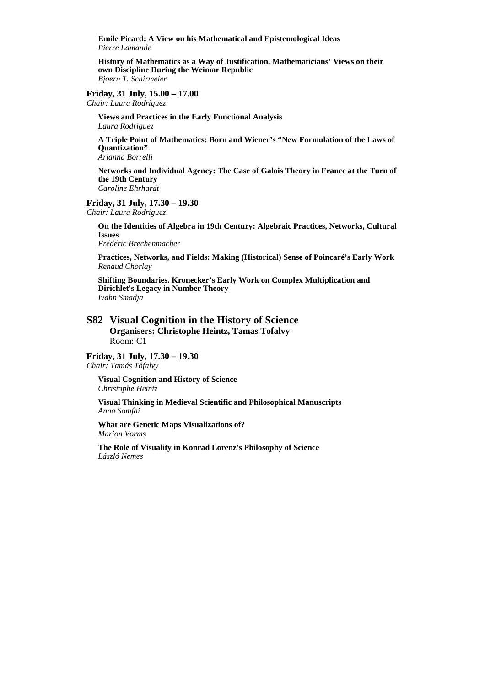**Emile Picard: A View on his Mathematical and Epistemological Ideas**  *Pierre Lamande* 

**History of Mathematics as a Way of Justification. Mathematicians' Views on their own Discipline During the Weimar Republic**  *Bjoern T. Schirmeier* 

#### **Friday, 31 July, 15.00 – 17.00**

*Chair: Laura Rodriguez* 

**Views and Practices in the Early Functional Analysis**  *Laura Rodríguez* 

**A Triple Point of Mathematics: Born and Wiener's "New Formulation of the Laws of Quantization"**  *Arianna Borrelli* 

**Networks and Individual Agency: The Case of Galois Theory in France at the Turn of the 19th Century**  *Caroline Ehrhardt* 

#### **Friday, 31 July, 17.30 – 19.30**

*Chair: Laura Rodriguez* 

**On the Identities of Algebra in 19th Century: Algebraic Practices, Networks, Cultural Issues**  *Frédéric Brechenmacher* 

**Practices, Networks, and Fields: Making (Historical) Sense of Poincaré's Early Work**  *Renaud Chorlay* 

**Shifting Boundaries. Kronecker's Early Work on Complex Multiplication and Dirichlet's Legacy in Number Theory**  *Ivahn Smadja* 

### **S82 Visual Cognition in the History of Science Organisers: Christophe Heintz, Tamas Tofalvy**  Room: C1

# **Friday, 31 July, 17.30 – 19.30**

*Chair: Tamás Tófalvy* 

**Visual Cognition and History of Science**  *Christophe Heintz* 

**Visual Thinking in Medieval Scientific and Philosophical Manuscripts**  *Anna Somfai* 

**What are Genetic Maps Visualizations of?**  *Marion Vorms* 

**The Role of Visuality in Konrad Lorenz's Philosophy of Science**  *László Nemes*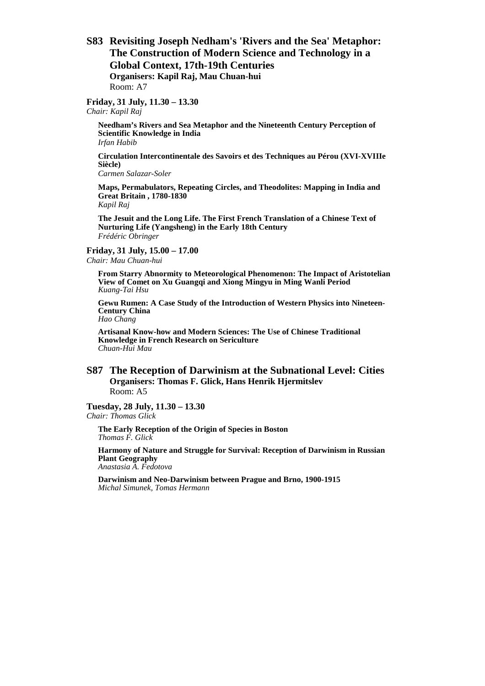**S83 Revisiting Joseph Nedham's 'Rivers and the Sea' Metaphor: The Construction of Modern Science and Technology in a Global Context, 17th-19th Centuries Organisers: Kapil Raj, Mau Chuan-hui**  Room: A7

#### **Friday, 31 July, 11.30 – 13.30**

*Chair: Kapil Raj* 

**Needham's Rivers and Sea Metaphor and the Nineteenth Century Perception of Scientific Knowledge in India**  *Irfan Habib* 

**Circulation Intercontinentale des Savoirs et des Techniques au Pérou (XVI-XVIIIe Siècle)**

*Carmen Salazar-Soler* 

**Maps, Permabulators, Repeating Circles, and Theodolites: Mapping in India and Great Britain , 1780-1830**

*Kapil Raj* 

**The Jesuit and the Long Life. The First French Translation of a Chinese Text of Nurturing Life (Yangsheng) in the Early 18th Century** *Frédéric Obringer* 

#### **Friday, 31 July, 15.00 – 17.00**

*Chair: Mau Chuan-hui* 

**From Starry Abnormity to Meteorological Phenomenon: The Impact of Aristotelian View of Comet on Xu Guangqi and Xiong Mingyu in Ming Wanli Period**  *Kuang-Tai Hsu* 

**Gewu Rumen: A Case Study of the Introduction of Western Physics into Nineteen-Century China**

*Hao Chang* 

**Artisanal Know-how and Modern Sciences: The Use of Chinese Traditional Knowledge in French Research on Sericulture** *Chuan-Hui Mau* 

### **S87 The Reception of Darwinism at the Subnational Level: Cities Organisers: Thomas F. Glick, Hans Henrik Hjermitslev**  Room: A5

**Tuesday, 28 July, 11.30 – 13.30**  *Chair: Thomas Glick* 

**The Early Reception of the Origin of Species in Boston**  *Thomas F. Glick* 

**Harmony of Nature and Struggle for Survival: Reception of Darwinism in Russian Plant Geography**  *Anastasia A. Fedotova* 

**Darwinism and Neo-Darwinism between Prague and Brno, 1900-1915**  *Michal Simunek, Tomas Hermann*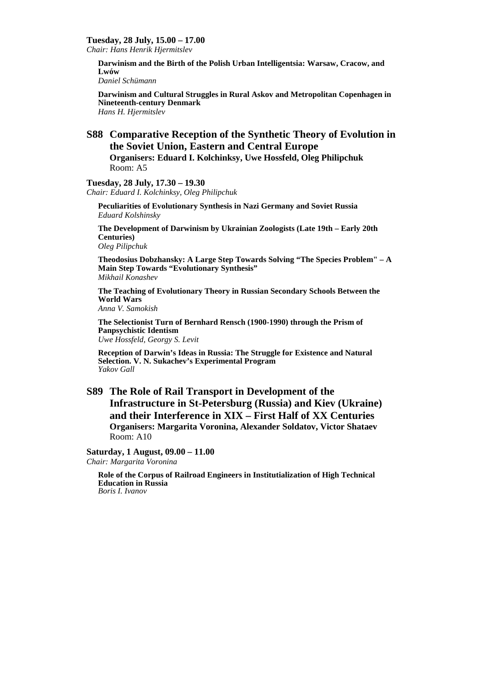#### **Tuesday, 28 July, 15.00 – 17.00**

*Chair: Hans Henrik Hjermitslev* 

**Darwinism and the Birth of the Polish Urban Intelligentsia: Warsaw, Cracow, and Lwów** 

*Daniel Schümann* 

**Darwinism and Cultural Struggles in Rural Askov and Metropolitan Copenhagen in Nineteenth-century Denmark**  *Hans H. Hjermitslev* 

# **S88 Comparative Reception of the Synthetic Theory of Evolution in the Soviet Union, Eastern and Central Europe**

**Organisers: Eduard I. Kolchinksy, Uwe Hossfeld, Oleg Philipchuk**  Room: A5

#### **Tuesday, 28 July, 17.30 – 19.30**

*Chair: Eduard I. Kolchinksy, Oleg Philipchuk* 

**Peculiarities of Evolutionary Synthesis in Nazi Germany and Soviet Russia** *Eduard Kolshinsky* 

**The Development of Darwinism by Ukrainian Zoologists (Late 19th – Early 20th Centuries)** 

*Oleg Pilipchuk* 

**Theodosius Dobzhansky: A Large Step Towards Solving "The Species Problem" – A Main Step Towards "Evolutionary Synthesis"**  *Mikhail Konashev* 

**The Teaching of Evolutionary Theory in Russian Secondary Schools Between the World Wars** 

*Anna V. Samokish* 

**The Selectionist Turn of Bernhard Rensch (1900-1990) through the Prism of Panpsychistic Identism** *Uwe Hossfeld, Georgy S. Levit* 

**Reception of Darwin's Ideas in Russia: The Struggle for Existence and Natural Selection. V. N. Sukachev's Experimental Program**  *Yakov Gall* 

# **S89 The Role of Rail Transport in Development of the Infrastructure in St-Petersburg (Russia) and Kiev (Ukraine) and their Interference in XIX – First Half of XX Centuries Organisers: Margarita Voronina, Alexander Soldatov, Victor Shataev**  Room: A10

#### **Saturday, 1 August, 09.00 – 11.00**

*Chair: Margarita Voronina* 

**Role of the Corpus of Railroad Engineers in Institutialization of High Technical Education in Russia**  *Boris I. Ivanov*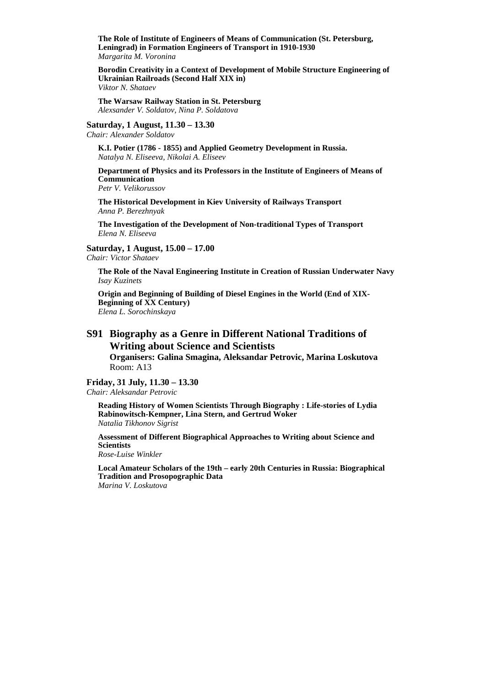**The Role of Institute of Engineers of Means of Communication (St. Petersburg, Leningrad) in Formation Engineers of Transport in 1910-1930** *Margarita M. Voronina* 

**Borodin Creativity in a Context of Development of Mobile Structure Engineering of Ukrainian Railroads (Second Half XIX in)** *Viktor N. Shataev* 

**The Warsaw Railway Station in St. Petersburg**  *Alexsander V. Soldatov, Nina P. Soldatova* 

**Saturday, 1 August, 11.30 – 13.30** 

*Chair: Alexander Soldatov* 

**K.I. Potier (1786 - 1855) and Applied Geometry Development in Russia.**  *Natalya N. Eliseeva, Nikolai A. Eliseev* 

**Department of Physics and its Professors in the Institute of Engineers of Means of Communication**  *Petr V. Velikorussov* 

**The Historical Development in Kiev University of Railways Transport**  *Anna P. Berezhnyak* 

**The Investigation of the Development of Non-traditional Types of Transport**  *Elena N. Eliseeva* 

**Saturday, 1 August, 15.00 – 17.00** 

*Chair: Victor Shataev* 

**The Role of the Naval Engineering Institute in Creation of Russian Underwater Navy** *Isay Kuzinets* 

**Origin and Beginning of Building of Diesel Engines in the World (End of XIX-Beginning of XX Century)** *Elena L. Sorochinskaya* 

# **S91 Biography as a Genre in Different National Traditions of Writing about Science and Scientists**

**Organisers: Galina Smagina, Aleksandar Petrovic, Marina Loskutova**  Room: A13

### **Friday, 31 July, 11.30 – 13.30**

*Chair: Aleksandar Petrovic* 

**Reading History of Women Scientists Through Biography : Life-stories of Lydia Rabinowitsch-Kempner, Lina Stern, and Gertrud Woker** *Natalia Tikhonov Sigrist* 

**Assessment of Different Biographical Approaches to Writing about Science and Scientists**  *Rose-Luise Winkler* 

**Local Amateur Scholars of the 19th – early 20th Centuries in Russia: Biographical Tradition and Prosopographic Data**  *Marina V. Loskutova*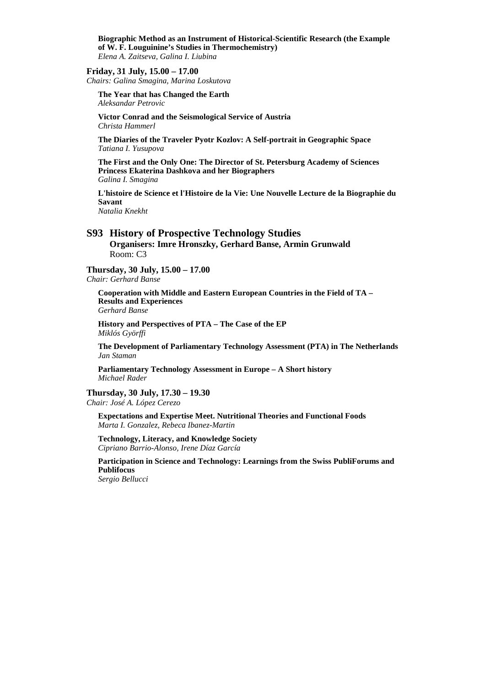**Biographic Method as an Instrument of Historical-Scientific Research (the Example of W. F. Louguinine's Studies in Thermochemistry)**  *Elena A. Zaitseva, Galina I. Liubina* 

#### **Friday, 31 July, 15.00 – 17.00**

*Chairs: Galina Smagina, Marina Loskutova* 

**The Year that has Changed the Earth**  *Aleksandar Petrovic* 

**Victor Conrad and the Seismological Service of Austria**  *Christa Hammerl* 

**The Diaries of the Traveler Pyotr Kozlov: A Self-portrait in Geographic Space**  *Tatiana I. Yusupova* 

**The First and the Only One: The Director of St. Petersburg Academy of Sciences Princess Ekaterina Dashkova and her Biographers**  *Galina I. Smagina* 

**L'histoire de Science et l'Histoire de la Vie: Une Nouvelle Lecture de la Biographie du Savant** 

*Natalia Knekht* 

### **S93 History of Prospective Technology Studies**

**Organisers: Imre Hronszky, Gerhard Banse, Armin Grunwald**  Room: C3

#### **Thursday, 30 July, 15.00 – 17.00**

*Chair: Gerhard Banse* 

**Cooperation with Middle and Eastern European Countries in the Field of TA – Results and Experiences**  *Gerhard Banse* 

**History and Perspectives of PTA – The Case of the EP**  *Miklós Györffi* 

**The Development of Parliamentary Technology Assessment (PTA) in The Netherlands**  *Jan Staman* 

**Parliamentary Technology Assessment in Europe – A Short history**  *Michael Rader* 

#### **Thursday, 30 July, 17.30 – 19.30**

*Chair: José A. López Cerezo* 

**Expectations and Expertise Meet. Nutritional Theories and Functional Foods** *Marta I. Gonzalez, Rebeca Ibanez-Martin* 

**Technology, Literacy, and Knowledge Society** *Cipriano Barrio-Alonso, Irene Díaz García* 

**Participation in Science and Technology: Learnings from the Swiss PubliForums and Publifocus**

*Sergio Bellucci*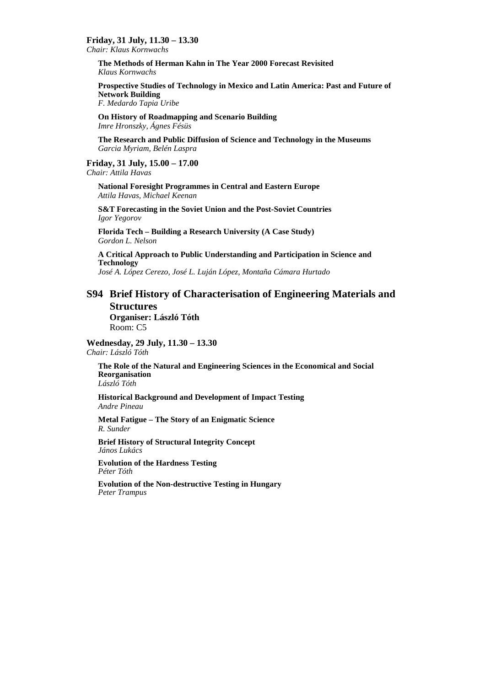### **Friday, 31 July, 11.30 – 13.30**

*Chair: Klaus Kornwachs* 

**The Methods of Herman Kahn in The Year 2000 Forecast Revisited** *Klaus Kornwachs* 

**Prospective Studies of Technology in Mexico and Latin America: Past and Future of Network Building** *F. Medardo Tapia Uribe* 

**On History of Roadmapping and Scenario Building** *Imre Hronszky, Ágnes Fésüs* 

**The Research and Public Diffusion of Science and Technology in the Museums** *Garcia Myriam, Belén Laspra* 

#### **Friday, 31 July, 15.00 – 17.00**  *Chair: Attila Havas*

**National Foresight Programmes in Central and Eastern Europe** *Attila Havas, Michael Keenan* 

**S&T Forecasting in the Soviet Union and the Post-Soviet Countries** *Igor Yegorov* 

**Florida Tech – Building a Research University (A Case Study)**  *Gordon L. Nelson* 

**A Critical Approach to Public Understanding and Participation in Science and Technology** *José A. López Cerezo, José L. Luján López, Montaña Cámara Hurtado* 

### **S94 Brief History of Characterisation of Engineering Materials and Structures**

**Organiser: László Tóth**  Room: C5

#### **Wednesday, 29 July, 11.30 – 13.30**  *Chair: László Tóth*

**The Role of the Natural and Engineering Sciences in the Economical and Social Reorganisation**  *László Tóth* 

**Historical Background and Development of Impact Testing** *Andre Pineau* 

**Metal Fatigue – The Story of an Enigmatic Science** *R. Sunder* 

**Brief History of Structural Integrity Concept** *János Lukács* 

**Evolution of the Hardness Testing**  *Péter Tóth* 

**Evolution of the Non-destructive Testing in Hungary** *Peter Trampus*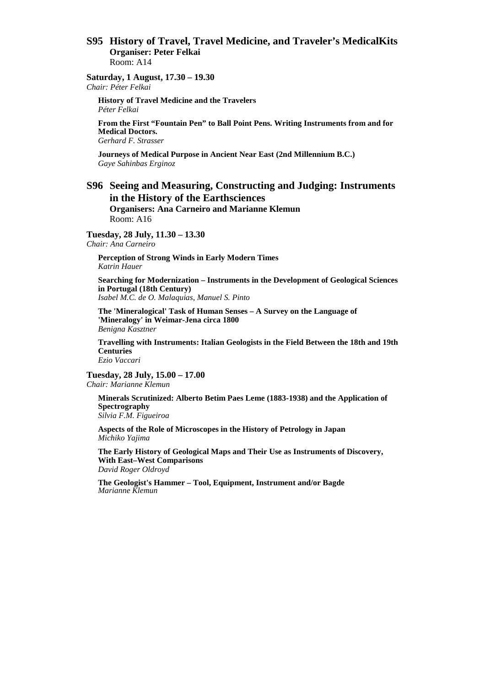### **S95 History of Travel, Travel Medicine, and Traveler's MedicalKits Organiser: Peter Felkai**  Room: A14

#### **Saturday, 1 August, 17.30 – 19.30**  *Chair: Péter Felkai*

**History of Travel Medicine and the Travelers** *Péter Felkai* 

**From the First "Fountain Pen" to Ball Point Pens. Writing Instruments from and for Medical Doctors.** 

*Gerhard F. Strasser* 

**Journeys of Medical Purpose in Ancient Near East (2nd Millennium B.C.)**  *Gaye Sahinbas Erginoz* 

# **S96 Seeing and Measuring, Constructing and Judging: Instruments in the History of the Earthsciences**

**Organisers: Ana Carneiro and Marianne Klemun**  Room: A16

**Tuesday, 28 July, 11.30 – 13.30**  *Chair: Ana Carneiro* 

**Perception of Strong Winds in Early Modern Times**  *Katrin Hauer* 

**Searching for Modernization – Instruments in the Development of Geological Sciences in Portugal (18th Century)** 

*Isabel M.C. de O. Malaquias, Manuel S. Pinto* 

**The 'Mineralogical' Task of Human Senses – A Survey on the Language of 'Mineralogy' in Weimar-Jena circa 1800**  *Benigna Kasztner* 

**Travelling with Instruments: Italian Geologists in the Field Between the 18th and 19th Centuries**  *Ezio Vaccari* 

**Tuesday, 28 July, 15.00 – 17.00**  *Chair: Marianne Klemun* 

**Minerals Scrutinized: Alberto Betim Paes Leme (1883-1938) and the Application of Spectrography**  *Silvia F.M. Figueiroa* 

**Aspects of the Role of Microscopes in the History of Petrology in Japan**  *Michiko Yajima* 

**The Early History of Geological Maps and Their Use as Instruments of Discovery, With East–West Comparisons**  *David Roger Oldroyd* 

**The Geologist's Hammer – Tool, Equipment, Instrument and/or Bagde**  *Marianne Klemun*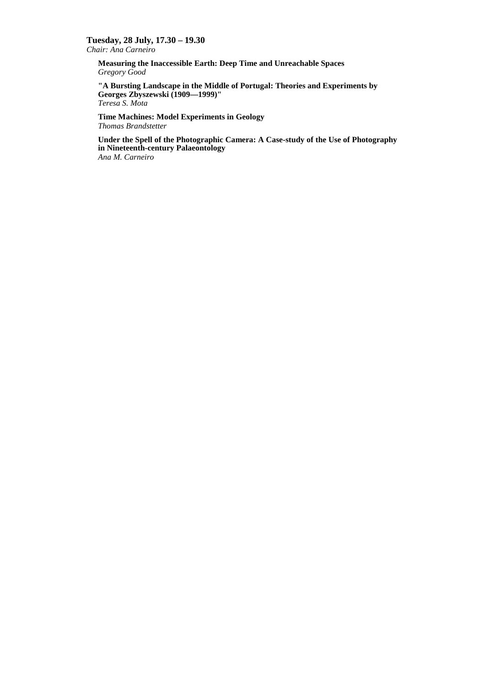### **Tuesday, 28 July, 17.30 – 19.30**

*Chair: Ana Carneiro* 

**Measuring the Inaccessible Earth: Deep Time and Unreachable Spaces**  *Gregory Good* 

**"A Bursting Landscape in the Middle of Portugal: Theories and Experiments by Georges Zbyszewski (1909—1999)"**  *Teresa S. Mota* 

**Time Machines: Model Experiments in Geology**  *Thomas Brandstetter* 

**Under the Spell of the Photographic Camera: A Case-study of the Use of Photography in Nineteenth-century Palaeontology** *Ana M. Carneiro*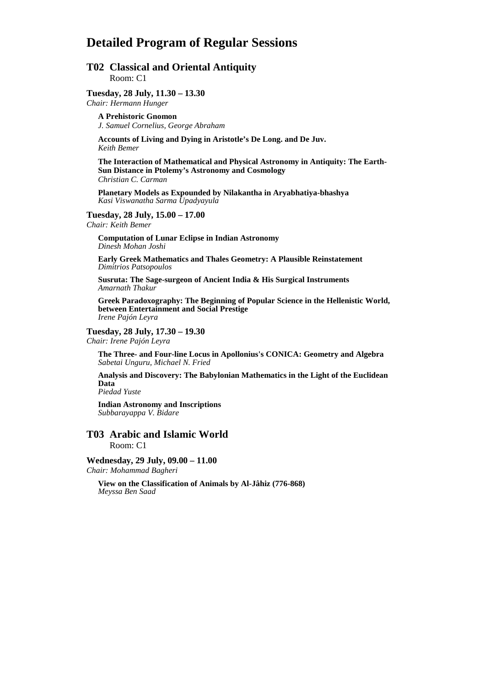# **Detailed Program of Regular Sessions**

## **T02 Classical and Oriental Antiquity**  Room: C1

#### **Tuesday, 28 July, 11.30 – 13.30**

*Chair: Hermann Hunger* 

**A Prehistoric Gnomon**  *J. Samuel Cornelius, George Abraham* 

**Accounts of Living and Dying in Aristotle's De Long. and De Juv.**  *Keith Bemer* 

**The Interaction of Mathematical and Physical Astronomy in Antiquity: The Earth-Sun Distance in Ptolemy's Astronomy and Cosmology**  *Christian C. Carman* 

**Planetary Models as Expounded by Nilakantha in Aryabhatiya-bhashya**  *Kasi Viswanatha Sarma Upadyayula* 

**Tuesday, 28 July, 15.00 – 17.00** 

*Chair: Keith Bemer* 

**Computation of Lunar Eclipse in Indian Astronomy**  *Dinesh Mohan Joshi* 

**Early Greek Mathematics and Thales Geometry: A Plausible Reinstatement**  *Dimitrios Patsopoulos* 

**Susruta: The Sage-surgeon of Ancient India & His Surgical Instruments**  *Amarnath Thakur* 

**Greek Paradoxography: The Beginning of Popular Science in the Hellenistic World, between Entertainment and Social Prestige**  *Irene Pajón Leyra* 

#### **Tuesday, 28 July, 17.30 – 19.30**

*Chair: Irene Pajón Leyra* 

**The Three- and Four-line Locus in Apollonius's CONICA: Geometry and Algebra**  *Sabetai Unguru, Michael N. Fried* 

**Analysis and Discovery: The Babylonian Mathematics in the Light of the Euclidean Data** 

*Piedad Yuste* 

**Indian Astronomy and Inscriptions**  *Subbarayappa V. Bidare* 

# **T03 Arabic and Islamic World**  Room: C1

**Wednesday, 29 July, 09.00 – 11.00**  *Chair: Mohammad Bagheri* 

**View on the Classification of Animals by Al-Jâhiz (776-868)**  *Meyssa Ben Saad*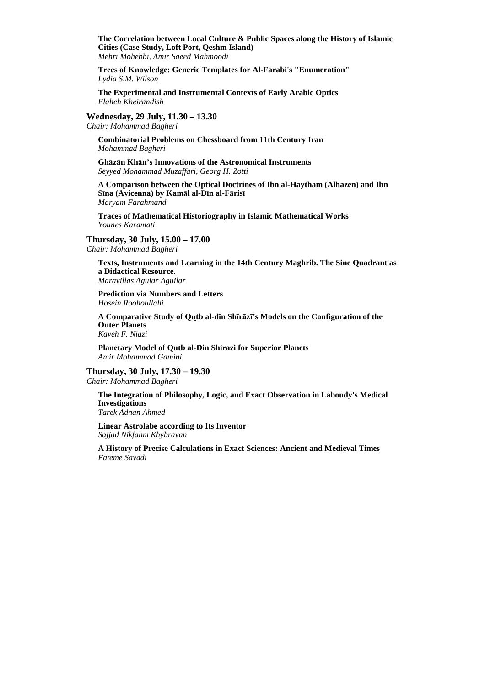**The Correlation between Local Culture & Public Spaces along the History of Islamic Cities (Case Study, Loft Port, Qeshm Island)**  *Mehri Mohebbi, Amir Saeed Mahmoodi* 

**Trees of Knowledge: Generic Templates for Al-Farabi's "Enumeration"**  *Lydia S.M. Wilson* 

**The Experimental and Instrumental Contexts of Early Arabic Optics**  *Elaheh Kheirandish* 

**Wednesday, 29 July, 11.30 – 13.30** 

*Chair: Mohammad Bagheri* 

**Combinatorial Problems on Chessboard from 11th Century Iran**  *Mohammad Bagheri* 

**Ghāzān Khān's Innovations of the Astronomical Instruments**  *Seyyed Mohammad Muzaffari, Georg H. Zotti*

**A Comparison between the Optical Doctrines of Ibn al-Haytham (Alhazen) and Ibn Sīna (Avicenna) by Kamāl al-Dīn al-Fārisī**  *Maryam Farahmand* 

**Traces of Mathematical Historiography in Islamic Mathematical Works**  *Younes Karamati* 

**Thursday, 30 July, 15.00 – 17.00** 

*Chair: Mohammad Bagheri* 

**Texts, Instruments and Learning in the 14th Century Maghrib. The Sine Quadrant as a Didactical Resource.**  *Maravillas Aguiar Aguilar* 

**Prediction via Numbers and Letters**  *Hosein Roohoullahi* 

**A Comparative Study of Qut b al-dīn Shīrāzī's Models on the Configuration of the Outer Planets**  *Kaveh F. Niazi* 

**Planetary Model of Qutb al-Din Shirazi for Superior Planets**  *Amir Mohammad Gamini* 

**Thursday, 30 July, 17.30 – 19.30** 

*Chair: Mohammad Bagheri* 

**The Integration of Philosophy, Logic, and Exact Observation in Laboudy's Medical Investigations** 

*Tarek Adnan Ahmed* 

**Linear Astrolabe according to Its Inventor**  *Sajjad Nikfahm Khybravan* 

**A History of Precise Calculations in Exact Sciences: Ancient and Medieval Times**  *Fateme Savadi*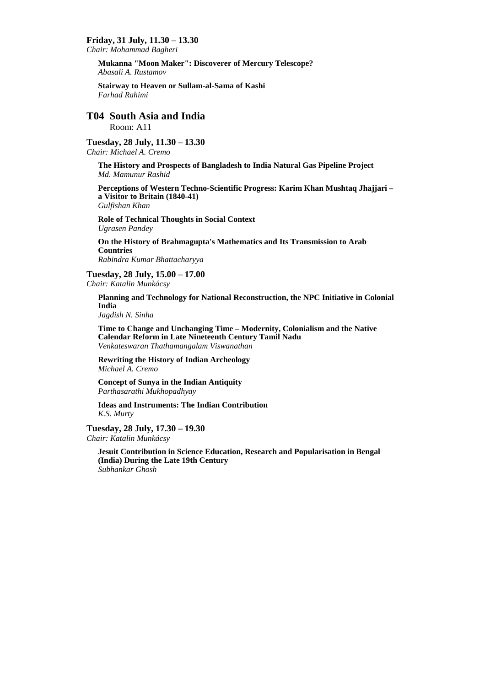#### **Friday, 31 July, 11.30 – 13.30**

*Chair: Mohammad Bagheri* 

**Mukanna "Moon Maker": Discoverer of Mercury Telescope?**  *Abasali A. Rustamov* 

**Stairway to Heaven or Sullam-al-Sama of Kashi**  *Farhad Rahimi* 

# **T04 South Asia and India**

Room: A11

# **Tuesday, 28 July, 11.30 – 13.30**

*Chair: Michael A. Cremo* 

**The History and Prospects of Bangladesh to India Natural Gas Pipeline Project**  *Md. Mamunur Rashid* 

**Perceptions of Western Techno-Scientific Progress: Karim Khan Mushtaq Jhajjari – a Visitor to Britain (1840-41)**  *Gulfishan Khan* 

**Role of Technical Thoughts in Social Context**  *Ugrasen Pandey* 

**On the History of Brahmagupta's Mathematics and Its Transmission to Arab Countries**  *Rabindra Kumar Bhattacharyya* 

**Tuesday, 28 July, 15.00 – 17.00**  *Chair: Katalin Munkácsy* 

**Planning and Technology for National Reconstruction, the NPC Initiative in Colonial India** 

*Jagdish N. Sinha* 

**Time to Change and Unchanging Time – Modernity, Colonialism and the Native Calendar Reform in Late Nineteenth Century Tamil Nadu**  *Venkateswaran Thathamangalam Viswanathan* 

**Rewriting the History of Indian Archeology**  *Michael A. Cremo* 

**Concept of Sunya in the Indian Antiquity**  *Parthasarathi Mukhopadhyay* 

**Ideas and Instruments: The Indian Contribution**  *K.S. Murty* 

**Tuesday, 28 July, 17.30 – 19.30**  *Chair: Katalin Munkácsy* 

**Jesuit Contribution in Science Education, Research and Popularisation in Bengal (India) During the Late 19th Century**  *Subhankar Ghosh*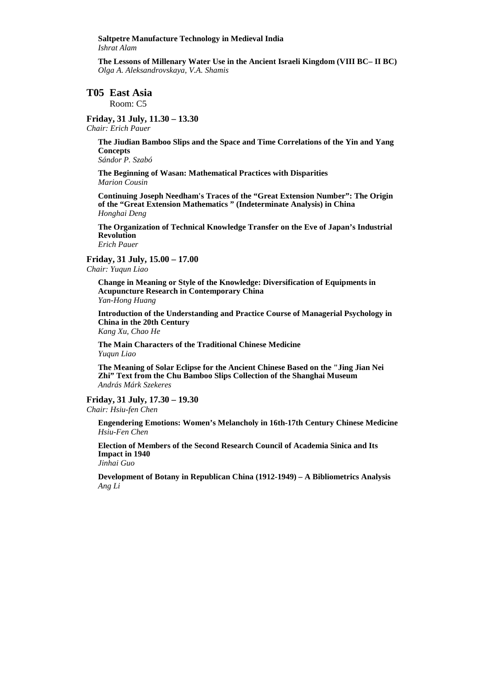#### **Saltpetre Manufacture Technology in Medieval India**  *Ishrat Alam*

**The Lessons of Millenary Water Use in the Ancient Israeli Kingdom (VIII BC– II BC)**  *Olga A. Aleksandrovskaya, V.A. Shamis* 

# **T05 East Asia**

Room: C5

#### **Friday, 31 July, 11.30 – 13.30**  *Chair: Erich Pauer*

**The Jiudian Bamboo Slips and the Space and Time Correlations of the Yin and Yang Concepts** 

*Sándor P. Szabó* 

**The Beginning of Wasan: Mathematical Practices with Disparities**  *Marion Cousin* 

**Continuing Joseph Needham's Traces of the "Great Extension Number": The Origin of the "Great Extension Mathematics " (Indeterminate Analysis) in China**  *Honghai Deng* 

**The Organization of Technical Knowledge Transfer on the Eve of Japan's Industrial Revolution**  *Erich Pauer* 

#### **Friday, 31 July, 15.00 – 17.00**

*Chair: Yuqun Liao* 

**Change in Meaning or Style of the Knowledge: Diversification of Equipments in Acupuncture Research in Contemporary China**  *Yan-Hong Huang* 

**Introduction of the Understanding and Practice Course of Managerial Psychology in China in the 20th Century**  *Kang Xu, Chao He* 

**The Main Characters of the Traditional Chinese Medicine**  *Yuqun Liao* 

**The Meaning of Solar Eclipse for the Ancient Chinese Based on the "Jing Jian Nei Zhi" Text from the Chu Bamboo Slips Collection of the Shanghai Museum**  *András Márk Szekeres* 

# **Friday, 31 July, 17.30 – 19.30**

*Chair: Hsiu-fen Chen* 

**Engendering Emotions: Women's Melancholy in 16th-17th Century Chinese Medicine**  *Hsiu-Fen Chen* 

**Election of Members of the Second Research Council of Academia Sinica and Its Impact in 1940** 

*Jinhai Guo* 

**Development of Botany in Republican China (1912-1949) – A Bibliometrics Analysis**  *Ang Li*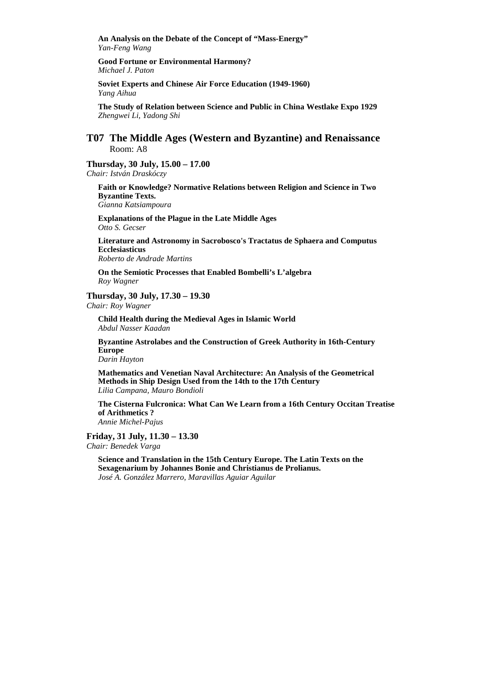**An Analysis on the Debate of the Concept of "Mass-Energy"**  *Yan-Feng Wang* 

**Good Fortune or Environmental Harmony?**  *Michael J. Paton* 

**Soviet Experts and Chinese Air Force Education (1949-1960)**  *Yang Aihua* 

**The Study of Relation between Science and Public in China Westlake Expo 1929**  *Zhengwei Li, Yadong Shi* 

# **T07 The Middle Ages (Western and Byzantine) and Renaissance**  Room: A8

# **Thursday, 30 July, 15.00 – 17.00**

*Chair: István Draskóczy* 

## **Faith or Knowledge? Normative Relations between Religion and Science in Two Byzantine Texts.**

*Gianna Katsiampoura* 

**Explanations of the Plague in the Late Middle Ages**  *Otto S. Gecser* 

**Literature and Astronomy in Sacrobosco's Tractatus de Sphaera and Computus Ecclesiasticus**  *Roberto de Andrade Martins* 

**On the Semiotic Processes that Enabled Bombelli's L'algebra**  *Roy Wagner* 

#### **Thursday, 30 July, 17.30 – 19.30**

*Chair: Roy Wagner* 

**Child Health during the Medieval Ages in Islamic World**  *Abdul Nasser Kaadan* 

**Byzantine Astrolabes and the Construction of Greek Authority in 16th-Century Europe** 

*Darin Hayton* 

**Mathematics and Venetian Naval Architecture: An Analysis of the Geometrical Methods in Ship Design Used from the 14th to the 17th Century**  *Lilia Campana, Mauro Bondioli* 

**The Cisterna Fulcronica: What Can We Learn from a 16th Century Occitan Treatise of Arithmetics ?**  *Annie Michel-Pajus* 

# **Friday, 31 July, 11.30 – 13.30**

*Chair: Benedek Varga* 

**Science and Translation in the 15th Century Europe. The Latin Texts on the Sexagenarium by Johannes Bonie and Christianus de Prolianus.**  *José A. González Marrero, Maravillas Aguiar Aguilar*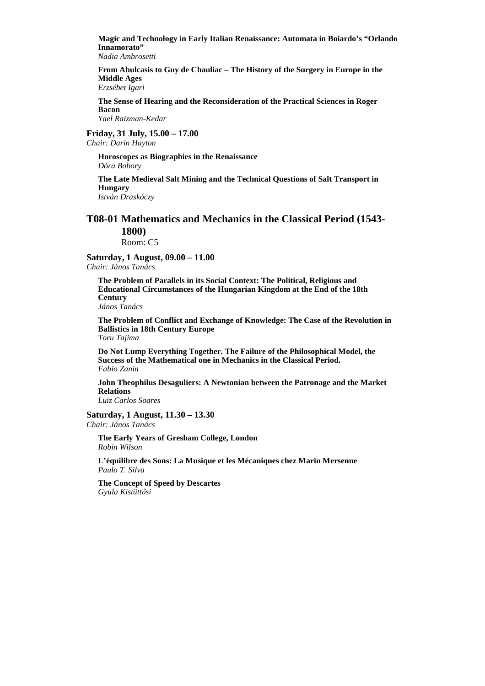**Magic and Technology in Early Italian Renaissance: Automata in Boiardo's "Orlando Innamorato"** 

*Nadia Ambrosetti* 

**From Abulcasis to Guy de Chauliac – The History of the Surgery in Europe in the Middle Ages** 

*Erzsébet Igari* 

**The Sense of Hearing and the Reconsideration of the Practical Sciences in Roger Bacon** 

*Yael Raizman-Kedar* 

**Friday, 31 July, 15.00 – 17.00** 

*Chair: Darin Hayton* 

**Horoscopes as Biographies in the Renaissance**  *Dóra Bobory* 

**The Late Medieval Salt Mining and the Technical Questions of Salt Transport in Hungary** 

*István Draskóczy* 

# **T08-01 Mathematics and Mechanics in the Classical Period (1543- 1800)**

Room: C5

**Saturday, 1 August, 09.00 – 11.00** 

*Chair: János Tanács* 

**The Problem of Parallels in its Social Context: The Political, Religious and Educational Circumstances of the Hungarian Kingdom at the End of the 18th Century**  *János Tanács* 

**The Problem of Conflict and Exchange of Knowledge: The Case of the Revolution in Ballistics in 18th Century Europe**  *Toru Tajima* 

**Do Not Lump Everything Together. The Failure of the Philosophical Model, the Success of the Mathematical one in Mechanics in the Classical Period.**  *Fabio Zanin* 

**John Theophilus Desaguliers: A Newtonian between the Patronage and the Market Relations** 

*Luiz Carlos Soares* 

**Saturday, 1 August, 11.30 – 13.30**  *Chair: János Tanács* 

**The Early Years of Gresham College, London**  *Robin Wilson* 

**L'équilibre des Sons: La Musique et les Mécaniques chez Marin Mersenne**  *Paulo T. Silva* 

**The Concept of Speed by Descartes**  *Gyula Kistüttısi*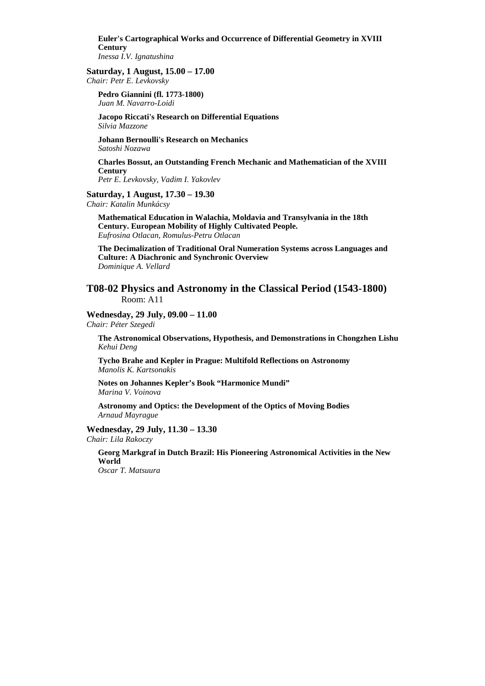**Euler's Cartographical Works and Occurrence of Differential Geometry in XVIII Century**  *Inessa I.V. Ignatushina* 

#### **Saturday, 1 August, 15.00 – 17.00**

*Chair: Petr E. Levkovsky* 

**Pedro Giannini (fl. 1773-1800)**  *Juan M. Navarro-Loidi* 

**Jacopo Riccati's Research on Differential Equations**  *Silvia Mazzone* 

**Johann Bernoulli's Research on Mechanics**  *Satoshi Nozawa* 

**Charles Bossut, an Outstanding French Mechanic and Mathematician of the XVIII Century** 

*Petr E. Levkovsky, Vadim I. Yakovlev* 

#### **Saturday, 1 August, 17.30 – 19.30**

*Chair: Katalin Munkácsy* 

**Mathematical Education in Walachia, Moldavia and Transylvania in the 18th Century. European Mobility of Highly Cultivated People.**  *Eufrosina Otlacan, Romulus-Petru Otlacan* 

**The Decimalization of Traditional Oral Numeration Systems across Languages and Culture: A Diachronic and Synchronic Overview**  *Dominique A. Vellard* 

## **T08-02 Physics and Astronomy in the Classical Period (1543-1800)**  Room: A11

**Wednesday, 29 July, 09.00 – 11.00** 

*Chair: Péter Szegedi* 

**The Astronomical Observations, Hypothesis, and Demonstrations in Chongzhen Lishu**  *Kehui Deng* 

**Tycho Brahe and Kepler in Prague: Multifold Reflections on Astronomy**  *Manolis K. Kartsonakis* 

**Notes on Johannes Kepler's Book "Harmonice Mundi"**  *Marina V. Voinova* 

**Astronomy and Optics: the Development of the Optics of Moving Bodies**  *Arnaud Mayrague* 

**Wednesday, 29 July, 11.30 – 13.30**  *Chair: Lila Rakoczy* 

**Georg Markgraf in Dutch Brazil: His Pioneering Astronomical Activities in the New World** 

*Oscar T. Matsuura*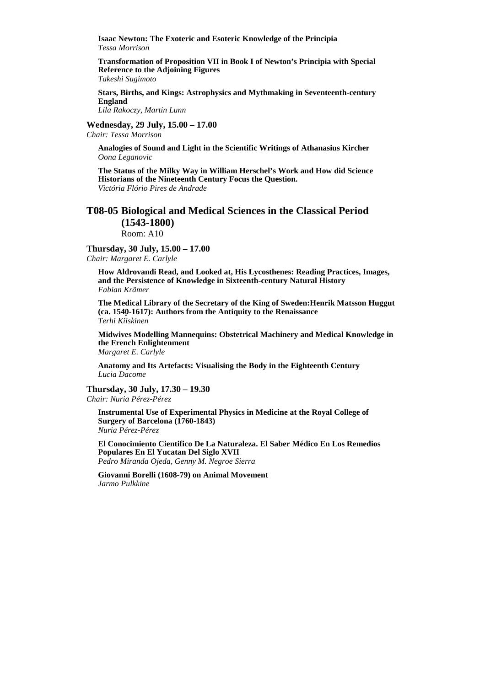**Isaac Newton: The Exoteric and Esoteric Knowledge of the Principia**  *Tessa Morrison* 

**Transformation of Proposition VII in Book I of Newton's Principia with Special Reference to the Adjoining Figures** 

*Takeshi Sugimoto* 

**Stars, Births, and Kings: Astrophysics and Mythmaking in Seventeenth-century England** 

*Lila Rakoczy, Martin Lunn* 

**Wednesday, 29 July, 15.00 – 17.00** 

*Chair: Tessa Morrison* 

**Analogies of Sound and Light in the Scientific Writings of Athanasius Kircher**  *Oona Leganovic* 

**The Status of the Milky Way in William Herschel's Work and How did Science Historians of the Nineteenth Century Focus the Question.**  *Victória Flório Pires de Andrade* 

# **T08-05 Biological and Medical Sciences in the Classical Period (1543-1800)**

Room: A10

**Thursday, 30 July, 15.00 – 17.00**  *Chair: Margaret E. Carlyle* 

**How Aldrovandi Read, and Looked at, His Lycosthenes: Reading Practices, Images, and the Persistence of Knowledge in Sixteenth-century Natural History**  *Fabian Krämer* 

**The Medical Library of the Secretary of the King of Sweden:Henrik Matsson Huggut (ca. 1540-1617): Authors from the Antiquity to the Renaissance**  *Terhi Kiiskinen* 

**Midwives Modelling Mannequins: Obstetrical Machinery and Medical Knowledge in the French Enlightenment**  *Margaret E. Carlyle* 

**Anatomy and Its Artefacts: Visualising the Body in the Eighteenth Century** 

*Lucia Dacome* 

**Thursday, 30 July, 17.30 – 19.30**  *Chair: Nuria Pérez-Pérez* 

**Instrumental Use of Experimental Physics in Medicine at the Royal College of Surgery of Barcelona (1760-1843)**  *Nuria Pérez-Pérez* 

**El Conocimiento Cientifico De La Naturaleza. El Saber Médico En Los Remedios Populares En El Yucatan Del Siglo XVII**  *Pedro Miranda Ojeda, Genny M. Negroe Sierra* 

**Giovanni Borelli (1608-79) on Animal Movement**  *Jarmo Pulkkine*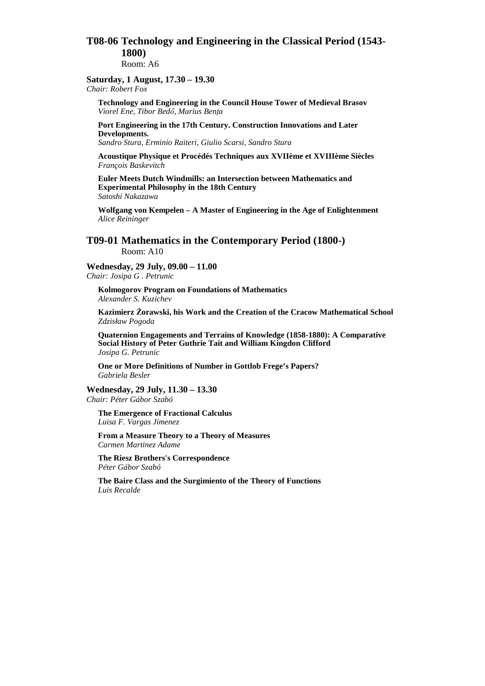# **T08-06 Technology and Engineering in the Classical Period (1543- 1800)**

Room: A6

# **Saturday, 1 August, 17.30 – 19.30**

*Chair: Robert Fox* 

**Technology and Engineering in the Council House Tower of Medieval Brasov**   $Viorel Ene, Tibor Bedő, Marius Bența$ 

**Port Engineering in the 17th Century. Construction Innovations and Later Developments.** 

*Sandro Stura, Erminio Raiteri, Giulio Scarsi, Sandro Stura* 

**Acoustique Physique et Procédés Techniques aux XVIIème et XVIIIème Siècles**  *François Baskevitch* 

**Euler Meets Dutch Windmills: an Intersection between Mathematics and Experimental Philosophy in the 18th Century**  *Satoshi Nakazawa* 

**Wolfgang von Kempelen – A Master of Engineering in the Age of Enlightenment** *Alice Reininger* 

**T09-01 Mathematics in the Contemporary Period (1800-)**  Room: A10

**Wednesday, 29 July, 09.00 – 11.00**  *Chair: Josipa G . Petrunic* 

**Kolmogorov Program on Foundations of Mathematics**  *Alexander S. Kuzichev* 

**Kazimierz śorawski, his Work and the Creation of the Cracow Mathematical School**  *Zdzisław Pogoda* 

**Quaternion Engagements and Terrains of Knowledge (1858-1880): A Comparative Social History of Peter Guthrie Tait and William Kingdon Clifford**  *Josipa G. Petrunic* 

**One or More Definitions of Number in Gottlob Frege's Papers?**  *Gabriela Besler* 

**Wednesday, 29 July, 11.30 – 13.30**  *Chair: Péter Gábor Szabó* 

**The Emergence of Fractional Calculus**  *Luisa F. Vargas Jimenez* 

**From a Measure Theory to a Theory of Measures**  *Carmen Martinez Adame* 

**The Riesz Brothers's Correspondence**  *Péter Gábor Szabó* 

**The Baire Class and the Surgimiento of the Theory of Functions**  *Luis Recalde*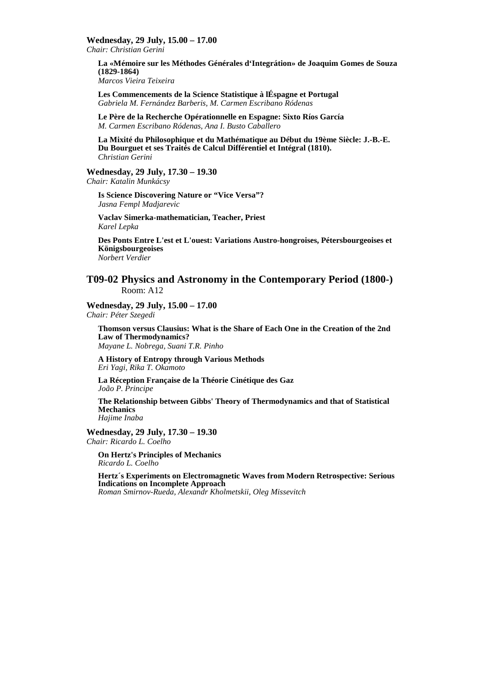**Wednesday, 29 July, 15.00 – 17.00** 

*Chair: Christian Gerini* 

**La «Mémoire sur les Méthodes Générales d'Integrátion» de Joaquim Gomes de Souza (1829-1864)** 

*Marcos Vieira Teixeira* 

**Les Commencements de la Science Statistique à lÉspagne et Portugal**  *Gabriela M. Fernández Barberis, M. Carmen Escribano Ródenas* 

**Le Père de la Recherche Opérationnelle en Espagne: Sixto Ríos García**  *M. Carmen Escribano Ródenas, Ana I. Busto Caballero*

**La Mixité du Philosophique et du Mathématique au Début du 19ème Siècle: J.-B.-E. Du Bourguet et ses Traités de Calcul Différentiel et Intégral (1810).**  *Christian Gerini* 

**Wednesday, 29 July, 17.30 – 19.30** 

*Chair: Katalin Munkácsy* 

**Is Science Discovering Nature or "Vice Versa"?**  *Jasna Fempl Madjarevic* 

**Vaclav Simerka-mathematician, Teacher, Priest**  *Karel Lepka* 

**Des Ponts Entre L'est et L'ouest: Variations Austro-hongroises, Pétersbourgeoises et Königsbourgeoises**  *Norbert Verdier* 

# **T09-02 Physics and Astronomy in the Contemporary Period (1800-)**  Room: A12

**Wednesday, 29 July, 15.00 – 17.00**  *Chair: Péter Szegedi* 

**Thomson versus Clausius: What is the Share of Each One in the Creation of the 2nd Law of Thermodynamics?** 

*Mayane L. Nobrega, Suani T.R. Pinho* 

**A History of Entropy through Various Methods**  *Eri Yagi, Rika T. Okamoto* 

**La Réception Française de la Théorie Cinétique des Gaz**  *João P. Principe* 

**The Relationship between Gibbs' Theory of Thermodynamics and that of Statistical Mechanics**  *Hajime Inaba* 

**Wednesday, 29 July, 17.30 – 19.30** 

*Chair: Ricardo L. Coelho* 

**On Hertz's Principles of Mechanics**  *Ricardo L. Coelho* 

**Hertz´s Experiments on Electromagnetic Waves from Modern Retrospective: Serious Indications on Incomplete Approach** 

*Roman Smirnov-Rueda, Alexandr Kholmetskii, Oleg Missevitch*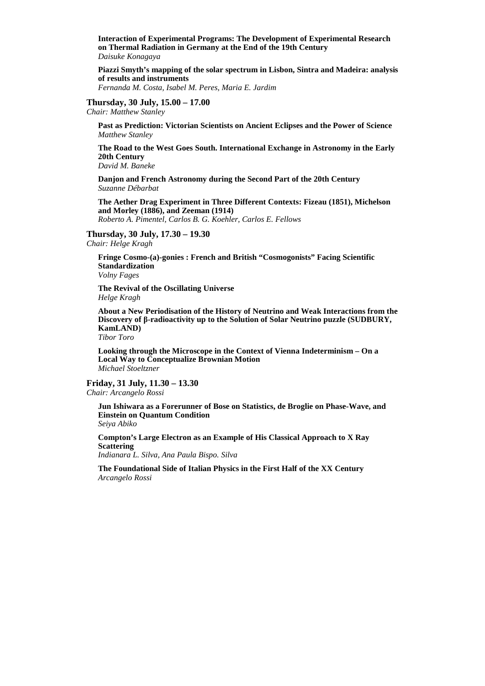**Interaction of Experimental Programs: The Development of Experimental Research on Thermal Radiation in Germany at the End of the 19th Century**  *Daisuke Konagaya* 

**Piazzi Smyth's mapping of the solar spectrum in Lisbon, Sintra and Madeira: analysis of results and instruments** 

*Fernanda M. Costa, Isabel M. Peres, Maria E. Jardim*

## **Thursday, 30 July, 15.00 – 17.00**

*Chair: Matthew Stanley* 

**Past as Prediction: Victorian Scientists on Ancient Eclipses and the Power of Science**  *Matthew Stanley* 

**The Road to the West Goes South. International Exchange in Astronomy in the Early 20th Century** 

*David M. Baneke* 

**Danjon and French Astronomy during the Second Part of the 20th Century**  *Suzanne Débarbat* 

**The Aether Drag Experiment in Three Different Contexts: Fizeau (1851), Michelson and Morley (1886), and Zeeman (1914)** 

*Roberto A. Pimentel, Carlos B. G. Koehler, Carlos E. Fellows* 

**Thursday, 30 July, 17.30 – 19.30**  *Chair: Helge Kragh* 

**Fringe Cosmo-(a)-gonies : French and British "Cosmogonists" Facing Scientific Standardization**  *Volny Fages* 

**The Revival of the Oscillating Universe**  *Helge Kragh* 

**About a New Periodisation of the History of Neutrino and Weak Interactions from the Discovery of β-radioactivity up to the Solution of Solar Neutrino puzzle (SUDBURY, KamLAND)**  *Tibor Toro* 

**Looking through the Microscope in the Context of Vienna Indeterminism – On a Local Way to Conceptualize Brownian Motion**  *Michael Stoeltzner* 

**Friday, 31 July, 11.30 – 13.30**  *Chair: Arcangelo Rossi* 

**Jun Ishiwara as a Forerunner of Bose on Statistics, de Broglie on Phase-Wave, and Einstein on Quantum Condition**  *Seiya Abiko* 

**Compton's Large Electron as an Example of His Classical Approach to X Ray Scattering**  *Indianara L. Silva, Ana Paula Bispo. Silva* 

**The Foundational Side of Italian Physics in the First Half of the XX Century**  *Arcangelo Rossi*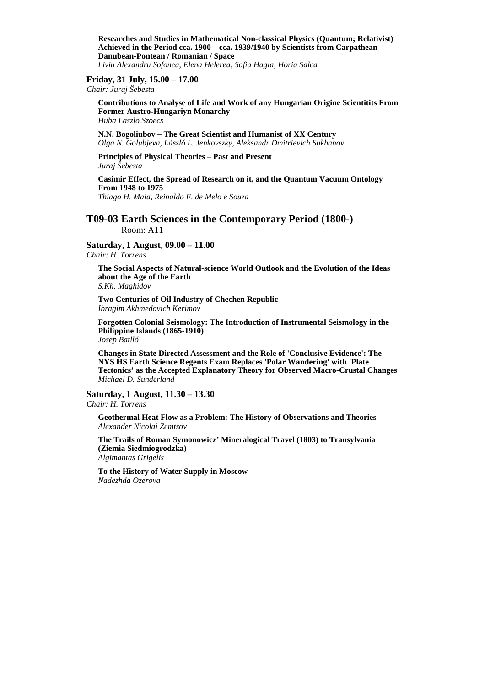**Researches and Studies in Mathematical Non-classical Physics (Quantum; Relativist) Achieved in the Period cca. 1900 – cca. 1939/1940 by Scientists from Carpathean-Danubean-Pontean / Romanian / Space**  *Liviu Alexandru Sofonea, Elena Helerea, Sofia Hagia, Horia Salca* 

# **Friday, 31 July, 15.00 – 17.00**

*Chair: Juraj Šebesta* 

**Contributions to Analyse of Life and Work of any Hungarian Origine Scientitits From Former Austro-Hungariyn Monarchy**  *Huba Laszlo Szoecs* 

**N.N. Bogoliubov – The Great Scientist and Humanist of XX Century**  *Olga N. Golubjeva, László L. Jenkovszky, Aleksandr Dmitrievich Sukhanov* 

#### **Principles of Physical Theories – Past and Present**  *Juraj Šebesta*

# **Casimir Effect, the Spread of Research on it, and the Quantum Vacuum Ontology From 1948 to 1975**

*Thiago H. Maia, Reinaldo F. de Melo e Souza* 

# **T09-03 Earth Sciences in the Contemporary Period (1800-)**  Room: A11

# **Saturday, 1 August, 09.00 – 11.00**

*Chair: H. Torrens* 

**The Social Aspects of Natural-science World Outlook and the Evolution of the Ideas about the Age of the Earth**  *S.Kh. Maghidov* 

**Two Centuries of Oil Industry of Chechen Republic**  *Ibragim Akhmedovich Kerimov* 

**Forgotten Colonial Seismology: The Introduction of Instrumental Seismology in the Philippine Islands (1865-1910)**  *Josep Batlló* 

**Changes in State Directed Assessment and the Role of 'Conclusive Evidence': The NYS HS Earth Science Regents Exam Replaces 'Polar Wandering' with 'Plate Tectonics' as the Accepted Explanatory Theory for Observed Macro-Crustal Changes**  *Michael D. Sunderland* 

#### **Saturday, 1 August, 11.30 – 13.30**

*Chair: H. Torrens* 

**Geothermal Heat Flow as a Problem: The History of Observations and Theories**  *Alexander Nicolai Zemtsov* 

**The Trails of Roman Symonowicz' Mineralogical Travel (1803) to Transylvania (Ziemia Siedmiogrodzka)**  *Algimantas Grigelis* 

**To the History of Water Supply in Moscow**  *Nadezhda Ozerova*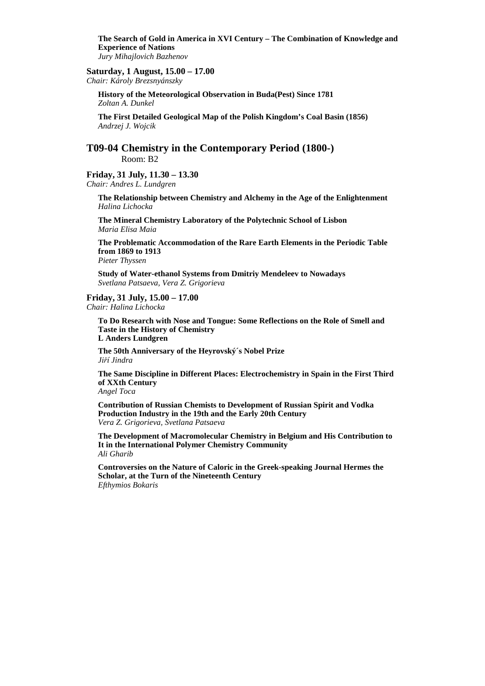**The Search of Gold in America in XVI Century – The Combination of Knowledge and Experience of Nations**  *Jury Mihajlovich Bazhenov* 

#### **Saturday, 1 August, 15.00 – 17.00**

*Chair: Károly Brezsnyánszky* 

**History of the Meteorological Observation in Buda(Pest) Since 1781**  *Zoltan A. Dunkel* 

**The First Detailed Geological Map of the Polish Kingdom's Coal Basin (1856)**  *Andrzej J. Wojcik* 

**T09-04 Chemistry in the Contemporary Period (1800-)** Room: B2

**Friday, 31 July, 11.30 – 13.30**  *Chair: Andres L. Lundgren* 

> **The Relationship between Chemistry and Alchemy in the Age of the Enlightenment**  *Halina Lichocka*

**The Mineral Chemistry Laboratory of the Polytechnic School of Lisbon**  *Maria Elisa Maia* 

**The Problematic Accommodation of the Rare Earth Elements in the Periodic Table from 1869 to 1913** 

*Pieter Thyssen* 

**Study of Water-ethanol Systems from Dmitriy Mendeleev to Nowadays**  *Svetlana Patsaeva, Vera Z. Grigorieva* 

**Friday, 31 July, 15.00 – 17.00**  *Chair: Halina Lichocka* 

> **To Do Research with Nose and Tongue: Some Reflections on the Role of Smell and Taste in the History of Chemistry L Anders Lundgren**

**The 50th Anniversary of the Heyrovský´s Nobel Prize** *Jiří Jindra* 

**The Same Discipline in Different Places: Electrochemistry in Spain in the First Third of XXth Century**  *Angel Toca* 

**Contribution of Russian Chemists to Development of Russian Spirit and Vodka Production Industry in the 19th and the Early 20th Century**  *Vera Z. Grigorieva, Svetlana Patsaeva* 

**The Development of Macromolecular Chemistry in Belgium and His Contribution to It in the International Polymer Chemistry Community** *Ali Gharib* 

**Controversies on the Nature of Caloric in the Greek-speaking Journal Hermes the Scholar, at the Turn of the Nineteenth Century**  *Efthymios Bokaris*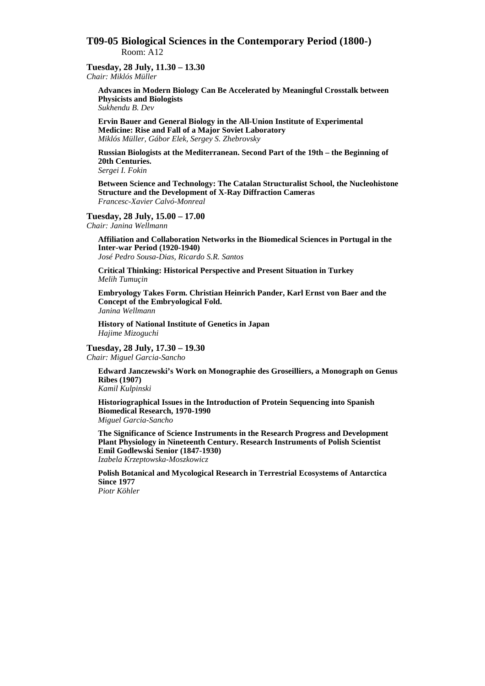# **T09-05 Biological Sciences in the Contemporary Period (1800-)**  Room: A12

# **Tuesday, 28 July, 11.30 – 13.30**

*Chair: Miklós Müller* 

**Advances in Modern Biology Can Be Accelerated by Meaningful Crosstalk between Physicists and Biologists**  *Sukhendu B. Dev* 

**Ervin Bauer and General Biology in the All-Union Institute of Experimental Medicine: Rise and Fall of a Major Soviet Laboratory**  *Miklós Müller, Gábor Elek, Sergey S. Zhebrovsky* 

**Russian Biologists at the Mediterranean. Second Part of the 19th – the Beginning of 20th Centuries.** 

*Sergei I. Fokin* 

**Between Science and Technology: The Catalan Structuralist School, the Nucleohistone Structure and the Development of X-Ray Diffraction Cameras**  *Francesc-Xavier Calvó-Monreal* 

**Tuesday, 28 July, 15.00 – 17.00** 

*Chair: Janina Wellmann* 

**Affiliation and Collaboration Networks in the Biomedical Sciences in Portugal in the Inter-war Period (1920-1940)**  *José Pedro Sousa-Dias, Ricardo S.R. Santos* 

**Critical Thinking: Historical Perspective and Present Situation in Turkey** 

*Melih Tumuçin* 

**Embryology Takes Form. Christian Heinrich Pander, Karl Ernst von Baer and the Concept of the Embryological Fold.**  *Janina Wellmann*

**History of National Institute of Genetics in Japan**  *Hajime Mizoguchi* 

**Tuesday, 28 July, 17.30 – 19.30** 

*Chair: Miguel Garcia-Sancho* 

**Edward Janczewski's Work on Monographie des Groseilliers, a Monograph on Genus Ribes (1907)**  *Kamil Kulpinski* 

**Historiographical Issues in the Introduction of Protein Sequencing into Spanish Biomedical Research, 1970-1990**  *Miguel Garcia-Sancho* 

**The Significance of Science Instruments in the Research Progress and Development Plant Physiology in Nineteenth Century. Research Instruments of Polish Scientist Emil Godlewski Senior (1847-1930)**  *Izabela Krzeptowska-Moszkowicz*

**Polish Botanical and Mycological Research in Terrestrial Ecosystems of Antarctica Since 1977** 

*Piotr Köhler*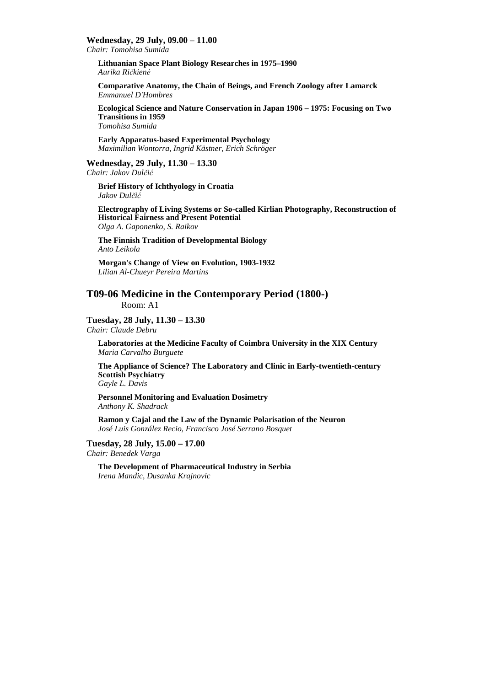#### **Wednesday, 29 July, 09.00 – 11.00**

*Chair: Tomohisa Sumida* 

**Lithuanian Space Plant Biology Researches in 1975–1990**  *Aurika Ričkien÷*

**Comparative Anatomy, the Chain of Beings, and French Zoology after Lamarck**  *Emmanuel D'Hombres* 

**Ecological Science and Nature Conservation in Japan 1906 – 1975: Focusing on Two Transitions in 1959**  *Tomohisa Sumida* 

**Early Apparatus-based Experimental Psychology**  *Maximilian Wontorra, Ingrid Kästner, Erich Schröger*

#### **Wednesday, 29 July, 11.30 – 13.30**

*Chair: Jakov Dulčić*

**Brief History of Ichthyology in Croatia**  *Jakov Dulčić*

**Electrography of Living Systems or So-called Kirlian Photography, Reconstruction of Historical Fairness and Present Potential**  *Olga A. Gaponenko, S. Raikov* 

**The Finnish Tradition of Developmental Biology**  *Anto Leikola* 

**Morgan's Change of View on Evolution, 1903-1932**  *Lilian Al-Chueyr Pereira Martins* 

# **T09-06 Medicine in the Contemporary Period (1800-)**  Room: A1

## **Tuesday, 28 July, 11.30 – 13.30**

*Chair: Claude Debru* 

**Laboratories at the Medicine Faculty of Coimbra University in the XIX Century**  *Maria Carvalho Burguete* 

**The Appliance of Science? The Laboratory and Clinic in Early-twentieth-century Scottish Psychiatry**  *Gayle L. Davis* 

**Personnel Monitoring and Evaluation Dosimetry**  *Anthony K. Shadrack* 

**Ramon y Cajal and the Law of the Dynamic Polarisation of the Neuron**  *José Luis González Recio, Francisco José Serrano Bosquet* 

#### **Tuesday, 28 July, 15.00 – 17.00**  *Chair: Benedek Varga*

**The Development of Pharmaceutical Industry in Serbia**  *Irena Mandic, Dusanka Krajnovic*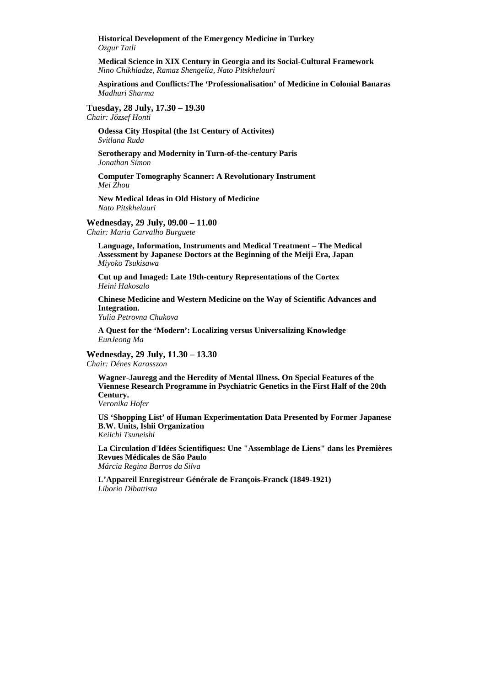**Historical Development of the Emergency Medicine in Turkey**  *Ozgur Tatli* 

**Medical Science in XIX Century in Georgia and its Social-Cultural Framework**  *Nino Chikhladze, Ramaz Shengelia, Nato Pitskhelauri*

**Aspirations and Conflicts:The 'Professionalisation' of Medicine in Colonial Banaras**  *Madhuri Sharma* 

**Tuesday, 28 July, 17.30 – 19.30** 

*Chair: József Honti* 

**Odessa City Hospital (the 1st Century of Activites)**  *Svitlana Ruda* 

**Serotherapy and Modernity in Turn-of-the-century Paris**  *Jonathan Simon* 

**Computer Tomography Scanner: A Revolutionary Instrument**  *Mei Zhou* 

**New Medical Ideas in Old History of Medicine**  *Nato Pitskhelauri* 

**Wednesday, 29 July, 09.00 – 11.00** 

*Chair: Maria Carvalho Burguete* 

**Language, Information, Instruments and Medical Treatment – The Medical Assessment by Japanese Doctors at the Beginning of the Meiji Era, Japan**  *Miyoko Tsukisawa* 

**Cut up and Imaged: Late 19th-century Representations of the Cortex**  *Heini Hakosalo* 

**Chinese Medicine and Western Medicine on the Way of Scientific Advances and Integration.** 

*Yulia Petrovna Chukova* 

**A Quest for the 'Modern': Localizing versus Universalizing Knowledge**  *EunJeong Ma* 

**Wednesday, 29 July, 11.30 – 13.30** 

*Chair: Dénes Karasszon* 

**Wagner-Jauregg and the Heredity of Mental Illness. On Special Features of the Viennese Research Programme in Psychiatric Genetics in the First Half of the 20th Century.** 

*Veronika Hofer* 

**US 'Shopping List' of Human Experimentation Data Presented by Former Japanese B.W. Units, Ishii Organization**  *Keiichi Tsuneishi* 

**La Circulation d'Idées Scientifiques: Une "Assemblage de Liens" dans les Premières Revues Médicales de São Paulo**  *Márcia Regina Barros da Silva* 

**L'Appareil Enregistreur Générale de François-Franck (1849-1921)**  *Liborio Dibattista*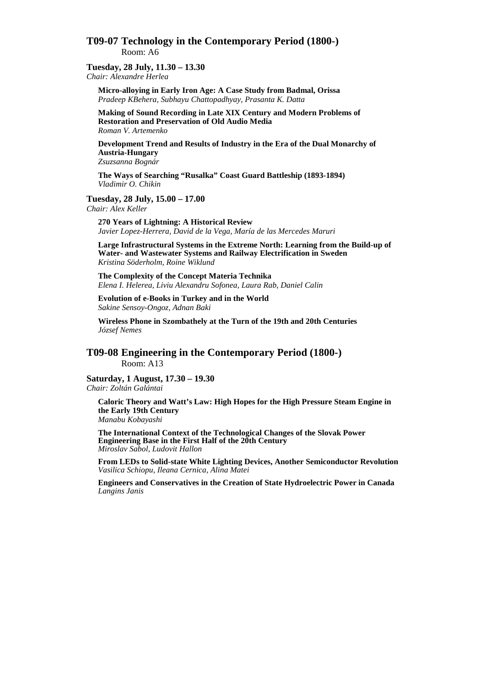# **T09-07 Technology in the Contemporary Period (1800-)**  Room: A6

# **Tuesday, 28 July, 11.30 – 13.30**

*Chair: Alexandre Herlea* 

**Micro-alloying in Early Iron Age: A Case Study from Badmal, Orissa**  *Pradeep KBehera, Subhayu Chattopadhyay, Prasanta K. Datta* 

**Making of Sound Recording in Late XIX Century and Modern Problems of Restoration and Preservation of Old Audio Media**  *Roman V. Artemenko* 

**Development Trend and Results of Industry in the Era of the Dual Monarchy of Austria-Hungary**  *Zsuzsanna Bognár* 

**The Ways of Searching "Rusalka" Coast Guard Battleship (1893-1894)**  *Vladimir O. Chikin* 

# **Tuesday, 28 July, 15.00 – 17.00**

*Chair: Alex Keller* 

**270 Years of Lightning: A Historical Review**  *Javier Lopez-Herrera, David de la Vega, María de las Mercedes Maruri* 

**Large Infrastructural Systems in the Extreme North: Learning from the Build-up of Water- and Wastewater Systems and Railway Electrification in Sweden**  *Kristina Söderholm, Roine Wiklund* 

**The Complexity of the Concept Materia Technika**  *Elena I. Helerea, Liviu Alexandru Sofonea, Laura Rab, Daniel Calin* 

**Evolution of e-Books in Turkey and in the World**  *Sakine Sensoy-Ongoz, Adnan Baki* 

**Wireless Phone in Szombathely at the Turn of the 19th and 20th Centuries**  *József Nemes* 

**T09-08 Engineering in the Contemporary Period (1800-)**  Room: A13

**Saturday, 1 August, 17.30 – 19.30**  *Chair: Zoltán Galántai* 

**Caloric Theory and Watt's Law: High Hopes for the High Pressure Steam Engine in the Early 19th Century** 

*Manabu Kobayashi* 

**The International Context of the Technological Changes of the Slovak Power Engineering Base in the First Half of the 20th Century**  *Miroslav Sabol, Ludovit Hallon* 

**From LEDs to Solid-state White Lighting Devices, Another Semiconductor Revolution**  *Vasilica Schiopu, Ileana Cernica, Alina Matei* 

**Engineers and Conservatives in the Creation of State Hydroelectric Power in Canada**  *Langins Janis*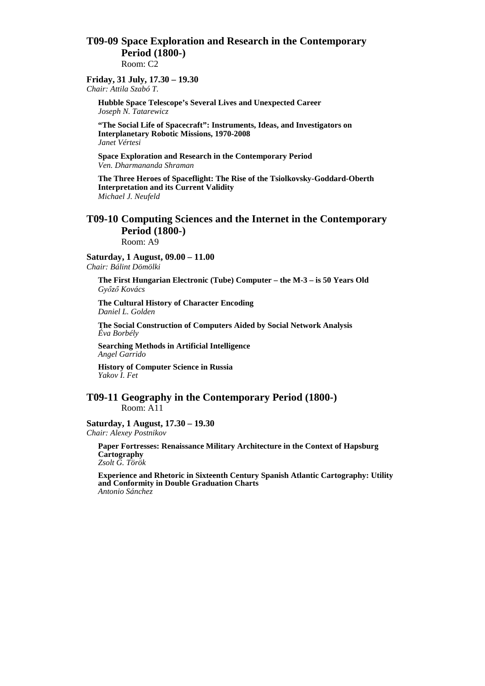# **T09-09 Space Exploration and Research in the Contemporary Period (1800-)**  Room: C2

# **Friday, 31 July, 17.30 – 19.30**

*Chair: Attila Szabó T.* 

**Hubble Space Telescope's Several Lives and Unexpected Career**  *Joseph N. Tatarewicz* 

**"The Social Life of Spacecraft": Instruments, Ideas, and Investigators on Interplanetary Robotic Missions, 1970-2008**  *Janet Vértesi* 

**Space Exploration and Research in the Contemporary Period**  *Ven. Dharmananda Shraman* 

**The Three Heroes of Spaceflight: The Rise of the Tsiolkovsky-Goddard-Oberth Interpretation and its Current Validity**  *Michael J. Neufeld* 

# **T09-10 Computing Sciences and the Internet in the Contemporary Period (1800-)**

Room: A9

**Saturday, 1 August, 09.00 – 11.00**  *Chair: Bálint Dömölki* 

**The First Hungarian Electronic (Tube) Computer – the M-3 – is 50 Years Old**  *Gyızı Kovács* 

**The Cultural History of Character Encoding**  *Daniel L. Golden* 

**The Social Construction of Computers Aided by Social Network Analysis**  *Éva Borbély* 

**Searching Methods in Artificial Intelligence**  *Angel Garrido* 

**History of Computer Science in Russia**  *Yakov I. Fet* 

# **T09-11 Geography in the Contemporary Period (1800-)** Room: A11

#### **Saturday, 1 August, 17.30 – 19.30**  *Chair: Alexey Postnikov*

**Paper Fortresses: Renaissance Military Architecture in the Context of Hapsburg Cartography**  *Zsolt G. Török* 

**Experience and Rhetoric in Sixteenth Century Spanish Atlantic Cartography: Utility and Conformity in Double Graduation Charts**  *Antonio Sánchez*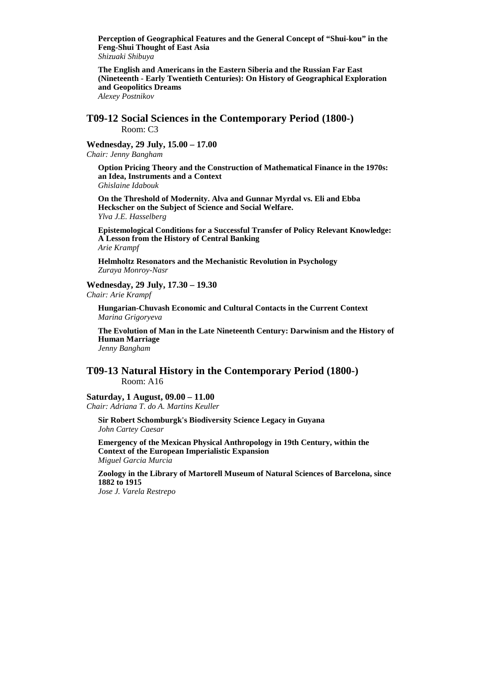**Perception of Geographical Features and the General Concept of "Shui-kou" in the Feng-Shui Thought of East Asia**  *Shizuaki Shibuya* 

**The English and Americans in the Eastern Siberia and the Russian Far East (Nineteenth - Early Twentieth Centuries): On History of Geographical Exploration and Geopolitics Dreams**  *Alexey Postnikov* 

**T09-12 Social Sciences in the Contemporary Period (1800-)**  Room: C3

**Wednesday, 29 July, 15.00 – 17.00**  *Chair: Jenny Bangham* 

**Option Pricing Theory and the Construction of Mathematical Finance in the 1970s: an Idea, Instruments and a Context**  *Ghislaine Idabouk* 

**On the Threshold of Modernity. Alva and Gunnar Myrdal vs. Eli and Ebba Heckscher on the Subject of Science and Social Welfare.**  *Ylva J.E. Hasselberg* 

**Epistemological Conditions for a Successful Transfer of Policy Relevant Knowledge: A Lesson from the History of Central Banking**  *Arie Krampf* 

**Helmholtz Resonators and the Mechanistic Revolution in Psychology**  *Zuraya Monroy-Nasr* 

**Wednesday, 29 July, 17.30 – 19.30** 

*Chair: Arie Krampf* 

**Hungarian-Chuvash Economic and Cultural Contacts in the Current Context**  *Marina Grigoryeva* 

**The Evolution of Man in the Late Nineteenth Century: Darwinism and the History of Human Marriage**  *Jenny Bangham* 

**T09-13 Natural History in the Contemporary Period (1800-)**  Room: A16

**Saturday, 1 August, 09.00 – 11.00** 

*Chair: Adriana T. do A. Martins Keuller* 

**Sir Robert Schomburgk's Biodiversity Science Legacy in Guyana**  *John Cartey Caesar* 

**Emergency of the Mexican Physical Anthropology in 19th Century, within the Context of the European Imperialistic Expansion**  *Miguel Garcia Murcia* 

**Zoology in the Library of Martorell Museum of Natural Sciences of Barcelona, since 1882 to 1915** 

*Jose J. Varela Restrepo*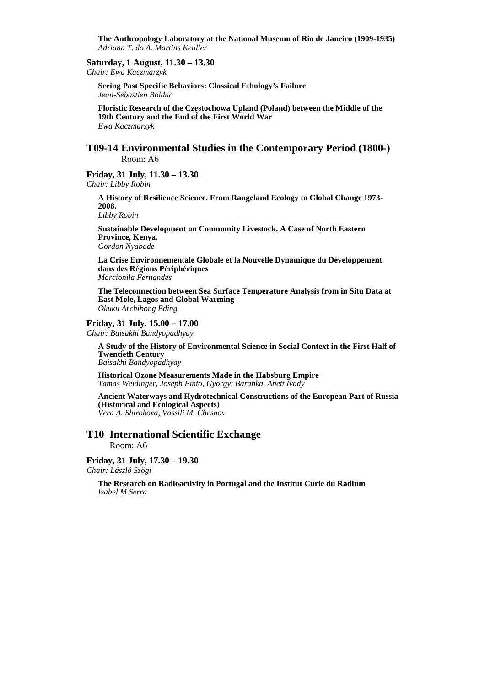**The Anthropology Laboratory at the National Museum of Rio de Janeiro (1909-1935)**  *Adriana T. do A. Martins Keuller* 

**Saturday, 1 August, 11.30 – 13.30** 

*Chair: Ewa Kaczmarzyk* 

**Seeing Past Specific Behaviors: Classical Ethology's Failure**  *Jean-Sébastien Bolduc* 

**Floristic Research of the Częstochowa Upland (Poland) between the Middle of the 19th Century and the End of the First World War**  *Ewa Kaczmarzyk* 

# **T09-14 Environmental Studies in the Contemporary Period (1800-)**  Room: A6

**Friday, 31 July, 11.30 – 13.30**  *Chair: Libby Robin* 

> **A History of Resilience Science. From Rangeland Ecology to Global Change 1973- 2008.**

*Libby Robin* 

**Sustainable Development on Community Livestock. A Case of North Eastern Province, Kenya.**  *Gordon Nyabade* 

**La Crise Environnementale Globale et la Nouvelle Dynamique du Développement dans des Régions Périphériques**  *Marcionila Fernandes* 

**The Teleconnection between Sea Surface Temperature Analysis from in Situ Data at East Mole, Lagos and Global Warming**  *Okuku Archibong Eding* 

### **Friday, 31 July, 15.00 – 17.00**

*Chair: Baisakhi Bandyopadhyay* 

**A Study of the History of Environmental Science in Social Context in the First Half of Twentieth Century**  *Baisakhi Bandyopadhyay* 

**Historical Ozone Measurements Made in the Habsburg Empire**  *Tamas Weidinger, Joseph Pinto, Gyorgyi Baranka, Anett Ivady* 

**Ancient Waterways and Hydrotechnical Constructions of the European Part of Russia (Historical and Ecological Aspects)**  *Vera A. Shirokova, Vassili M. Chesnov* 

# **T10 International Scientific Exchange**

Room: A6

**Friday, 31 July, 17.30 – 19.30**  *Chair: László Szögi* 

> **The Research on Radioactivity in Portugal and the Institut Curie du Radium**  *Isabel M Serra*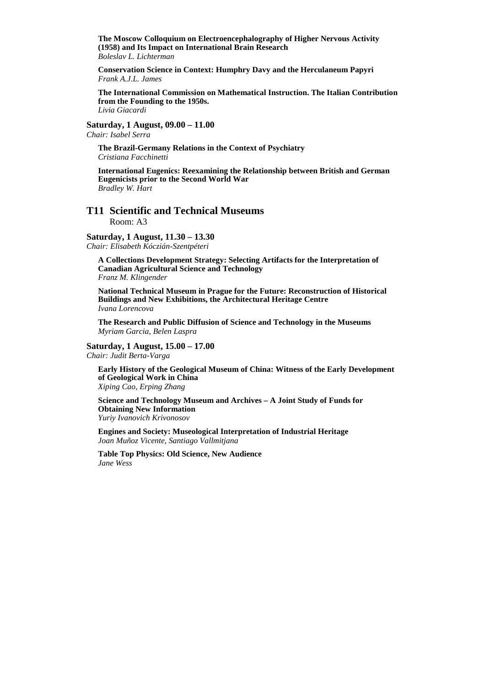**The Moscow Colloquium on Electroencephalography of Higher Nervous Activity (1958) and Its Impact on International Brain Research**  *Boleslav L. Lichterman* 

**Conservation Science in Context: Humphry Davy and the Herculaneum Papyri**  *Frank A.J.L. James* 

**The International Commission on Mathematical Instruction. The Italian Contribution from the Founding to the 1950s.**  *Livia Giacardi* 

**Saturday, 1 August, 09.00 – 11.00**  *Chair: Isabel Serra* 

**The Brazil-Germany Relations in the Context of Psychiatry**  *Cristiana Facchinetti* 

**International Eugenics: Reexamining the Relationship between British and German Eugenicists prior to the Second World War**  *Bradley W. Hart* 

#### **T11 Scientific and Technical Museums**  Room: A3

# **Saturday, 1 August, 11.30 – 13.30**

*Chair: Elisabeth Kóczián-Szentpéteri* 

**A Collections Development Strategy: Selecting Artifacts for the Interpretation of Canadian Agricultural Science and Technology**  *Franz M. Klingender* 

**National Technical Museum in Prague for the Future: Reconstruction of Historical Buildings and New Exhibitions, the Architectural Heritage Centre**  *Ivana Lorencova* 

**The Research and Public Diffusion of Science and Technology in the Museums**  *Myriam Garcia, Belen Laspra* 

# **Saturday, 1 August, 15.00 – 17.00**

*Chair: Judit Berta-Varga* 

**Early History of the Geological Museum of China: Witness of the Early Development of Geological Work in China**  *Xiping Cao, Erping Zhang* 

**Science and Technology Museum and Archives – A Joint Study of Funds for Obtaining New Information**  *Yuriy Ivanovich Krivonosov* 

**Engines and Society: Museological Interpretation of Industrial Heritage**  *Joan Muñoz Vicente, Santiago Vallmitjana* 

**Table Top Physics: Old Science, New Audience**  *Jane Wess*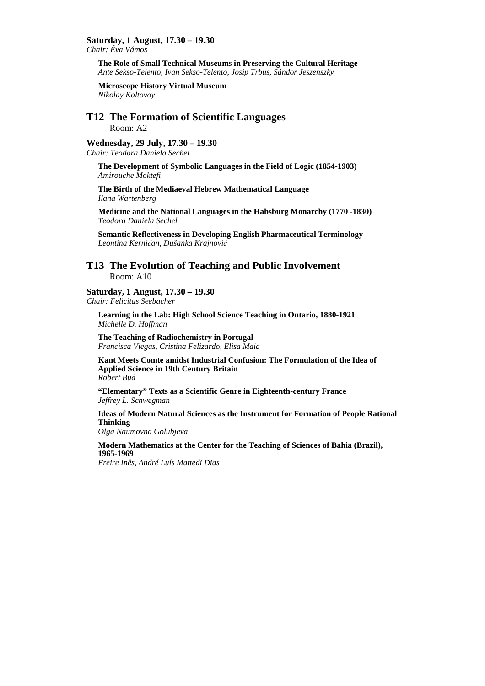# **Saturday, 1 August, 17.30 – 19.30**

*Chair: Éva Vámos* 

**The Role of Small Technical Museums in Preserving the Cultural Heritage**  *Ante Sekso-Telento, Ivan Sekso-Telento, Josip Trbus, Sándor Jeszenszky* 

**Microscope History Virtual Museum**  *Nikolay Koltovoy* 

# **T12 The Formation of Scientific Languages**

Room: A2

## **Wednesday, 29 July, 17.30 – 19.30**

*Chair: Teodora Daniela Sechel* 

**The Development of Symbolic Languages in the Field of Logic (1854-1903)**  *Amirouche Moktefi* 

**The Birth of the Mediaeval Hebrew Mathematical Language**  *Ilana Wartenberg* 

**Medicine and the National Languages in the Habsburg Monarchy (1770 -1830)**  *Teodora Daniela Sechel* 

**Semantic Reflectiveness in Developing English Pharmaceutical Terminology**  *Leontina Kerničan, Dušanka Krajnović*

# **T13 The Evolution of Teaching and Public Involvement**  Room: A10

**Saturday, 1 August, 17.30 – 19.30**  *Chair: Felicitas Seebacher* 

**Learning in the Lab: High School Science Teaching in Ontario, 1880-1921**  *Michelle D. Hoffman* 

**The Teaching of Radiochemistry in Portugal**  *Francisca Viegas, Cristina Felizardo, Elisa Maia* 

**Kant Meets Comte amidst Industrial Confusion: The Formulation of the Idea of Applied Science in 19th Century Britain**  *Robert Bud* 

**"Elementary" Texts as a Scientific Genre in Eighteenth-century France**  *Jeffrey L. Schwegman* 

**Ideas of Modern Natural Sciences as the Instrument for Formation of People Rational Thinking** 

*Olga Naumovna Golubjeva* 

**Modern Mathematics at the Center for the Teaching of Sciences of Bahia (Brazil), 1965-1969** 

*Freire Inês, André Luís Mattedi Dias*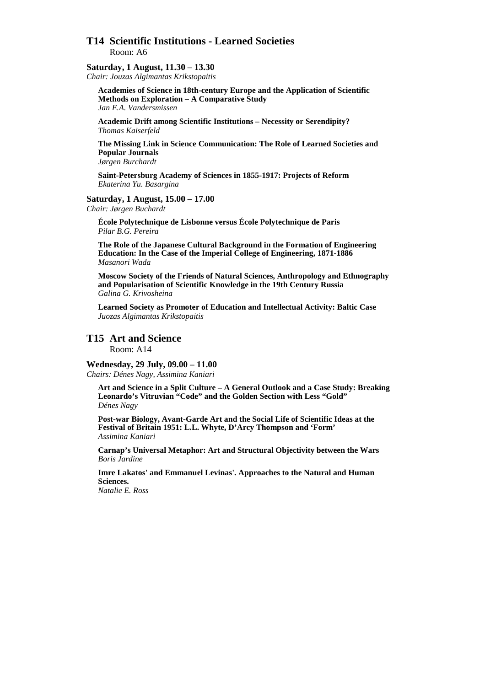# **T14 Scientific Institutions - Learned Societies**  Room: A6

**Saturday, 1 August, 11.30 – 13.30** 

*Chair: Jouzas Algimantas Krikstopaitis* 

**Academies of Science in 18th-century Europe and the Application of Scientific Methods on Exploration – A Comparative Study**  *Jan E.A. Vandersmissen* 

**Academic Drift among Scientific Institutions – Necessity or Serendipity?**  *Thomas Kaiserfeld* 

**The Missing Link in Science Communication: The Role of Learned Societies and Popular Journals**  *Jørgen Burchardt* 

**Saint-Petersburg Academy of Sciences in 1855-1917: Projects of Reform** 

*Ekaterina Yu. Basargina* 

# **Saturday, 1 August, 15.00 – 17.00**

*Chair: Jørgen Buchardt* 

**École Polytechnique de Lisbonne versus École Polytechnique de Paris**  *Pilar B.G. Pereira* 

**The Role of the Japanese Cultural Background in the Formation of Engineering Education: In the Case of the Imperial College of Engineering, 1871-1886**  *Masanori Wada* 

**Moscow Society of the Friends of Natural Sciences, Anthropology and Ethnography and Popularisation of Scientific Knowledge in the 19th Century Russia**  *Galina G. Krivosheina* 

**Learned Society as Promoter of Education and Intellectual Activity: Baltic Case**  *Juozas Algimantas Krikstopaitis* 

# **T15 Art and Science**

Room: A14

# **Wednesday, 29 July, 09.00 – 11.00**

*Chairs: Dénes Nagy, Assimina Kaniari* 

**Art and Science in a Split Culture – A General Outlook and a Case Study: Breaking Leonardo's Vitruvian "Code" and the Golden Section with Less "Gold"**  *Dénes Nagy* 

**Post-war Biology, Avant-Garde Art and the Social Life of Scientific Ideas at the Festival of Britain 1951: L.L. Whyte, D'Arcy Thompson and 'Form'**  *Assimina Kaniari* 

**Carnap's Universal Metaphor: Art and Structural Objectivity between the Wars**  *Boris Jardine* 

**Imre Lakatos' and Emmanuel Levinas'. Approaches to the Natural and Human Sciences.** 

*Natalie E. Ross*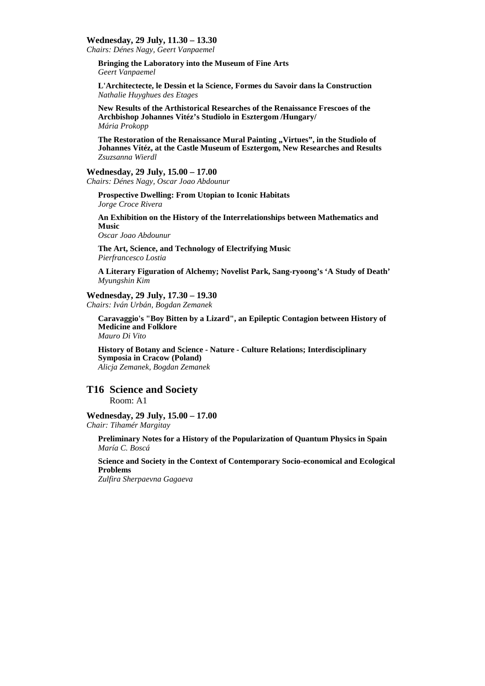#### **Wednesday, 29 July, 11.30 – 13.30**

*Chairs: Dénes Nagy, Geert Vanpaemel* 

**Bringing the Laboratory into the Museum of Fine Arts**  *Geert Vanpaemel* 

**L'Architectecte, le Dessin et la Science, Formes du Savoir dans la Construction**  *Nathalie Huyghues des Etages* 

**New Results of the Arthistorical Researches of the Renaissance Frescoes of the Archbishop Johannes Vitéz's Studiolo in Esztergom /Hungary/**  *Mária Prokopp* 

The Restoration of the Renaissance Mural Painting "Virtues", in the Studiolo of **Johannes Vítéz, at the Castle Museum of Esztergom, New Researches and Results**  *Zsuzsanna Wierdl* 

# **Wednesday, 29 July, 15.00 – 17.00**

*Chairs: Dénes Nagy, Oscar Joao Abdounur* 

**Prospective Dwelling: From Utopian to Iconic Habitats**  *Jorge Croce Rivera* 

**An Exhibition on the History of the Interrelationships between Mathematics and Music**  *Oscar Joao Abdounur* 

**The Art, Science, and Technology of Electrifying Music** 

*Pierfrancesco Lostia* 

**A Literary Figuration of Alchemy; Novelist Park, Sang-ryoong's 'A Study of Death'**  *Myungshin Kim* 

#### **Wednesday, 29 July, 17.30 – 19.30**

*Chairs: Iván Urbán, Bogdan Zemanek* 

**Caravaggio's "Boy Bitten by a Lizard", an Epileptic Contagion between History of Medicine and Folklore**  *Mauro Di Vito* 

**History of Botany and Science - Nature - Culture Relations; Interdisciplinary Symposia in Cracow (Poland)**  *Alicja Zemanek, Bogdan Zemanek* 

# **T16 Science and Society**

Room: A1

**Wednesday, 29 July, 15.00 – 17.00**  *Chair: Tihamér Margitay* 

**Preliminary Notes for a History of the Popularization of Quantum Physics in Spain**  *María C. Boscá* 

**Science and Society in the Context of Contemporary Socio-economical and Ecological Problems** 

*Zulfira Sherpaevna Gagaeva*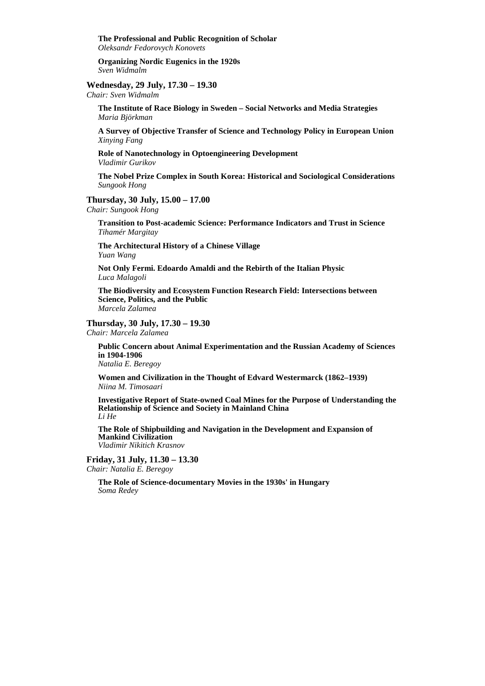**The Professional and Public Recognition of Scholar**  *Oleksandr Fedorovych Konovets* 

**Organizing Nordic Eugenics in the 1920s**  *Sven Widmalm* 

# **Wednesday, 29 July, 17.30 – 19.30**

*Chair: Sven Widmalm* 

**The Institute of Race Biology in Sweden – Social Networks and Media Strategies**  *Maria Björkman* 

**A Survey of Objective Transfer of Science and Technology Policy in European Union**  *Xinying Fang* 

**Role of Nanotechnology in Optoengineering Development**  *Vladimir Gurikov* 

**The Nobel Prize Complex in South Korea: Historical and Sociological Considerations**  *Sungook Hong* 

**Thursday, 30 July, 15.00 – 17.00** 

*Chair: Sungook Hong* 

**Transition to Post-academic Science: Performance Indicators and Trust in Science**  *Tihamér Margitay* 

**The Architectural History of a Chinese Village**  *Yuan Wang* 

**Not Only Fermi. Edoardo Amaldi and the Rebirth of the Italian Physic**  *Luca Malagoli* 

**The Biodiversity and Ecosystem Function Research Field: Intersections between Science, Politics, and the Public**  *Marcela Zalamea* 

#### **Thursday, 30 July, 17.30 – 19.30**

*Chair: Marcela Zalamea* 

**Public Concern about Animal Experimentation and the Russian Academy of Sciences in 1904-1906**  *Natalia E. Beregoy* 

**Women and Civilization in the Thought of Edvard Westermarck (1862–1939)**  *Niina M. Timosaari* 

**Investigative Report of State-owned Coal Mines for the Purpose of Understanding the Relationship of Science and Society in Mainland China**  *Li He* 

**The Role of Shipbuilding and Navigation in the Development and Expansion of Mankind Civilization**  *Vladimir Nikitich Krasnov* 

**Friday, 31 July, 11.30 – 13.30**  *Chair: Natalia E. Beregoy* 

> **The Role of Science-documentary Movies in the 1930s' in Hungary**  *Soma Redey*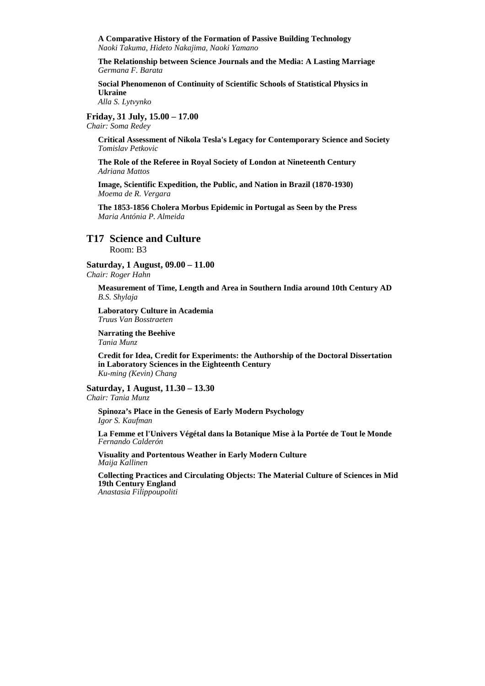**A Comparative History of the Formation of Passive Building Technology**  *Naoki Takuma, Hideto Nakajima, Naoki Yamano* 

**The Relationship between Science Journals and the Media: A Lasting Marriage**  *Germana F. Barata* 

**Social Phenomenon of Continuity of Scientific Schools of Statistical Physics in Ukraine**  *Alla S. Lytvynko* 

**Friday, 31 July, 15.00 – 17.00** 

*Chair: Soma Redey* 

**Critical Assessment of Nikola Tesla's Legacy for Contemporary Science and Society**  *Tomislav Petkovic* 

**The Role of the Referee in Royal Society of London at Nineteenth Century**  *Adriana Mattos* 

**Image, Scientific Expedition, the Public, and Nation in Brazil (1870-1930)**  *Moema de R. Vergara* 

**The 1853-1856 Cholera Morbus Epidemic in Portugal as Seen by the Press**  *Maria Antónia P. Almeida* 

## **T17 Science and Culture**  Room: B3

**Saturday, 1 August, 09.00 – 11.00** 

*Chair: Roger Hahn* 

**Measurement of Time, Length and Area in Southern India around 10th Century AD**  *B.S. Shylaja* 

**Laboratory Culture in Academia**  *Truus Van Bosstraeten* 

**Narrating the Beehive**  *Tania Munz* 

**Credit for Idea, Credit for Experiments: the Authorship of the Doctoral Dissertation in Laboratory Sciences in the Eighteenth Century**  *Ku-ming (Kevin) Chang* 

**Saturday, 1 August, 11.30 – 13.30**  *Chair: Tania Munz* 

**Spinoza's Place in the Genesis of Early Modern Psychology**  *Igor S. Kaufman* 

**La Femme et l'Univers Végétal dans la Botanique Mise à la Portée de Tout le Monde**  *Fernando Calderón* 

**Visuality and Portentous Weather in Early Modern Culture**  *Maija Kallinen* 

**Collecting Practices and Circulating Objects: The Material Culture of Sciences in Mid 19th Century England**  *Anastasia Filippoupoliti*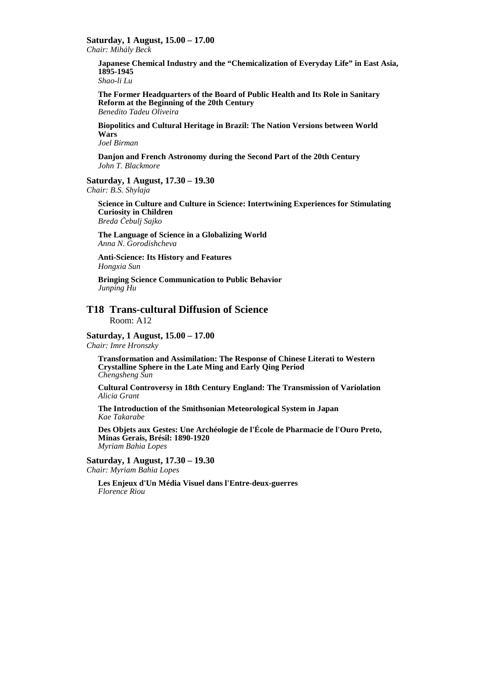**Saturday, 1 August, 15.00 – 17.00** 

*Chair: Mihály Beck* 

**Japanese Chemical Industry and the "Chemicalization of Everyday Life" in East Asia, 1895-1945** 

*Shao-li Lu* 

**The Former Headquarters of the Board of Public Health and Its Role in Sanitary Reform at the Beginning of the 20th Century**  *Benedito Tadeu Oliveira* 

**Biopolitics and Cultural Heritage in Brazil: The Nation Versions between World Wars** 

*Joel Birman* 

**Danjon and French Astronomy during the Second Part of the 20th Century**  *John T. Blackmore* 

#### **Saturday, 1 August, 17.30 – 19.30**  *Chair: B.S. Shylaja*

**Science in Culture and Culture in Science: Intertwining Experiences for Stimulating Curiosity in Children**  *Breda Čebulj Sajko* 

**The Language of Science in a Globalizing World**  *Anna N. Gorodishcheva* 

**Anti-Science: Its History and Features**  *Hongxia Sun* 

**Bringing Science Communication to Public Behavior**  *Junping Hu* 

# **T18 Trans-cultural Diffusion of Science**

Room: A12

# **Saturday, 1 August, 15.00 – 17.00**

*Chair: Imre Hronszky* 

**Transformation and Assimilation: The Response of Chinese Literati to Western Crystalline Sphere in the Late Ming and Early Qing Period**  *Chengsheng Sun* 

**Cultural Controversy in 18th Century England: The Transmission of Variolation**  *Alicia Grant* 

**The Introduction of the Smithsonian Meteorological System in Japan**  *Kae Takarabe* 

**Des Objets aux Gestes: Une Archéologie de l'École de Pharmacie de l'Ouro Preto, Minas Gerais, Brésil: 1890-1920**  *Myriam Bahia Lopes* 

**Saturday, 1 August, 17.30 – 19.30**  *Chair: Myriam Bahia Lopes* 

**Les Enjeux d'Un Média Visuel dans l'Entre-deux-guerres**  *Florence Riou*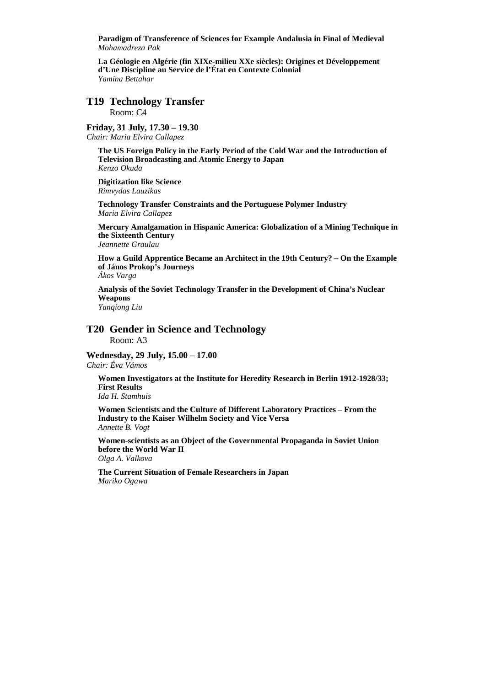**Paradigm of Transference of Sciences for Example Andalusia in Final of Medieval**  *Mohamadreza Pak* 

**La Géologie en Algérie (fin XIXe-milieu XXe siècles): Origines et Développement d'Une Discipline au Service de l'État en Contexte Colonial**  *Yamina Bettahar*

# **T19 Technology Transfer**

Room: C4

# **Friday, 31 July, 17.30 – 19.30**

*Chair: Maria Elvira Callapez* 

**The US Foreign Policy in the Early Period of the Cold War and the Introduction of Television Broadcasting and Atomic Energy to Japan**  *Kenzo Okuda* 

**Digitization like Science**  *Rimvydas Lauzikas* 

**Technology Transfer Constraints and the Portuguese Polymer Industry**  *Maria Elvira Callapez* 

**Mercury Amalgamation in Hispanic America: Globalization of a Mining Technique in the Sixteenth Century**  *Jeannette Graulau* 

**How a Guild Apprentice Became an Architect in the 19th Century? – On the Example of János Prokop's Journeys** 

*Ákos Varga* 

**Analysis of the Soviet Technology Transfer in the Development of China's Nuclear Weapons** 

*Yanqiong Liu* 

#### **T20 Gender in Science and Technology**  Room: A3

**Wednesday, 29 July, 15.00 – 17.00**  *Chair: Éva Vámos* 

**Women Investigators at the Institute for Heredity Research in Berlin 1912-1928/33; First Results** 

*Ida H. Stamhuis* 

**Women Scientists and the Culture of Different Laboratory Practices – From the Industry to the Kaiser Wilhelm Society and Vice Versa**  *Annette B. Vogt* 

**Women-scientists as an Object of the Governmental Propaganda in Soviet Union before the World War II**  *Olga A. Valkova* 

**The Current Situation of Female Researchers in Japan**  *Mariko Ogawa*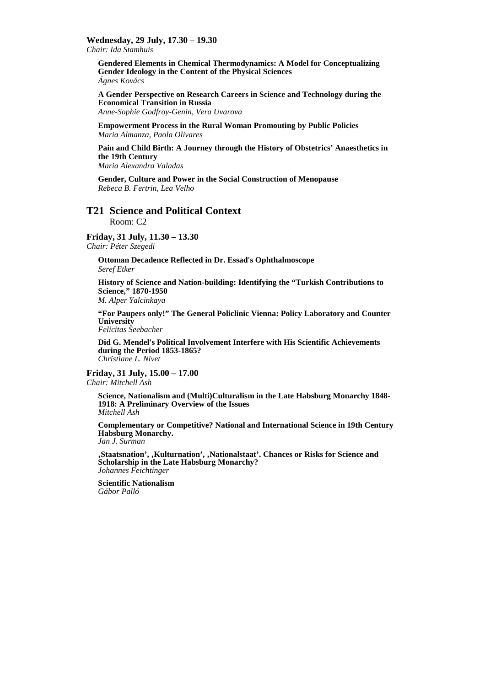### **Wednesday, 29 July, 17.30 – 19.30**

*Chair: Ida Stamhuis* 

**Gendered Elements in Chemical Thermodynamics: A Model for Conceptualizing Gender Ideology in the Content of the Physical Sciences**  *Ágnes Kovács* 

**A Gender Perspective on Research Careers in Science and Technology during the Economical Transition in Russia** 

*Anne-Sophie Godfroy-Genin, Vera Uvarova* 

**Empowerment Process in the Rural Woman Promouting by Public Policies**  *Maria Almanza, Paola Olivares* 

**Pain and Child Birth: A Journey through the History of Obstetrics' Anaesthetics in the 19th Century** 

*Maria Alexandra Valadas* 

**Gender, Culture and Power in the Social Construction of Menopause**  *Rebeca B. Fertrin, Lea Velho* 

# **T21 Science and Political Context**

Room: C2

**Friday, 31 July, 11.30 – 13.30** 

*Chair: Péter Szegedi* 

**Ottoman Decadence Reflected in Dr. Essad's Ophthalmoscope**  *Seref Etker* 

**History of Science and Nation-building: Identifying the "Turkish Contributions to Science," 1870-1950**  *M. Alper Yalcinkaya* 

**"For Paupers only!" The General Policlinic Vienna: Policy Laboratory and Counter University**  *Felicitas Seebacher* 

**Did G. Mendel's Political Involvement Interfere with His Scientific Achievements during the Period 1853-1865?**  *Christiane L. Nivet* 

# **Friday, 31 July, 15.00 – 17.00**

*Chair: Mitchell Ash* 

**Science, Nationalism and (Multi)Culturalism in the Late Habsburg Monarchy 1848- 1918: A Preliminary Overview of the Issues**  *Mitchell Ash* 

**Complementary or Competitive? National and International Science in 19th Century Habsburg Monarchy.** 

*Jan J. Surman* 

**'Staatsnation', 'Kulturnation', 'Nationalstaat'. Chances or Risks for Science and Scholarship in the Late Habsburg Monarchy?**  *Johannes Feichtinger* 

**Scientific Nationalism**  *Gábor Palló*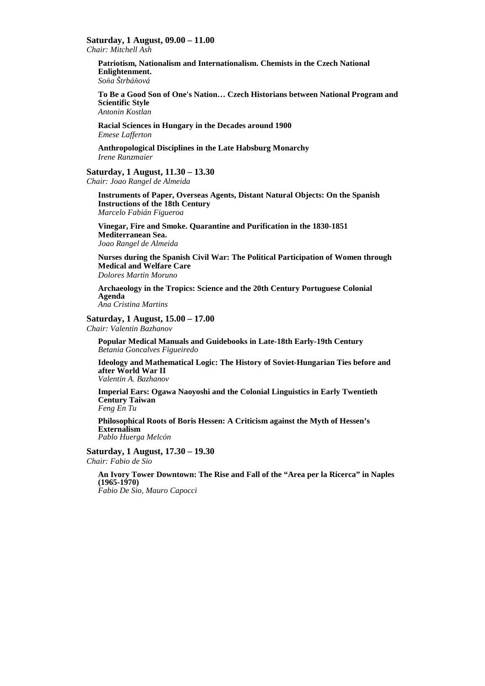## **Saturday, 1 August, 09.00 – 11.00**

*Chair: Mitchell Ash* 

**Patriotism, Nationalism and Internationalism. Chemists in the Czech National Enlightenment.**  *Soňa Štrbáňová* 

**To Be a Good Son of One's Nation… Czech Historians between National Program and Scientific Style** 

*Antonin Kostlan* 

**Racial Sciences in Hungary in the Decades around 1900**  *Emese Lafferton* 

**Anthropological Disciplines in the Late Habsburg Monarchy**  *Irene Ranzmaier* 

# **Saturday, 1 August, 11.30 – 13.30**

*Chair: Joao Rangel de Almeida* 

**Instruments of Paper, Overseas Agents, Distant Natural Objects: On the Spanish Instructions of the 18th Century**  *Marcelo Fabián Figueroa* 

**Vinegar, Fire and Smoke. Quarantine and Purification in the 1830-1851 Mediterranean Sea.**  *Joao Rangel de Almeida* 

**Nurses during the Spanish Civil War: The Political Participation of Women through Medical and Welfare Care**  *Dolores Martin Moruno* 

**Archaeology in the Tropics: Science and the 20th Century Portuguese Colonial Agenda**  *Ana Cristina Martins* 

#### **Saturday, 1 August, 15.00 – 17.00**  *Chair: Valentin Bazhanov*

**Popular Medical Manuals and Guidebooks in Late-18th Early-19th Century**  *Betania Goncalves Figueiredo* 

**Ideology and Mathematical Logic: The History of Soviet-Hungarian Ties before and after World War II** 

*Valentin A. Bazhanov* 

**Imperial Ears: Ogawa Naoyoshi and the Colonial Linguistics in Early Twentieth Century Taiwan**  *Feng En Tu* 

**Philosophical Roots of Boris Hessen: A Criticism against the Myth of Hessen's Externalism**  *Pablo Huerga Melcón* 

**Saturday, 1 August, 17.30 – 19.30**  *Chair: Fabio de Sio* 

**An Ivory Tower Downtown: The Rise and Fall of the "Area per la Ricerca" in Naples (1965-1970)** 

*Fabio De Sio, Mauro Capocci*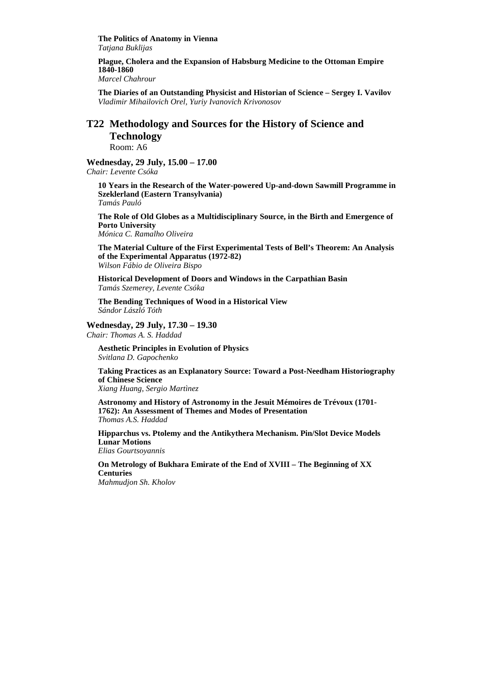**The Politics of Anatomy in Vienna**  *Tatjana Buklijas* 

**Plague, Cholera and the Expansion of Habsburg Medicine to the Ottoman Empire 1840-1860** 

*Marcel Chahrour* 

**The Diaries of an Outstanding Physicist and Historian of Science – Sergey I. Vavilov**  *Vladimir Mihailovich Orel, Yuriy Ivanovich Krivonosov* 

# **T22 Methodology and Sources for the History of Science and Technology**

Room: A6

**Wednesday, 29 July, 15.00 – 17.00** 

*Chair: Levente Csóka* 

**10 Years in the Research of the Water-powered Up-and-down Sawmill Programme in Szeklerland (Eastern Transylvania)** 

*Tamás Pauló* 

**The Role of Old Globes as a Multidisciplinary Source, in the Birth and Emergence of Porto University** 

*Mónica C. Ramalho Oliveira* 

**The Material Culture of the First Experimental Tests of Bell's Theorem: An Analysis of the Experimental Apparatus (1972-82)**  *Wilson Fábio de Oliveira Bispo* 

**Historical Development of Doors and Windows in the Carpathian Basin**  *Tamás Szemerey, Levente Csóka* 

**The Bending Techniques of Wood in a Historical View** *Sándor László Tóth* 

#### **Wednesday, 29 July, 17.30 – 19.30**

*Chair: Thomas A. S. Haddad* 

**Aesthetic Principles in Evolution of Physics**  *Svitlana D. Gapochenko* 

**Taking Practices as an Explanatory Source: Toward a Post-Needham Historiography of Chinese Science** 

*Xiang Huang, Sergio Martìnez* 

**Astronomy and History of Astronomy in the Jesuit Mémoires de Trévoux (1701- 1762): An Assessment of Themes and Modes of Presentation**  *Thomas A.S. Haddad* 

**Hipparchus vs. Ptolemy and the Antikythera Mechanism. Pin/Slot Device Models Lunar Motions**  *Elias Gourtsoyannis* 

**On Metrology of Bukhara Emirate of the End of XVIII – The Beginning of XX Centuries** 

*Mahmudjon Sh. Kholov*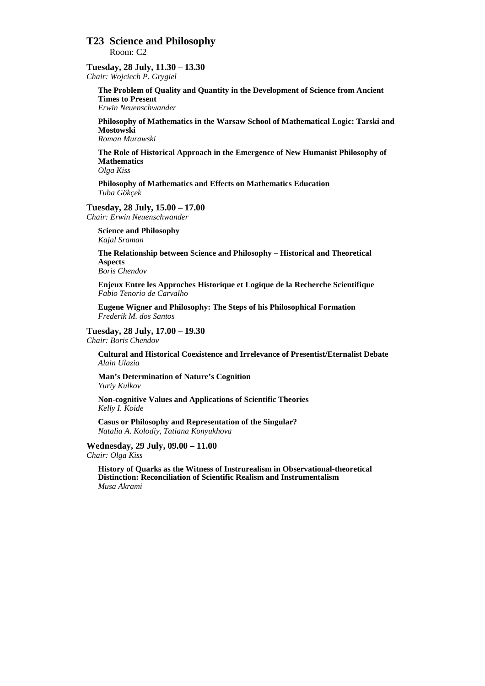# **T23 Science and Philosophy**

Room: C2

# **Tuesday, 28 July, 11.30 – 13.30**

*Chair: Wojciech P. Grygiel* 

**The Problem of Quality and Quantity in the Development of Science from Ancient Times to Present** 

*Erwin Neuenschwander* 

**Philosophy of Mathematics in the Warsaw School of Mathematical Logic: Tarski and Mostowski** 

*Roman Murawski* 

**The Role of Historical Approach in the Emergence of New Humanist Philosophy of Mathematics** 

*Olga Kiss* 

**Philosophy of Mathematics and Effects on Mathematics Education**  *Tuba Gökçek* 

#### **Tuesday, 28 July, 15.00 – 17.00**

*Chair: Erwin Neuenschwander* 

**Science and Philosophy**  *Kajal Sraman* 

**The Relationship between Science and Philosophy – Historical and Theoretical Aspects**  *Boris Chendov* 

**Enjeux Entre les Approches Historique et Logique de la Recherche Scientifique**  *Fabio Tenorio de Carvalho* 

**Eugene Wigner and Philosophy: The Steps of his Philosophical Formation**  *Frederik M. dos Santos* 

#### **Tuesday, 28 July, 17.00 – 19.30**

*Chair: Boris Chendov* 

**Cultural and Historical Coexistence and Irrelevance of Presentist/Eternalist Debate**  *Alain Ulazia* 

**Man's Determination of Nature's Cognition**  *Yuriy Kulkov* 

**Non-cognitive Values and Applications of Scientific Theories**  *Kelly I. Koide* 

**Casus or Philosophy and Representation of the Singular?**  *Natalia A. Kolodiy, Tatiana Konyukhova* 

#### **Wednesday, 29 July, 09.00 – 11.00**

*Chair: Olga Kiss* 

**History of Quarks as the Witness of Instrurealism in Observational-theoretical Distinction: Reconciliation of Scientific Realism and Instrumentalism**  *Musa Akrami*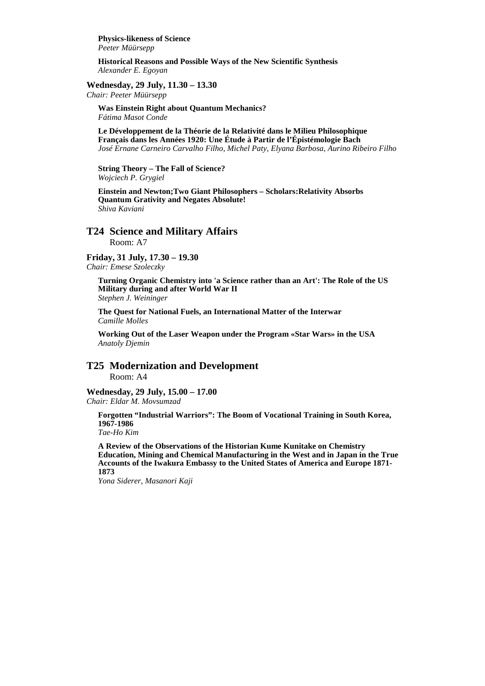**Physics-likeness of Science**  *Peeter Müürsepp* 

**Historical Reasons and Possible Ways of the New Scientific Synthesis**  *Alexander E. Egoyan* 

**Wednesday, 29 July, 11.30 – 13.30** 

*Chair: Peeter Müürsepp* 

**Was Einstein Right about Quantum Mechanics?**  *Fátima Masot Conde* 

**Le Développement de la Théorie de la Relativité dans le Milieu Philosophique Français dans les Années 1920: Une Étude à Partir de l'Épistémologie Bach**  *José Ernane Carneiro Carvalho Filho, Michel Paty, Elyana Barbosa, Aurino Ribeiro Filho* 

**String Theory – The Fall of Science?**  *Wojciech P. Grygiel* 

**Einstein and Newton;Two Giant Philosophers – Scholars:Relativity Absorbs Quantum Grativity and Negates Absolute!**  *Shiva Kaviani* 

# **T24 Science and Military Affairs**

Room: A7

# **Friday, 31 July, 17.30 – 19.30**

*Chair: Emese Szoleczky* 

**Turning Organic Chemistry into 'a Science rather than an Art': The Role of the US Military during and after World War II**  *Stephen J. Weininger* 

**The Quest for National Fuels, an International Matter of the Interwar**  *Camille Molles* 

**Working Out of the Laser Weapon under the Program «Star Wars» in the USA**  *Anatoly Djemin* 

# **T25 Modernization and Development**

Room: A4

**Wednesday, 29 July, 15.00 – 17.00**  *Chair: Eldar M. Movsumzad* 

**Forgotten "Industrial Warriors": The Boom of Vocational Training in South Korea, 1967-1986** 

*Tae-Ho Kim* 

**A Review of the Observations of the Historian Kume Kunitake on Chemistry Education, Mining and Chemical Manufacturing in the West and in Japan in the True Accounts of the Iwakura Embassy to the United States of America and Europe 1871- 1873** 

*Yona Siderer, Masanori Kaji*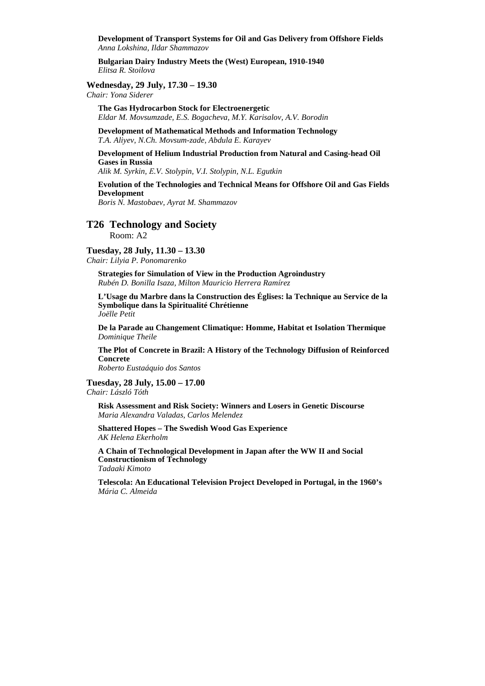**Development of Transport Systems for Oil and Gas Delivery from Offshore Fields**  *Anna Lokshina, Ildar Shammazov* 

**Bulgarian Dairy Industry Meets the (West) European, 1910-1940**  *Elitsa R. Stoilova* 

**Wednesday, 29 July, 17.30 – 19.30** 

*Chair: Yona Siderer* 

**The Gas Hydrocarbon Stock for Electroenergetic**  *Eldar M. Movsumzade, E.S. Bogacheva, M.Y. Karisalov, A.V. Borodin* 

**Development of Mathematical Methods and Information Technology**  *T.A. Aliyev, N.Ch. Movsum-zade, Abdula E. Karayev* 

**Development of Helium Industrial Production from Natural and Casing-head Oil Gases in Russia** 

*Alik M. Syrkin, Е.V. Stolypin, V.I. Stolypin, N.L. Egutkin* 

# **Evolution of the Technologies and Technical Means for Offshore Oil and Gas Fields Development**

*Boris N. Mastobaev, Ayrat M. Shammazov* 

# **T26 Technology and Society**

Room: A2

#### **Tuesday, 28 July, 11.30 – 13.30**

*Chair: Lilyia P. Ponomarenko* 

**Strategies for Simulation of View in the Production Agroindustry**  *Rubén D. Bonilla Isaza, Milton Mauricio Herrera Ramírez* 

**L'Usage du Marbre dans la Construction des Églises: la Technique au Service de la Symbolique dans la Spiritualité Chrétienne**  *Joëlle Petit* 

**De la Parade au Changement Climatique: Homme, Habitat et Isolation Thermique**  *Dominique Theile* 

**The Plot of Concrete in Brazil: A History of the Technology Diffusion of Reinforced Concrete** 

*Roberto Eustaáquio dos Santos* 

**Tuesday, 28 July, 15.00 – 17.00**  *Chair: László Tóth* 

**Risk Assessment and Risk Society: Winners and Losers in Genetic Discourse**  *Maria Alexandra Valadas, Carlos Melendez* 

**Shattered Hopes – The Swedish Wood Gas Experience**  *AK Helena Ekerholm* 

**A Chain of Technological Development in Japan after the WW II and Social Constructionism of Technology**  *Tadaaki Kimoto* 

**Telescola: An Educational Television Project Developed in Portugal, in the 1960's**  *Mária C. Almeida*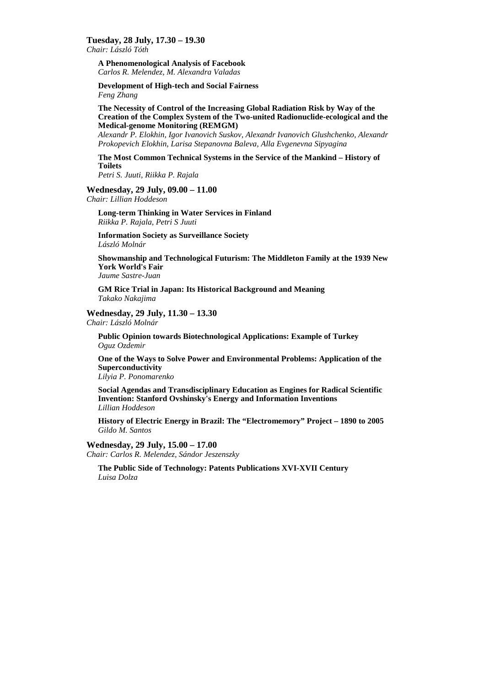## **Tuesday, 28 July, 17.30 – 19.30**

*Chair: László Tóth* 

**A Phenomenological Analysis of Facebook**  *Carlos R. Melendez, M. Alexandra Valadas* 

**Development of High-tech and Social Fairness**  *Feng Zhang* 

**The Necessity of Control of the Increasing Global Radiation Risk by Way of the Creation of the Complex System of the Two-united Radionuclide-ecological and the Medical-genome Monitoring (REMGM)** 

*Alexandr P. Elokhin, Igor Ivanovich Suskov, Alexandr Ivanovich Glushchenko, Alexandr Prokopevich Elokhin, Larisa Stepanovna Baleva, Alla Evgenevna Sipyagina* 

#### **The Most Common Technical Systems in the Service of the Mankind – History of Toilets**

*Petri S. Juuti, Riikka P. Rajala* 

#### **Wednesday, 29 July, 09.00 – 11.00**

*Chair: Lillian Hoddeson* 

**Long-term Thinking in Water Services in Finland**  *Riikka P. Rajala, Petri S Juuti* 

**Information Society as Surveillance Society**  *László Molnár* 

**Showmanship and Technological Futurism: The Middleton Family at the 1939 New York World's Fair** 

*Jaume Sastre-Juan* 

**GM Rice Trial in Japan: Its Historical Background and Meaning**  *Takako Nakajima* 

# **Wednesday, 29 July, 11.30 – 13.30**

*Chair: László Molnár* 

**Public Opinion towards Biotechnological Applications: Example of Turkey**  *Oguz Ozdemir* 

**One of the Ways to Solve Power and Environmental Problems: Application of the Superconductivity** 

*Lilyia P. Ponomarenko* 

**Social Agendas and Transdisciplinary Education as Engines for Radical Scientific Invention: Stanford Ovshinsky's Energy and Information Inventions**  *Lillian Hoddeson* 

**History of Electric Energy in Brazil: The "Electromemory" Project – 1890 to 2005**  *Gildo M. Santos* 

#### **Wednesday, 29 July, 15.00 – 17.00**

*Chair: Carlos R. Melendez, Sándor Jeszenszky* 

**The Public Side of Technology: Patents Publications XVI-XVII Century**  *Luisa Dolza*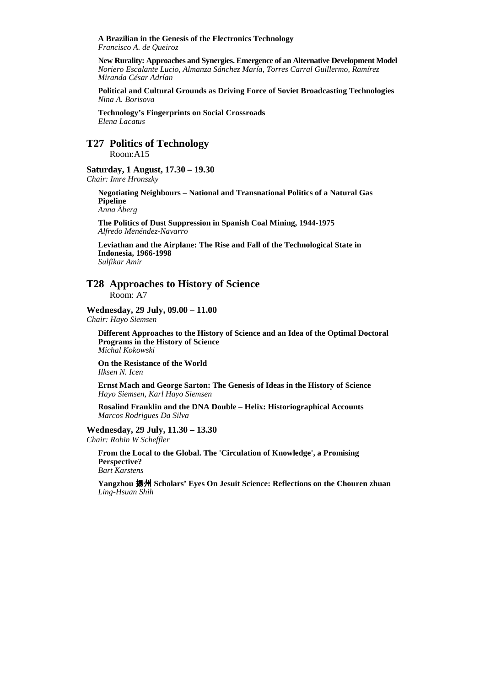**A Brazilian in the Genesis of the Electronics Technology**  *Francisco A. de Queiroz* 

**New Rurality: Approaches and Synergies. Emergence of an Alternative Development Model**  *Noriero Escalante Lucio, Almanza Sánchez María, Torres Carral Guillermo, Ramírez Miranda César Adrían* 

**Political and Cultural Grounds as Driving Force of Soviet Broadcasting Technologies**  *Nina A. Borisova* 

**Technology's Fingerprints on Social Crossroads**  *Elena Lacatus* 

**T27 Politics of Technology**  Room:A15

#### **Saturday, 1 August, 17.30 – 19.30**

*Chair: Imre Hronszky* 

**Negotiating Neighbours – National and Transnational Politics of a Natural Gas Pipeline** 

*Anna Åberg* 

**The Politics of Dust Suppression in Spanish Coal Mining, 1944-1975**  *Alfredo Menéndez-Navarro* 

**Leviathan and the Airplane: The Rise and Fall of the Technological State in Indonesia, 1966-1998**  *Sulfikar Amir* 

**T28 Approaches to History of Science**  Room: A7

**Wednesday, 29 July, 09.00 – 11.00** 

*Chair: Hayo Siemsen* 

**Different Approaches to the History of Science and an Idea of the Optimal Doctoral Programs in the History of Science**  *Michal Kokowski* 

**On the Resistance of the World**  *Ilksen N. Icen* 

**Ernst Mach and George Sarton: The Genesis of Ideas in the History of Science**  *Hayo Siemsen, Karl Hayo Siemsen* 

**Rosalind Franklin and the DNA Double – Helix: Historiographical Accounts**  *Marcos Rodrigues Da Silva* 

**Wednesday, 29 July, 11.30 – 13.30**  *Chair: Robin W Scheffler* 

**From the Local to the Global. The 'Circulation of Knowledge', a Promising Perspective?**  *Bart Karstens* 

**Yangzhou** 揚州 **Scholars' Eyes On Jesuit Science: Reflections on the Chouren zhuan**  *Ling-Hsuan Shih*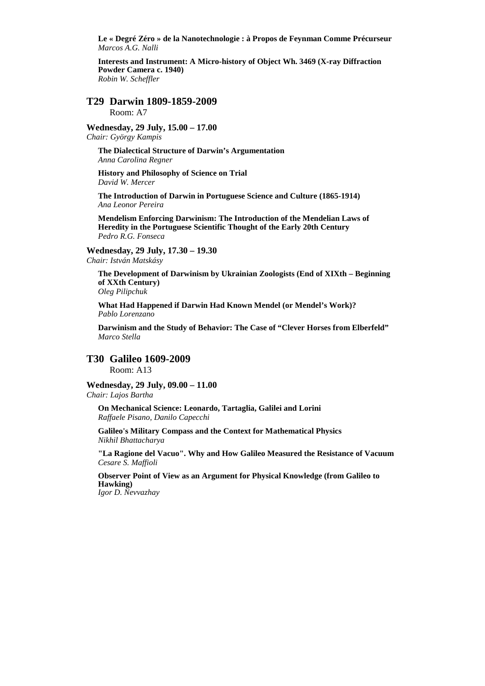**Le « Degré Zéro » de la Nanotechnologie : à Propos de Feynman Comme Précurseur**  *Marcos A.G. Nalli* 

**Interests and Instrument: A Micro-history of Object Wh. 3469 (X-ray Diffraction Powder Camera c. 1940)**  *Robin W. Scheffler* 

**T29 Darwin 1809-1859-2009**  Room: A7

**Wednesday, 29 July, 15.00 – 17.00**  *Chair: György Kampis* 

**The Dialectical Structure of Darwin's Argumentation** *Anna Carolina Regner* 

**History and Philosophy of Science on Trial**  *David W. Mercer* 

**The Introduction of Darwin in Portuguese Science and Culture (1865-1914)**  *Ana Leonor Pereira* 

**Mendelism Enforcing Darwinism: The Introduction of the Mendelian Laws of Heredity in the Portuguese Scientific Thought of the Early 20th Century**  *Pedro R.G. Fonseca* 

**Wednesday, 29 July, 17.30 – 19.30** 

*Chair: István Matskásy* 

**The Development of Darwinism by Ukrainian Zoologists (End of XIXth – Beginning of XXth Century)** 

*Oleg Pilipchuk* 

**What Had Happened if Darwin Had Known Mendel (or Mendel's Work)?**  *Pablo Lorenzano* 

**Darwinism and the Study of Behavior: The Case of "Clever Horses from Elberfeld"**  *Marco Stella* 

#### **T30 Galileo 1609-2009**

Room: A13

#### **Wednesday, 29 July, 09.00 – 11.00**

*Chair: Lajos Bartha* 

**On Mechanical Science: Leonardo, Tartaglia, Galilei and Lorini**  *Raffaele Pisano, Danilo Capecchi* 

**Galileo's Military Compass and the Context for Mathematical Physics**  *Nikhil Bhattacharya* 

**"La Ragione del Vacuo". Why and How Galileo Measured the Resistance of Vacuum**  *Cesare S. Maffioli* 

**Observer Point of View as an Argument for Physical Knowledge (from Galileo to Hawking)** 

*Igor D. Nevvazhay*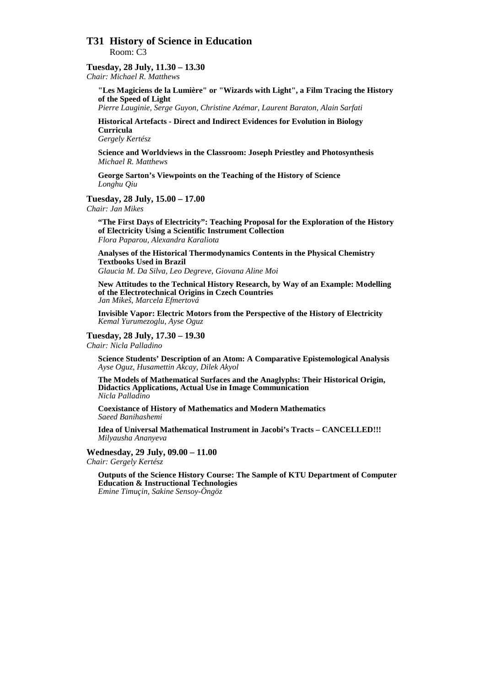# **T31 History of Science in Education**  Room: C3

#### **Tuesday, 28 July, 11.30 – 13.30**

*Chair: Michael R. Matthews* 

**"Les Magiciens de la Lumière" or "Wizards with Light", a Film Tracing the History of the Speed of Light** 

*Pierre Lauginie, Serge Guyon, Christine Azémar, Laurent Baraton, Alain Sarfati*

**Historical Artefacts - Direct and Indirect Evidences for Evolution in Biology Curricula** 

*Gergely Kertész* 

**Science and Worldviews in the Classroom: Joseph Priestley and Photosynthesis**  *Michael R. Matthews* 

**George Sarton's Viewpoints on the Teaching of the History of Science**  *Longhu Qiu* 

**Tuesday, 28 July, 15.00 – 17.00** 

*Chair: Jan Mikes* 

**"The First Days of Electricity": Teaching Proposal for the Exploration of the History of Electricity Using a Scientific Instrument Collection**  *Flora Paparou, Alexandra Karaliota* 

**Analyses of the Historical Thermodynamics Contents in the Physical Chemistry Textbooks Used in Brazil**  *Glaucia M. Da Silva, Leo Degreve, Giovana Aline Moi*

**New Attitudes to the Technical History Research, by Way of an Example: Modelling of the Electrotechnical Origins in Czech Countries**  *Jan Mikeš, Marcela Efmertová* 

**Invisible Vapor: Electric Motors from the Perspective of the History of Electricity**  *Kemal Yurumezoglu, Ayse Oguz* 

#### **Tuesday, 28 July, 17.30 – 19.30**

*Chair: Nicla Palladino* 

**Science Students' Description of an Atom: A Comparative Epistemological Analysis**  *Ayse Oguz, Husamettin Akcay, Dilek Akyol* 

**The Models of Mathematical Surfaces and the Anaglyphs: Their Historical Origin, Didactics Applications, Actual Use in Image Communication**  *Nicla Palladino* 

**Coexistance of History of Mathematics and Modern Mathematics**  *Saeed Banihashemi* 

**Idea of Universal Mathematical Instrument in Jacobi's Tracts – CANCELLED!!!**  *Milyausha Ananyeva* 

**Wednesday, 29 July, 09.00 – 11.00**  *Chair: Gergely Kertész* 

**Outputs of the Science History Course: The Sample of KTU Department of Computer Education & Instructional Technologies**  *Emine Timuçin, Sakine Sensoy-Öngöz*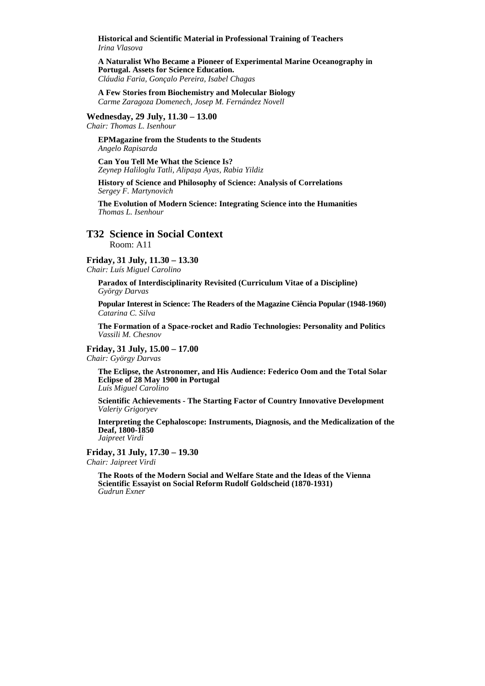**Historical and Scientific Material in Professional Training of Teachers**  *Irina Vlasova* 

**A Naturalist Who Became a Pioneer of Experimental Marine Oceanography in Portugal. Assets for Science Education.**  *Cláudia Faria, Gonçalo Pereira, Isabel Chagas* 

**A Few Stories from Biochemistry and Molecular Biology**  *Carme Zaragoza Domenech, Josep M. Fernández Novell* 

**Wednesday, 29 July, 11.30 – 13.00** 

*Chair: Thomas L. Isenhour* 

**EPMagazine from the Students to the Students**  *Angelo Rapisarda* 

**Can You Tell Me What the Science Is?**  *Zeynep Haliloglu Tatli, Alipaşa Ayas, Rabia Yildiz* 

**History of Science and Philosophy of Science: Analysis of Correlations**  *Sergey F. Martynovich* 

**The Evolution of Modern Science: Integrating Science into the Humanities**  *Thomas L. Isenhour* 

# **T32 Science in Social Context**

Room: A11

**Friday, 31 July, 11.30 – 13.30** 

*Chair: Luís Miguel Carolino* 

**Paradox of Interdisciplinarity Revisited (Curriculum Vitae of a Discipline)**  *György Darvas* 

**Popular Interest in Science: The Readers of the Magazine Ciência Popular (1948-1960)**  *Catarina C. Silva* 

**The Formation of a Space-rocket and Radio Technologies: Personality and Politics**  *Vassili M. Chesnov* 

#### **Friday, 31 July, 15.00 – 17.00**

*Chair: György Darvas* 

**The Eclipse, the Astronomer, and His Audience: Federico Oom and the Total Solar Eclipse of 28 May 1900 in Portugal**  *Luís Miguel Carolino* 

**Scientific Achievements - The Starting Factor of Country Innovative Development**  *Valeriy Grigoryev* 

**Interpreting the Cephaloscope: Instruments, Diagnosis, and the Medicalization of the Deaf, 1800-1850**  *Jaipreet Virdi* 

**Friday, 31 July, 17.30 – 19.30**  *Chair: Jaipreet Virdi* 

**The Roots of the Modern Social and Welfare State and the Ideas of the Vienna Scientific Essayist on Social Reform Rudolf Goldscheid (1870-1931)**  *Gudrun Exner*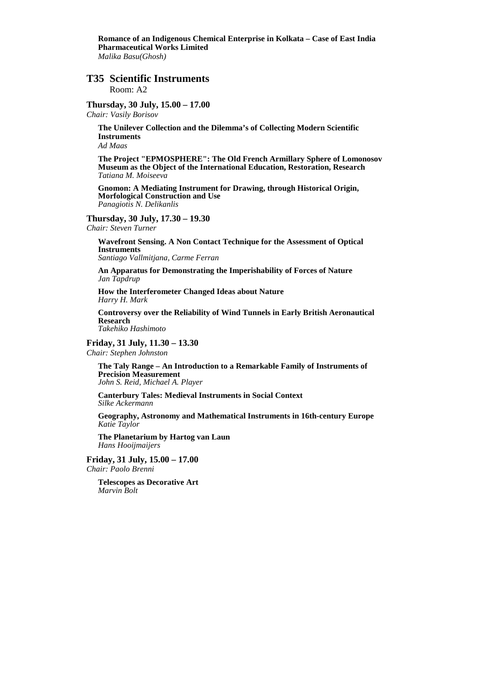**Romance of an Indigenous Chemical Enterprise in Kolkata – Case of East India Pharmaceutical Works Limited**  *Malika Basu(Ghosh)* 

# **T35 Scientific Instruments**

Room: A2

#### **Thursday, 30 July, 15.00 – 17.00**

*Chair: Vasily Borisov* 

**The Unilever Collection and the Dilemma's of Collecting Modern Scientific Instruments** 

*Ad Maas* 

**The Project "EPMOSPHERE": The Old French Armillary Sphere of Lomonosov Museum as the Object of the International Education, Restoration, Research**  *Tatiana M. Moiseeva* 

**Gnomon: A Mediating Instrument for Drawing, through Historical Origin, Morfological Construction and Use**  *Panagiotis N. Delikanlis* 

#### **Thursday, 30 July, 17.30 – 19.30**

*Chair: Steven Turner* 

**Wavefront Sensing. A Non Contact Technique for the Assessment of Optical Instruments**  *Santiago Vallmitjana, Carme Ferran* 

**An Apparatus for Demonstrating the Imperishability of Forces of Nature**  *Jan Tapdrup* 

**How the Interferometer Changed Ideas about Nature**  *Harry H. Mark* 

**Controversy over the Reliability of Wind Tunnels in Early British Aeronautical Research**  *Takehiko Hashimoto* 

**Friday, 31 July, 11.30 – 13.30**  *Chair: Stephen Johnston* 

> **The Taly Range – An Introduction to a Remarkable Family of Instruments of Precision Measurement**  *John S. Reid, Michael A. Player*

**Canterbury Tales: Medieval Instruments in Social Context**  *Silke Ackermann* 

**Geography, Astronomy and Mathematical Instruments in 16th-century Europe**  *Katie Taylor* 

**The Planetarium by Hartog van Laun**  *Hans Hooijmaijers* 

**Friday, 31 July, 15.00 – 17.00**  *Chair: Paolo Brenni* 

> **Telescopes as Decorative Art**  *Marvin Bolt*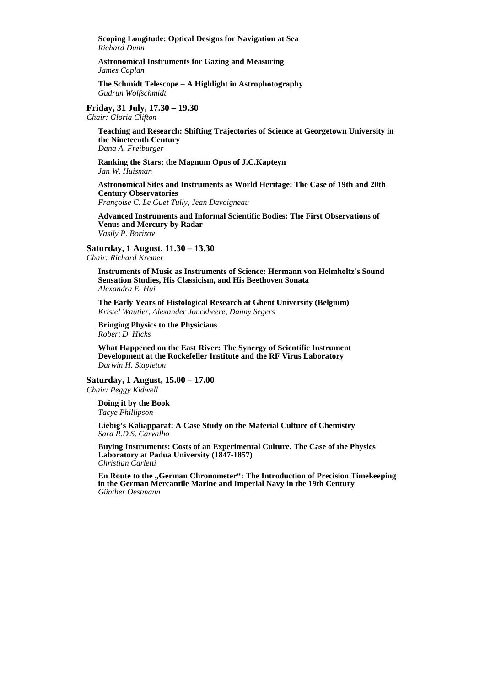**Scoping Longitude: Optical Designs for Navigation at Sea**  *Richard Dunn* 

**Astronomical Instruments for Gazing and Measuring**  *James Caplan* 

**The Schmidt Telescope – A Highlight in Astrophotography**  *Gudrun Wolfschmidt* 

#### **Friday, 31 July, 17.30 – 19.30**

*Chair: Gloria Clifton* 

**Teaching and Research: Shifting Trajectories of Science at Georgetown University in the Nineteenth Century**  *Dana A. Freiburger* 

**Ranking the Stars; the Magnum Opus of J.C.Kapteyn**  *Jan W. Huisman* 

**Astronomical Sites and Instruments as World Heritage: The Case of 19th and 20th Century Observatories** 

*Françoise C. Le Guet Tully, Jean Davoigneau* 

**Advanced Instruments and Informal Scientific Bodies: The First Observations of Venus and Mercury by Radar**  *Vasily P. Borisov* 

**Saturday, 1 August, 11.30 – 13.30** 

*Chair: Richard Kremer* 

**Instruments of Music as Instruments of Science: Hermann von Helmholtz's Sound Sensation Studies, His Classicism, and His Beethoven Sonata**  *Alexandra E. Hui* 

**The Early Years of Histological Research at Ghent University (Belgium)**  *Kristel Wautier, Alexander Jonckheere, Danny Segers*

**Bringing Physics to the Physicians**  *Robert D. Hicks* 

**What Happened on the East River: The Synergy of Scientific Instrument Development at the Rockefeller Institute and the RF Virus Laboratory**  *Darwin H. Stapleton* 

**Saturday, 1 August, 15.00 – 17.00**  *Chair: Peggy Kidwell* 

**Doing it by the Book**  *Tacye Phillipson* 

**Liebig's Kaliapparat: A Case Study on the Material Culture of Chemistry**  *Sara R.D.S. Carvalho* 

**Buying Instruments: Costs of an Experimental Culture. The Case of the Physics Laboratory at Padua University (1847-1857)**  *Christian Carletti* 

**En Route to the "German Chronometer": The Introduction of Precision Timekeeping in the German Mercantile Marine and Imperial Navy in the 19th Century**  *Günther Oestmann*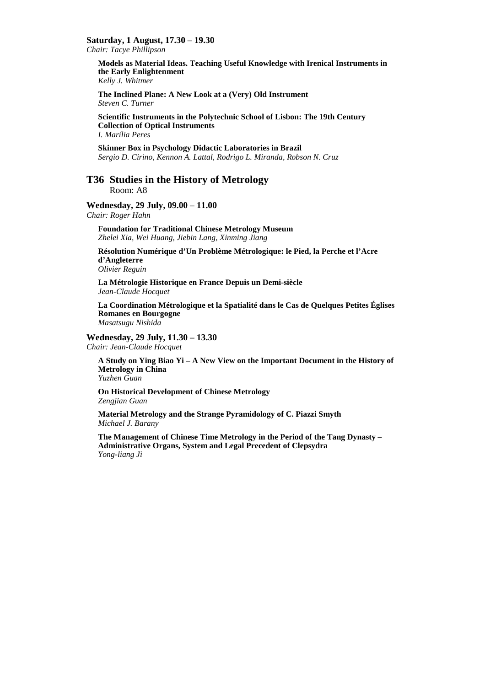**Saturday, 1 August, 17.30 – 19.30** 

*Chair: Tacye Phillipson* 

**Models as Material Ideas. Teaching Useful Knowledge with Irenical Instruments in the Early Enlightenment**  *Kelly J. Whitmer* 

**The Inclined Plane: A New Look at a (Very) Old Instrument**  *Steven C. Turner* 

**Scientific Instruments in the Polytechnic School of Lisbon: The 19th Century Collection of Optical Instruments**  *I. Marília Peres* 

**Skinner Box in Psychology Didactic Laboratories in Brazil**  *Sergio D. Cirino, Kennon A. Lattal, Rodrigo L. Miranda, Robson N. Cruz* 

# **T36 Studies in the History of Metrology**

Room: A8

**Wednesday, 29 July, 09.00 – 11.00** 

*Chair: Roger Hahn* 

**Foundation for Traditional Chinese Metrology Museum** *Zhelei Xia, Wei Huang, Jiebin Lang, Xinming Jiang* 

**Résolution Numérique d'Un Problème Métrologique: le Pied, la Perche et l'Acre d'Angleterre** 

*Olivier Reguin* 

**La Métrologie Historique en France Depuis un Demi-siècle**  *Jean-Claude Hocquet* 

**La Coordination Métrologique et la Spatialité dans le Cas de Quelques Petites Églises Romanes en Bourgogne** 

*Masatsugu Nishida* 

#### **Wednesday, 29 July, 11.30 – 13.30**

*Chair: Jean-Claude Hocquet* 

**A Study on Ying Biao Yi – A New View on the Important Document in the History of Metrology in China** 

*Yuzhen Guan* 

**On Historical Development of Chinese Metrology**  *Zengjian Guan* 

**Material Metrology and the Strange Pyramidology of C. Piazzi Smyth**  *Michael J. Barany* 

**The Management of Chinese Time Metrology in the Period of the Tang Dynasty – Administrative Organs, System and Legal Precedent of Clepsydra**  *Yong-liang Ji*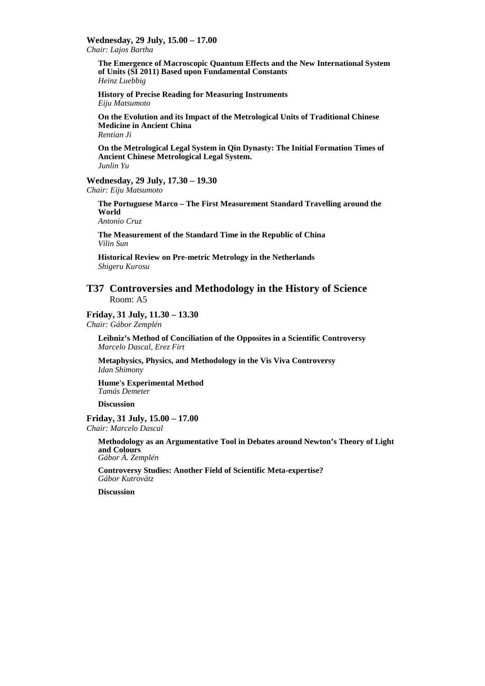**Wednesday, 29 July, 15.00 – 17.00** 

*Chair: Lajos Bartha* 

**The Emergence of Macroscopic Quantum Effects and the New International System of Units (SI 2011) Based upon Fundamental Constants** *Heinz Luebbig* 

**History of Precise Reading for Measuring Instruments**  *Eiju Matsumoto* 

**On the Evolution and its Impact of the Metrological Units of Traditional Chinese Medicine in Ancient China**  *Rentian Ji* 

**On the Metrological Legal System in Qin Dynasty: The Initial Formation Times of Ancient Chinese Metrological Legal System.**  *Junlin Yu* 

# **Wednesday, 29 July, 17.30 – 19.30**

*Chair: Eiju Matsumoto* 

**The Portuguese Marco – The First Measurement Standard Travelling around the World** 

*Antonio Cruz* 

**The Measurement of the Standard Time in the Republic of China**  *Vilin Sun* 

**Historical Review on Pre-metric Metrology in the Netherlands**  *Shigeru Kurosu* 

# **T37 Controversies and Methodology in the History of Science**  Room: A5

**Friday, 31 July, 11.30 – 13.30** 

*Chair: Gábor Zemplén* 

**Leibniz's Method of Conciliation of the Opposites in a Scientific Controversy**  *Marcelo Dascal, Erez Firt* 

**Metaphysics, Physics, and Methodology in the Vis Viva Controversy**  *Idan Shimony* 

**Hume's Experimental Method**  *Tamás Demeter* 

**Discussion** 

**Friday, 31 July, 15.00 – 17.00**  *Chair: Marcelo Dascal* 

> **Methodology as an Argumentative Tool in Debates around Newton's Theory of Light and Colours**  *Gábor Á. Zemplén*

**Controversy Studies: Another Field of Scientific Meta-expertise?**  *Gábor Kutrovátz* 

**Discussion**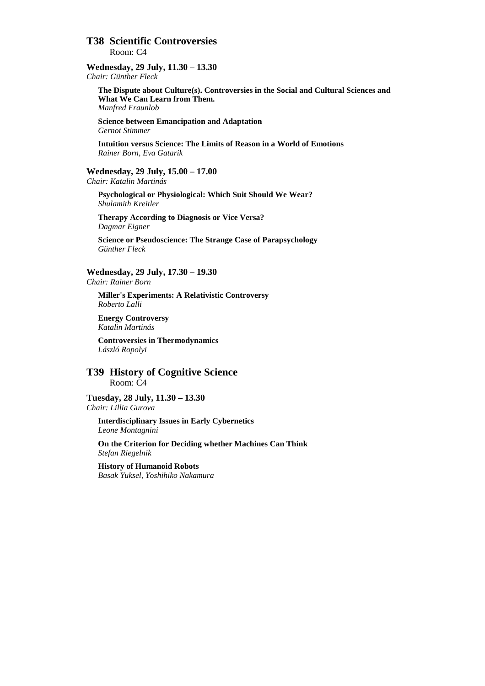# **T38 Scientific Controversies**  Room: C4

#### **Wednesday, 29 July, 11.30 – 13.30**  *Chair: Günther Fleck*

**The Dispute about Culture(s). Controversies in the Social and Cultural Sciences and What We Can Learn from Them.**  *Manfred Fraunlob* 

**Science between Emancipation and Adaptation**  *Gernot Stimmer* 

**Intuition versus Science: The Limits of Reason in a World of Emotions**  *Rainer Born, Eva Gatarik* 

**Wednesday, 29 July, 15.00 – 17.00**  *Chair: Katalin Martinás* 

**Psychological or Physiological: Which Suit Should We Wear?**  *Shulamith Kreitler* 

**Therapy According to Diagnosis or Vice Versa?**  *Dagmar Eigner* 

**Science or Pseudoscience: The Strange Case of Parapsychology**  *Günther Fleck* 

**Wednesday, 29 July, 17.30 – 19.30**  *Chair: Rainer Born*

**Miller's Experiments: A Relativistic Controversy**  *Roberto Lalli* 

**Energy Controversy**  *Katalin Martinás* 

**Controversies in Thermodynamics**  *László Ropolyi* 

**T39 History of Cognitive Science**  Room: C4

**Tuesday, 28 July, 11.30 – 13.30**  *Chair: Lillia Gurova* 

**Interdisciplinary Issues in Early Cybernetics**  *Leone Montagnini* 

**On the Criterion for Deciding whether Machines Can Think**  *Stefan Riegelnik* 

**History of Humanoid Robots**  *Basak Yuksel, Yoshihiko Nakamura*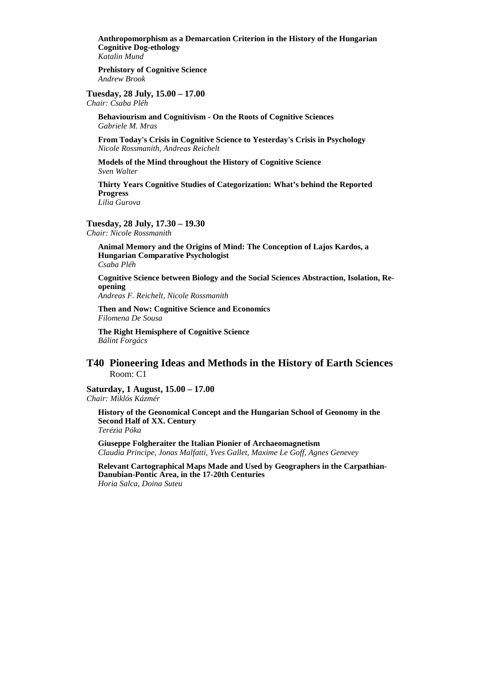**Anthropomorphism as a Demarcation Criterion in the History of the Hungarian Cognitive Dog-ethology**  *Katalin Mund* 

**Prehistory of Cognitive Science**  *Andrew Brook* 

**Tuesday, 28 July, 15.00 – 17.00**  *Chair: Csaba Pléh* 

**Behaviourism and Cognitivism - On the Roots of Cognitive Sciences**  *Gabriele M. Mras* 

**From Today's Crisis in Cognitive Science to Yesterday's Crisis in Psychology**  *Nicole Rossmanith, Andreas Reichelt* 

**Models of the Mind throughout the History of Cognitive Science**  *Sven Walter* 

**Thirty Years Cognitive Studies of Categorization: What's behind the Reported Progress** 

*Lilia Gurova* 

#### **Tuesday, 28 July, 17.30 – 19.30**

*Chair: Nicole Rossmanith* 

**Animal Memory and the Origins of Mind: The Conception of Lajos Kardos, a Hungarian Comparative Psychologist**  *Csaba Pléh* 

**Cognitive Science between Biology and the Social Sciences Abstraction, Isolation, Reopening** 

*Andreas F. Reichelt, Nicole Rossmanith* 

**Then and Now: Cognitive Science and Economics**  *Filomena De Sousa* 

**The Right Hemisphere of Cognitive Science**  *Bálint Forgács* 

# **T40 Pioneering Ideas and Methods in the History of Earth Sciences**  Room: C1

**Saturday, 1 August, 15.00 – 17.00**  *Chair: Miklós Kázmér* 

**History of the Geonomical Concept and the Hungarian School of Geonomy in the Second Half of XX. Century**  *Terézia Póka* 

**Giuseppe Folgheraiter the Italian Pionier of Archaeomagnetism**  *Claudia Principe, Jonas Malfatti, Yves Gallet, Maxime Le Goff, Agnes Genevey* 

**Relevant Cartographical Maps Made and Used by Geographers in the Carpathian-Danubian-Pontic Area, in the 17-20th Centuries**  *Horia Salca, Doina Suteu*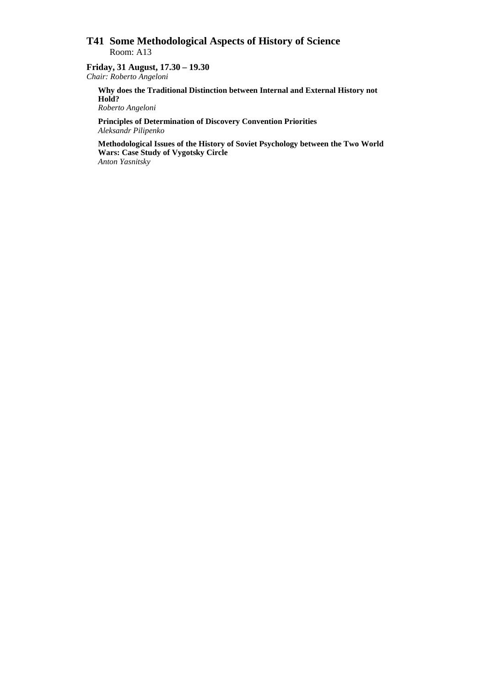# **T41 Some Methodological Aspects of History of Science**  Room: A13

#### **Friday, 31 August, 17.30 – 19.30**  *Chair: Roberto Angeloni*

**Why does the Traditional Distinction between Internal and External History not Hold?** 

*Roberto Angeloni* 

**Principles of Determination of Discovery Convention Priorities**  *Aleksandr Pilipenko* 

**Methodological Issues of the History of Soviet Psychology between the Two World Wars: Case Study of Vygotsky Circle**  *Anton Yasnitsky*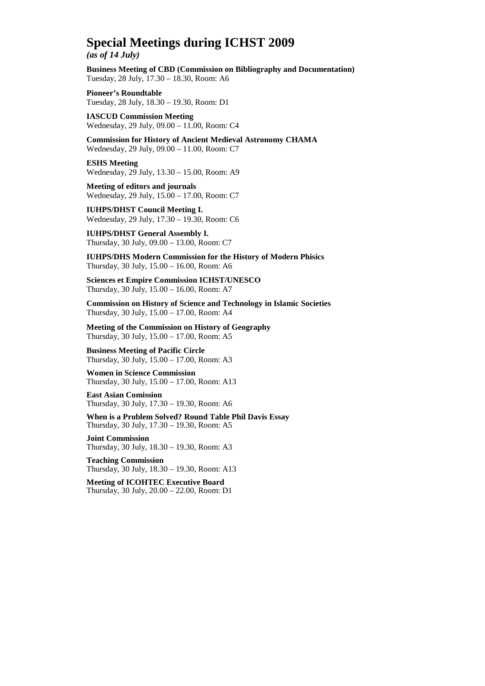# **Special Meetings during ICHST 2009**

*(as of 14 July)* 

**Business Meeting of CBD (Commission on Bibliography and Documentation)**  Tuesday, 28 July, 17.30 – 18.30, Room: A6

**Pioneer's Roundtable**  Tuesday, 28 July, 18.30 – 19.30, Room: D1

**IASCUD Commission Meeting**  Wednesday, 29 July, 09.00 – 11.00, Room: C4

**Commission for History of Ancient Medieval Astronomy CHAMA**  Wednesday, 29 July, 09.00 – 11.00, Room: C7

**ESHS Meeting**  Wednesday, 29 July, 13.30 – 15.00, Room: A9

**Meeting of editors and journals**  Wednesday, 29 July, 15.00 – 17.00, Room: C7

**IUHPS/DHST Council Meeting I.**  Wednesday, 29 July, 17.30 – 19.30, Room: C6

**IUHPS/DHST General Assembly I.**  Thursday, 30 July, 09.00 – 13.00, Room: C7

**IUHPS/DHS Modern Commission for the History of Modern Phisics**  Thursday, 30 July, 15.00 – 16.00, Room: A6

**Sciences et Empire Commission ICHST/UNESCO**  Thursday, 30 July, 15.00 – 16.00, Room: A7

**Commission on History of Science and Technology in Islamic Societies**  Thursday, 30 July, 15.00 – 17.00, Room: A4

**Meeting of the Commission on History of Geography**  Thursday, 30 July, 15.00 – 17.00, Room: A5

**Business Meeting of Pacific Circle**  Thursday, 30 July, 15.00 – 17.00, Room: A3

**Women in Science Commission**  Thursday, 30 July, 15.00 – 17.00, Room: A13

**East Asian Comission**  Thursday, 30 July, 17.30 – 19.30, Room: A6

**When is a Problem Solved? Round Table Phil Davis Essay**  Thursday, 30 July, 17.30 – 19.30, Room: A5

**Joint Commission**  Thursday, 30 July, 18.30 – 19.30, Room: A3

**Teaching Commission**  Thursday, 30 July, 18.30 – 19.30, Room: A13

**Meeting of ICOHTEC Executive Board**  Thursday, 30 July, 20.00 – 22.00, Room: D1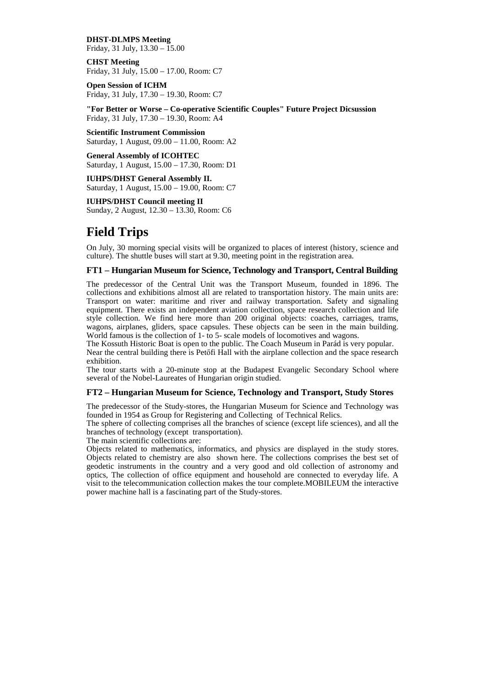**DHST-DLMPS Meeting**  Friday, 31 July,  $13.30 - 15.00$ 

**CHST Meeting**  Friday, 31 July, 15.00 – 17.00, Room: C7

**Open Session of ICHM**  Friday, 31 July, 17.30 – 19.30, Room: C7

**"For Better or Worse – Co-operative Scientific Couples" Future Project Dicsussion**  Friday, 31 July, 17.30 – 19.30, Room: A4

**Scientific Instrument Commission**  Saturday, 1 August, 09.00 – 11.00, Room: A2

**General Assembly of ICOHTEC**  Saturday, 1 August, 15.00 – 17.30, Room: D1

**IUHPS/DHST General Assembly II.**  Saturday, 1 August, 15.00 – 19.00, Room: C7

**IUHPS/DHST Council meeting II**  Sunday, 2 August, 12.30 – 13.30, Room: C6

# **Field Trips**

On July, 30 morning special visits will be organized to places of interest (history, science and culture). The shuttle buses will start at 9.30, meeting point in the registration area.

#### **FT1 – Hungarian Museum for Science, Technology and Transport, Central Building**

The predecessor of the Central Unit was the Transport Museum, founded in 1896. The collections and exhibitions almost all are related to transportation history. The main units are: Transport on water: maritime and river and railway transportation. Safety and signaling equipment. There exists an independent aviation collection, space research collection and life style collection. We find here more than 200 original objects: coaches, carriages, trams, wagons, airplanes, gliders, space capsules. These objects can be seen in the main building. World famous is the collection of 1- to 5- scale models of locomotives and wagons.

The Kossuth Historic Boat is open to the public. The Coach Museum in Parád is very popular.

Near the central building there is Petőfi Hall with the airplane collection and the space research exhibition.

The tour starts with a 20-minute stop at the Budapest Evangelic Secondary School where several of the Nobel-Laureates of Hungarian origin studied.

#### **FT2 – Hungarian Museum for Science, Technology and Transport, Study Stores**

The predecessor of the Study-stores, the Hungarian Museum for Science and Technology was founded in 1954 as Group for Registering and Collecting of Technical Relics.

The sphere of collecting comprises all the branches of science (except life sciences), and all the branches of technology (except transportation).

The main scientific collections are:

Objects related to mathematics, informatics, and physics are displayed in the study stores. Objects related to chemistry are also shown here. The collections comprises the best set of geodetic instruments in the country and a very good and old collection of astronomy and optics, The collection of office equipment and household are connected to everyday life. A visit to the telecommunication collection makes the tour complete.MOBILEUM the interactive power machine hall is a fascinating part of the Study-stores.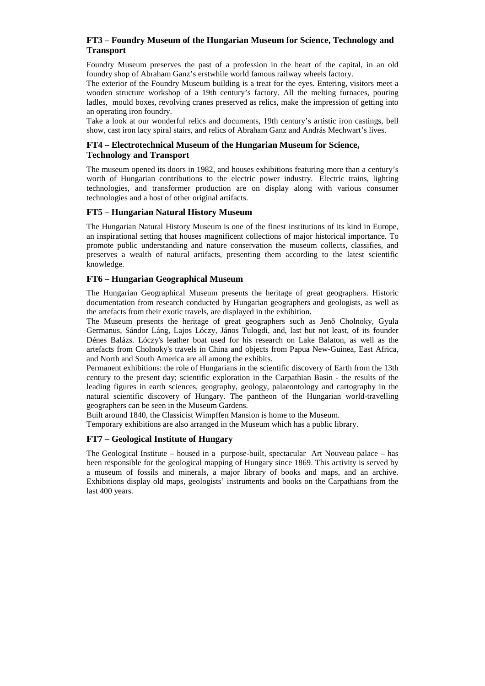# **FT3 – Foundry Museum of the Hungarian Museum for Science, Technology and Transport**

Foundry Museum preserves the past of a profession in the heart of the capital, in an old foundry shop of Abraham Ganz's erstwhile world famous railway wheels factory.

The exterior of the Foundry Museum building is a treat for the eyes. Entering, visitors meet a wooden structure workshop of a 19th century's factory. All the melting furnaces, pouring ladles, mould boxes, revolving cranes preserved as relics, make the impression of getting into an operating iron foundry.

Take a look at our wonderful relics and documents, 19th century's artistic iron castings, bell show, cast iron lacy spiral stairs, and relics of Abraham Ganz and András Mechwart's lives.

### **FT4 – Electrotechnical Museum of the Hungarian Museum for Science, Technology and Transport**

The museum opened its doors in 1982, and houses exhibitions featuring more than a century's worth of Hungarian contributions to the electric power industry. Electric trains, lighting technologies, and transformer production are on display along with various consumer technologies and a host of other original artifacts.

## **FT5 – Hungarian Natural History Museum**

The Hungarian Natural History Museum is one of the finest institutions of its kind in Europe, an inspirational setting that houses magnificent collections of major historical importance. To promote public understanding and nature conservation the museum collects, classifies, and preserves a wealth of natural artifacts, presenting them according to the latest scientific knowledge.

## **FT6 – Hungarian Geographical Museum**

The Hungarian Geographical Museum presents the heritage of great geographers. Historic documentation from research conducted by Hungarian geographers and geologists, as well as the artefacts from their exotic travels, are displayed in the exhibition.

The Museum presents the heritage of great geographers such as Jenő Cholnoky, Gyula Germanus, Sándor Láng, Lajos Lóczy, János Tulogdi, and, last but not least, of its founder Dénes Balázs. Lóczy's leather boat used for his research on Lake Balaton, as well as the artefacts from Cholnoky's travels in China and objects from Papua New-Guinea, East Africa, and North and South America are all among the exhibits.

Permanent exhibitions: the role of Hungarians in the scientific discovery of Earth from the 13th century to the present day; scientific exploration in the Carpathian Basin - the results of the leading figures in earth sciences, geography, geology, palaeontology and cartography in the natural scientific discovery of Hungary. The pantheon of the Hungarian world-travelling geographers can be seen in the Museum Gardens.

Built around 1840, the Classicist Wimpffen Mansion is home to the Museum.

Temporary exhibitions are also arranged in the Museum which has a public library.

## **FT7 – Geological Institute of Hungary**

The Geological Institute – housed in a purpose-built, spectacular Art Nouveau palace – has been responsible for the geological mapping of Hungary since 1869. This activity is served by a museum of fossils and minerals, a major library of books and maps, and an archive. Exhibitions display old maps, geologists' instruments and books on the Carpathians from the last 400 years.